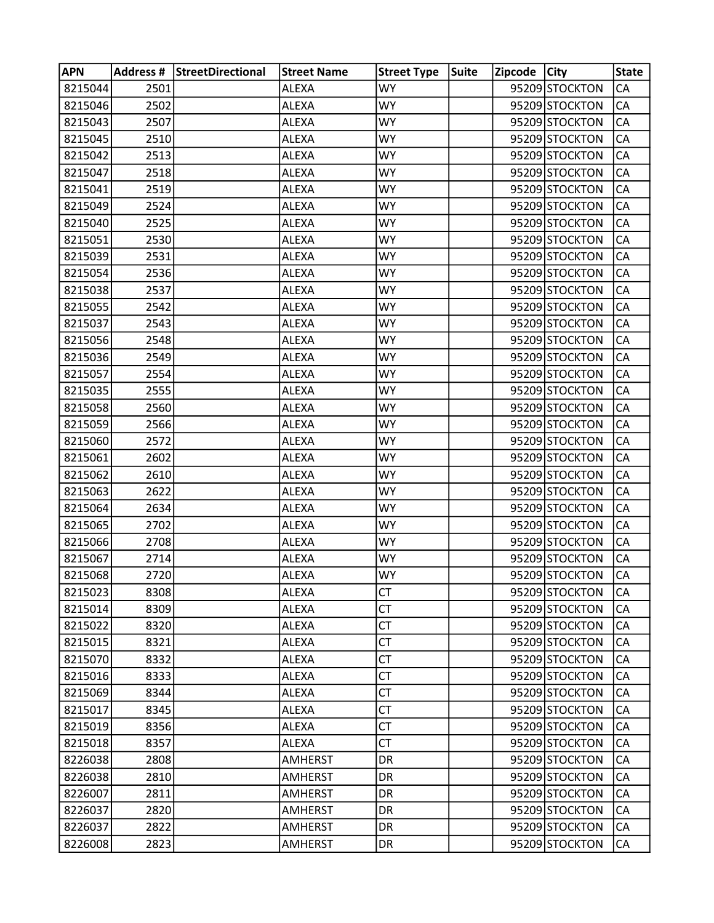| <b>APN</b> |      | Address # StreetDirectional | <b>Street Name</b> | <b>Street Type</b> | <b>Suite</b> | Zipcode City |                | <b>State</b> |
|------------|------|-----------------------------|--------------------|--------------------|--------------|--------------|----------------|--------------|
| 8215044    | 2501 |                             | ALEXA              | <b>WY</b>          |              |              | 95209 STOCKTON | CA           |
| 8215046    | 2502 |                             | ALEXA              | <b>WY</b>          |              |              | 95209 STOCKTON | CA           |
| 8215043    | 2507 |                             | ALEXA              | <b>WY</b>          |              |              | 95209 STOCKTON | CA           |
| 8215045    | 2510 |                             | <b>ALEXA</b>       | <b>WY</b>          |              |              | 95209 STOCKTON | CA           |
| 8215042    | 2513 |                             | ALEXA              | <b>WY</b>          |              |              | 95209 STOCKTON | CA           |
| 8215047    | 2518 |                             | ALEXA              | WY.                |              |              | 95209 STOCKTON | CA           |
| 8215041    | 2519 |                             | ALEXA              | <b>WY</b>          |              |              | 95209 STOCKTON | CA           |
| 8215049    | 2524 |                             | ALEXA              | WY.                |              |              | 95209 STOCKTON | CA           |
| 8215040    | 2525 |                             | <b>ALEXA</b>       | <b>WY</b>          |              |              | 95209 STOCKTON | CA           |
| 8215051    | 2530 |                             | ALEXA              | <b>WY</b>          |              |              | 95209 STOCKTON | CA           |
| 8215039    | 2531 |                             | ALEXA              | WY.                |              |              | 95209 STOCKTON | CA           |
| 8215054    | 2536 |                             | ALEXA              | <b>WY</b>          |              |              | 95209 STOCKTON | CA           |
| 8215038    | 2537 |                             | ALEXA              | <b>WY</b>          |              |              | 95209 STOCKTON | CA           |
| 8215055    | 2542 |                             | ALEXA              | <b>WY</b>          |              |              | 95209 STOCKTON | CA           |
| 8215037    | 2543 |                             | ALEXA              | <b>WY</b>          |              |              | 95209 STOCKTON | CA           |
| 8215056    | 2548 |                             | ALEXA              | WY.                |              |              | 95209 STOCKTON | CA           |
| 8215036    | 2549 |                             | ALEXA              | <b>WY</b>          |              |              | 95209 STOCKTON | CA           |
| 8215057    | 2554 |                             | ALEXA              | <b>WY</b>          |              |              | 95209 STOCKTON | CA           |
| 8215035    | 2555 |                             | ALEXA              | <b>WY</b>          |              |              | 95209 STOCKTON | CA           |
| 8215058    | 2560 |                             | <b>ALEXA</b>       | <b>WY</b>          |              |              | 95209 STOCKTON | CA           |
| 8215059    | 2566 |                             | <b>ALEXA</b>       | WY.                |              |              | 95209 STOCKTON | CA           |
| 8215060    | 2572 |                             | <b>ALEXA</b>       | <b>WY</b>          |              |              | 95209 STOCKTON | CA           |
| 8215061    | 2602 |                             | ALEXA              | WY.                |              |              | 95209 STOCKTON | CA           |
| 8215062    | 2610 |                             | ALEXA              | <b>WY</b>          |              |              | 95209 STOCKTON | CA           |
| 8215063    | 2622 |                             | ALEXA              | <b>WY</b>          |              |              | 95209 STOCKTON | CA           |
| 8215064    | 2634 |                             | <b>ALEXA</b>       | WY.                |              |              | 95209 STOCKTON | CA           |
| 8215065    | 2702 |                             | ALEXA              | <b>WY</b>          |              |              | 95209 STOCKTON | CA           |
| 8215066    | 2708 |                             | ALEXA              | <b>WY</b>          |              |              | 95209 STOCKTON | CA           |
| 8215067    | 2714 |                             | ALEXA              | <b>WY</b>          |              |              | 95209 STOCKTON | CA           |
| 8215068    | 2720 |                             | <b>ALEXA</b>       | <b>WY</b>          |              |              | 95209 STOCKTON | CA           |
| 8215023    | 8308 |                             | <b>ALEXA</b>       | <b>CT</b>          |              |              | 95209 STOCKTON | <b>CA</b>    |
| 8215014    | 8309 |                             | ALEXA              | <b>CT</b>          |              |              | 95209 STOCKTON | CA           |
| 8215022    | 8320 |                             | ALEXA              | <b>CT</b>          |              |              | 95209 STOCKTON | CA           |
| 8215015    | 8321 |                             | ALEXA              | <b>CT</b>          |              |              | 95209 STOCKTON | CA           |
| 8215070    | 8332 |                             | ALEXA              | <b>CT</b>          |              |              | 95209 STOCKTON | CA           |
| 8215016    | 8333 |                             | <b>ALEXA</b>       | <b>CT</b>          |              |              | 95209 STOCKTON | CA           |
| 8215069    | 8344 |                             | ALEXA              | <b>CT</b>          |              |              | 95209 STOCKTON | CA           |
| 8215017    | 8345 |                             | ALEXA              | <b>CT</b>          |              |              | 95209 STOCKTON | CA           |
| 8215019    | 8356 |                             | ALEXA              | <b>CT</b>          |              |              | 95209 STOCKTON | CA           |
| 8215018    | 8357 |                             | ALEXA              | <b>CT</b>          |              |              | 95209 STOCKTON | CA           |
| 8226038    | 2808 |                             | <b>AMHERST</b>     | DR                 |              |              | 95209 STOCKTON | CA           |
| 8226038    | 2810 |                             | <b>AMHERST</b>     | DR                 |              |              | 95209 STOCKTON | CA           |
| 8226007    | 2811 |                             | AMHERST            | DR.                |              |              | 95209 STOCKTON | CA           |
| 8226037    | 2820 |                             | <b>AMHERST</b>     | <b>DR</b>          |              |              | 95209 STOCKTON | CA           |
| 8226037    | 2822 |                             | <b>AMHERST</b>     | DR                 |              |              | 95209 STOCKTON | CA           |
| 8226008    | 2823 |                             | <b>AMHERST</b>     | DR                 |              |              | 95209 STOCKTON | CA           |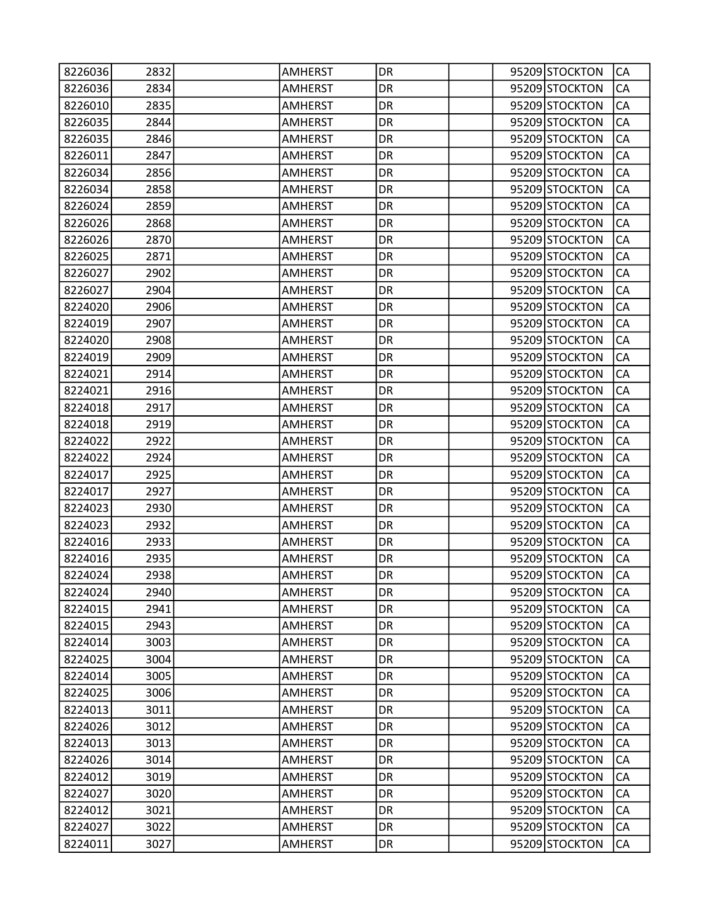| 8226036 | 2832 | <b>AMHERST</b> | DR        |  | 95209 STOCKTON | CA         |
|---------|------|----------------|-----------|--|----------------|------------|
| 8226036 | 2834 | <b>AMHERST</b> | DR        |  | 95209 STOCKTON | CA         |
| 8226010 | 2835 | <b>AMHERST</b> | DR        |  | 95209 STOCKTON | CA         |
| 8226035 | 2844 | <b>AMHERST</b> | DR        |  | 95209 STOCKTON | CA         |
| 8226035 | 2846 | <b>AMHERST</b> | DR        |  | 95209 STOCKTON | CA         |
| 8226011 | 2847 | AMHERST        | DR        |  | 95209 STOCKTON | CA         |
| 8226034 | 2856 | <b>AMHERST</b> | DR        |  | 95209 STOCKTON | CA         |
| 8226034 | 2858 | <b>AMHERST</b> | DR        |  | 95209 STOCKTON | CA         |
| 8226024 | 2859 | <b>AMHERST</b> | DR        |  | 95209 STOCKTON | CA         |
| 8226026 | 2868 | <b>AMHERST</b> | DR        |  | 95209 STOCKTON | CA         |
| 8226026 | 2870 | <b>AMHERST</b> | DR        |  | 95209 STOCKTON | CA         |
| 8226025 | 2871 | <b>AMHERST</b> | DR        |  | 95209 STOCKTON | CA         |
| 8226027 | 2902 | <b>AMHERST</b> | DR        |  | 95209 STOCKTON | CA         |
| 8226027 | 2904 | <b>AMHERST</b> | DR        |  | 95209 STOCKTON | CA         |
| 8224020 | 2906 | <b>AMHERST</b> | DR        |  | 95209 STOCKTON | CA         |
| 8224019 | 2907 | <b>AMHERST</b> | DR        |  | 95209 STOCKTON | CA         |
| 8224020 | 2908 | <b>AMHERST</b> | DR        |  | 95209 STOCKTON | CA         |
| 8224019 | 2909 | <b>AMHERST</b> | DR        |  | 95209 STOCKTON | CA         |
| 8224021 | 2914 | <b>AMHERST</b> | DR        |  | 95209 STOCKTON | CA         |
| 8224021 | 2916 | <b>AMHERST</b> | DR        |  | 95209 STOCKTON | CA         |
| 8224018 | 2917 | <b>AMHERST</b> | DR        |  | 95209 STOCKTON | CA         |
| 8224018 | 2919 | <b>AMHERST</b> | DR        |  | 95209 STOCKTON | CA         |
| 8224022 | 2922 | <b>AMHERST</b> | DR        |  | 95209 STOCKTON | CA         |
| 8224022 | 2924 | <b>AMHERST</b> | DR        |  | 95209 STOCKTON | CA         |
| 8224017 | 2925 | <b>AMHERST</b> | DR        |  | 95209 STOCKTON | CA         |
| 8224017 | 2927 | <b>AMHERST</b> | DR        |  | 95209 STOCKTON | CA         |
| 8224023 | 2930 | <b>AMHERST</b> | DR        |  | 95209 STOCKTON | CA         |
| 8224023 | 2932 | <b>AMHERST</b> | DR        |  | 95209 STOCKTON | CA         |
| 8224016 | 2933 | <b>AMHERST</b> | DR        |  | 95209 STOCKTON | CA         |
| 8224016 | 2935 | <b>AMHERST</b> | DR        |  | 95209 STOCKTON | CA         |
| 8224024 | 2938 | <b>AMHERST</b> | DR        |  | 95209 STOCKTON | CA         |
| 8224024 | 2940 | <b>AMHERST</b> | DR        |  | 95209 STOCKTON | <b>CA</b>  |
| 8224015 | 2941 | <b>AMHERST</b> | DR        |  | 95209 STOCKTON | CA         |
| 8224015 | 2943 | <b>AMHERST</b> | DR        |  | 95209 STOCKTON | CA         |
| 8224014 | 3003 | <b>AMHERST</b> | <b>DR</b> |  | 95209 STOCKTON | CA         |
| 8224025 | 3004 | <b>AMHERST</b> | DR        |  | 95209 STOCKTON | CA         |
| 8224014 | 3005 | <b>AMHERST</b> | DR        |  | 95209 STOCKTON | CA         |
| 8224025 | 3006 | <b>AMHERST</b> | DR        |  | 95209 STOCKTON | CA         |
| 8224013 | 3011 | <b>AMHERST</b> | DR        |  | 95209 STOCKTON | CA         |
| 8224026 | 3012 | <b>AMHERST</b> | <b>DR</b> |  | 95209 STOCKTON | ${\sf CA}$ |
| 8224013 | 3013 | <b>AMHERST</b> | DR        |  | 95209 STOCKTON | CA         |
| 8224026 | 3014 | <b>AMHERST</b> | DR        |  | 95209 STOCKTON | CA         |
| 8224012 | 3019 | <b>AMHERST</b> | DR        |  | 95209 STOCKTON | CA         |
| 8224027 | 3020 | <b>AMHERST</b> | DR.       |  | 95209 STOCKTON | CA         |
| 8224012 | 3021 | <b>AMHERST</b> | <b>DR</b> |  | 95209 STOCKTON | CA         |
| 8224027 | 3022 | <b>AMHERST</b> | DR        |  | 95209 STOCKTON | CA         |
| 8224011 | 3027 | <b>AMHERST</b> | DR        |  | 95209 STOCKTON | CA         |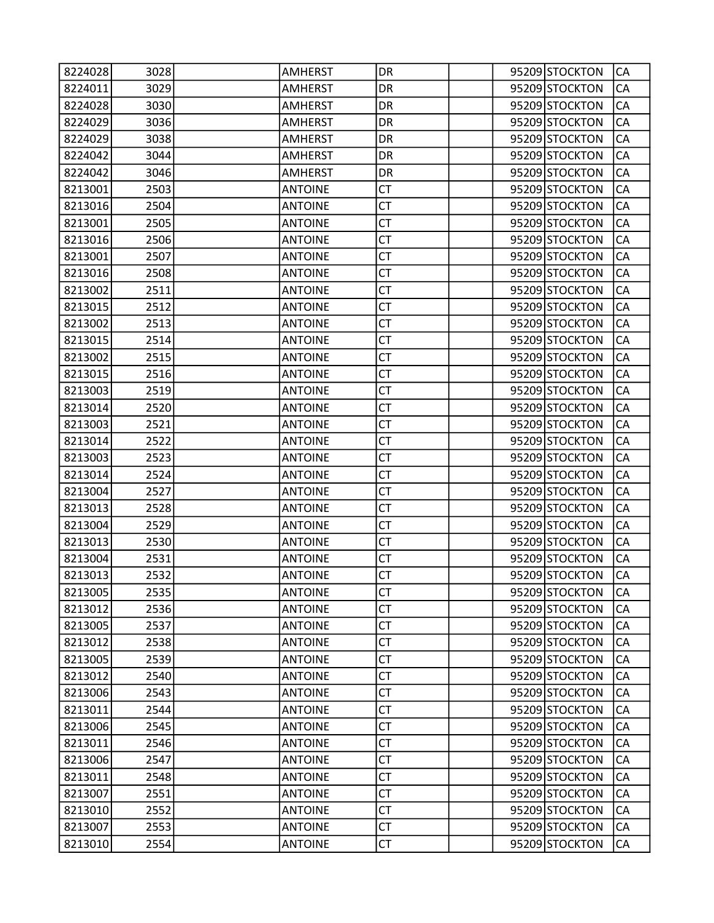| 8224028 | 3028 | <b>AMHERST</b> | DR        |  | 95209 STOCKTON | CA        |
|---------|------|----------------|-----------|--|----------------|-----------|
| 8224011 | 3029 | <b>AMHERST</b> | DR        |  | 95209 STOCKTON | CA        |
| 8224028 | 3030 | <b>AMHERST</b> | DR        |  | 95209 STOCKTON | CA        |
| 8224029 | 3036 | AMHERST        | DR        |  | 95209 STOCKTON | CA        |
| 8224029 | 3038 | <b>AMHERST</b> | DR        |  | 95209 STOCKTON | CA        |
| 8224042 | 3044 | <b>AMHERST</b> | DR        |  | 95209 STOCKTON | CA        |
| 8224042 | 3046 | <b>AMHERST</b> | DR        |  | 95209 STOCKTON | CA        |
| 8213001 | 2503 | <b>ANTOINE</b> | <b>CT</b> |  | 95209 STOCKTON | CA        |
| 8213016 | 2504 | <b>ANTOINE</b> | <b>CT</b> |  | 95209 STOCKTON | CA        |
| 8213001 | 2505 | <b>ANTOINE</b> | <b>CT</b> |  | 95209 STOCKTON | CA        |
| 8213016 | 2506 | <b>ANTOINE</b> | CT        |  | 95209 STOCKTON | CA        |
| 8213001 | 2507 | <b>ANTOINE</b> | <b>CT</b> |  | 95209 STOCKTON | CA        |
| 8213016 | 2508 | <b>ANTOINE</b> | <b>CT</b> |  | 95209 STOCKTON | CA        |
| 8213002 | 2511 | <b>ANTOINE</b> | <b>CT</b> |  | 95209 STOCKTON | CA        |
| 8213015 | 2512 | <b>ANTOINE</b> | <b>CT</b> |  | 95209 STOCKTON | CA        |
| 8213002 | 2513 | <b>ANTOINE</b> | CT        |  | 95209 STOCKTON | CA        |
| 8213015 | 2514 | <b>ANTOINE</b> | <b>CT</b> |  | 95209 STOCKTON | CA        |
| 8213002 | 2515 | <b>ANTOINE</b> | <b>CT</b> |  | 95209 STOCKTON | CA        |
| 8213015 | 2516 | <b>ANTOINE</b> | <b>CT</b> |  | 95209 STOCKTON | CA        |
| 8213003 | 2519 | <b>ANTOINE</b> | <b>CT</b> |  | 95209 STOCKTON | CA        |
| 8213014 | 2520 | <b>ANTOINE</b> | CT        |  | 95209 STOCKTON | CA        |
| 8213003 | 2521 | <b>ANTOINE</b> | <b>CT</b> |  | 95209 STOCKTON | CA        |
| 8213014 | 2522 | <b>ANTOINE</b> | <b>CT</b> |  | 95209 STOCKTON | CA        |
| 8213003 | 2523 | <b>ANTOINE</b> | <b>CT</b> |  | 95209 STOCKTON | CA        |
| 8213014 | 2524 | <b>ANTOINE</b> | <b>CT</b> |  | 95209 STOCKTON | CA        |
| 8213004 | 2527 | <b>ANTOINE</b> | CT        |  | 95209 STOCKTON | CA        |
| 8213013 | 2528 | <b>ANTOINE</b> | <b>CT</b> |  | 95209 STOCKTON | CA        |
| 8213004 | 2529 | <b>ANTOINE</b> | CT        |  | 95209 STOCKTON | CA        |
| 8213013 | 2530 | <b>ANTOINE</b> | <b>CT</b> |  | 95209 STOCKTON | CA        |
| 8213004 | 2531 | <b>ANTOINE</b> | <b>CT</b> |  | 95209 STOCKTON | CA        |
| 8213013 | 2532 | <b>ANTOINE</b> | СT        |  | 95209 STOCKTON | CA        |
| 8213005 | 2535 | <b>ANTOINE</b> | <b>CT</b> |  | 95209 STOCKTON | <b>CA</b> |
| 8213012 | 2536 | <b>ANTOINE</b> | <b>CT</b> |  | 95209 STOCKTON | CA        |
| 8213005 | 2537 | <b>ANTOINE</b> | СT        |  | 95209 STOCKTON | CA        |
| 8213012 | 2538 | <b>ANTOINE</b> | <b>CT</b> |  | 95209 STOCKTON | CA        |
| 8213005 | 2539 | <b>ANTOINE</b> | <b>CT</b> |  | 95209 STOCKTON | CA        |
| 8213012 | 2540 | <b>ANTOINE</b> | <b>CT</b> |  | 95209 STOCKTON | CA        |
| 8213006 | 2543 | <b>ANTOINE</b> | <b>CT</b> |  | 95209 STOCKTON | CA        |
| 8213011 | 2544 | <b>ANTOINE</b> | CT        |  | 95209 STOCKTON | CA        |
| 8213006 | 2545 | <b>ANTOINE</b> | <b>CT</b> |  | 95209 STOCKTON | CA        |
| 8213011 | 2546 | <b>ANTOINE</b> | <b>CT</b> |  | 95209 STOCKTON | CA        |
| 8213006 | 2547 | <b>ANTOINE</b> | <b>CT</b> |  | 95209 STOCKTON | CA        |
| 8213011 | 2548 | <b>ANTOINE</b> | <b>CT</b> |  | 95209 STOCKTON | CA        |
| 8213007 | 2551 | <b>ANTOINE</b> | СT        |  | 95209 STOCKTON | CA        |
| 8213010 | 2552 | <b>ANTOINE</b> | <b>CT</b> |  | 95209 STOCKTON | CA        |
| 8213007 | 2553 | <b>ANTOINE</b> | <b>CT</b> |  | 95209 STOCKTON | CA        |
| 8213010 | 2554 | <b>ANTOINE</b> | <b>CT</b> |  | 95209 STOCKTON | CA        |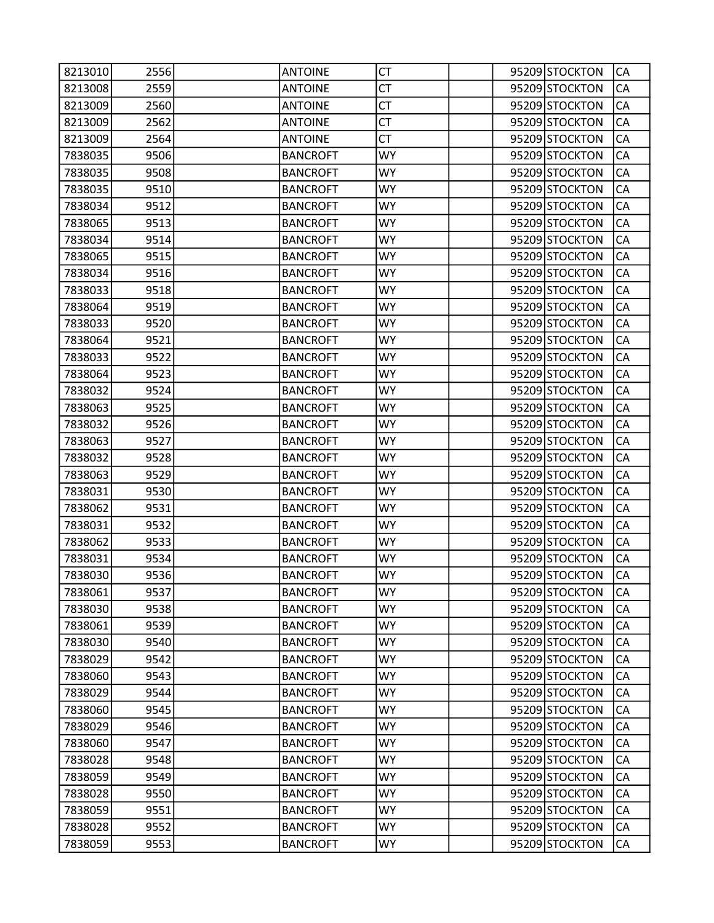| 8213010 | 2556 | <b>ANTOINE</b>  | СT        |  | 95209 STOCKTON | CA        |
|---------|------|-----------------|-----------|--|----------------|-----------|
| 8213008 | 2559 | <b>ANTOINE</b>  | <b>CT</b> |  | 95209 STOCKTON | CA        |
| 8213009 | 2560 | <b>ANTOINE</b>  | <b>CT</b> |  | 95209 STOCKTON | CA        |
| 8213009 | 2562 | <b>ANTOINE</b>  | <b>CT</b> |  | 95209 STOCKTON | CA        |
| 8213009 | 2564 | <b>ANTOINE</b>  | <b>CT</b> |  | 95209 STOCKTON | CA        |
| 7838035 | 9506 | <b>BANCROFT</b> | WY        |  | 95209 STOCKTON | CA        |
| 7838035 | 9508 | <b>BANCROFT</b> | WY        |  | 95209 STOCKTON | CA        |
| 7838035 | 9510 | <b>BANCROFT</b> | <b>WY</b> |  | 95209 STOCKTON | CA        |
| 7838034 | 9512 | <b>BANCROFT</b> | WY        |  | 95209 STOCKTON | CA        |
| 7838065 | 9513 | <b>BANCROFT</b> | <b>WY</b> |  | 95209 STOCKTON | CA        |
| 7838034 | 9514 | <b>BANCROFT</b> | <b>WY</b> |  | 95209 STOCKTON | CA        |
| 7838065 | 9515 | <b>BANCROFT</b> | <b>WY</b> |  | 95209 STOCKTON | CA        |
| 7838034 | 9516 | <b>BANCROFT</b> | <b>WY</b> |  | 95209 STOCKTON | CA        |
| 7838033 | 9518 | <b>BANCROFT</b> | WY        |  | 95209 STOCKTON | CA        |
| 7838064 | 9519 | <b>BANCROFT</b> | <b>WY</b> |  | 95209 STOCKTON | CA        |
| 7838033 | 9520 | <b>BANCROFT</b> | <b>WY</b> |  | 95209 STOCKTON | CA        |
| 7838064 | 9521 | <b>BANCROFT</b> | WY        |  | 95209 STOCKTON | CA        |
| 7838033 | 9522 | <b>BANCROFT</b> | <b>WY</b> |  | 95209 STOCKTON | CA        |
| 7838064 | 9523 | <b>BANCROFT</b> | WY        |  | 95209 STOCKTON | CA        |
| 7838032 | 9524 | <b>BANCROFT</b> | <b>WY</b> |  | 95209 STOCKTON | CA        |
| 7838063 | 9525 | <b>BANCROFT</b> | <b>WY</b> |  | 95209 STOCKTON | CA        |
| 7838032 | 9526 | <b>BANCROFT</b> | WY.       |  | 95209 STOCKTON | CA        |
| 7838063 | 9527 | <b>BANCROFT</b> | <b>WY</b> |  | 95209 STOCKTON | CA        |
| 7838032 | 9528 | <b>BANCROFT</b> | <b>WY</b> |  | 95209 STOCKTON | CA        |
| 7838063 | 9529 | <b>BANCROFT</b> | <b>WY</b> |  | 95209 STOCKTON | CA        |
| 7838031 | 9530 | <b>BANCROFT</b> | WY        |  | 95209 STOCKTON | CA        |
| 7838062 | 9531 | <b>BANCROFT</b> | <b>WY</b> |  | 95209 STOCKTON | CA        |
| 7838031 | 9532 | <b>BANCROFT</b> | <b>WY</b> |  | 95209 STOCKTON | CA        |
| 7838062 | 9533 | <b>BANCROFT</b> | WY        |  | 95209 STOCKTON | CA        |
| 7838031 | 9534 | <b>BANCROFT</b> | <b>WY</b> |  | 95209 STOCKTON | CA        |
| 7838030 | 9536 | <b>BANCROFT</b> | WY        |  | 95209 STOCKTON | CA        |
| 7838061 | 9537 | <b>BANCROFT</b> | <b>WY</b> |  | 95209 STOCKTON | <b>CA</b> |
| 7838030 | 9538 | <b>BANCROFT</b> | <b>WY</b> |  | 95209 STOCKTON | CA        |
| 7838061 | 9539 | <b>BANCROFT</b> | WY        |  | 95209 STOCKTON | CA        |
| 7838030 | 9540 | <b>BANCROFT</b> | <b>WY</b> |  | 95209 STOCKTON | CA        |
| 7838029 | 9542 | <b>BANCROFT</b> | <b>WY</b> |  | 95209 STOCKTON | CA        |
| 7838060 | 9543 | <b>BANCROFT</b> | <b>WY</b> |  | 95209 STOCKTON | CA        |
| 7838029 | 9544 | <b>BANCROFT</b> | <b>WY</b> |  | 95209 STOCKTON | CA        |
| 7838060 | 9545 | <b>BANCROFT</b> | WY.       |  | 95209 STOCKTON | CA        |
| 7838029 | 9546 | <b>BANCROFT</b> | <b>WY</b> |  | 95209 STOCKTON | CA        |
| 7838060 | 9547 | <b>BANCROFT</b> | <b>WY</b> |  | 95209 STOCKTON | CA        |
| 7838028 | 9548 | <b>BANCROFT</b> | <b>WY</b> |  | 95209 STOCKTON | CA        |
| 7838059 | 9549 | <b>BANCROFT</b> | <b>WY</b> |  | 95209 STOCKTON | CA        |
| 7838028 | 9550 | <b>BANCROFT</b> | WY        |  | 95209 STOCKTON | CA        |
| 7838059 | 9551 | <b>BANCROFT</b> | <b>WY</b> |  | 95209 STOCKTON | CA        |
| 7838028 | 9552 | <b>BANCROFT</b> | <b>WY</b> |  | 95209 STOCKTON | СA        |
| 7838059 | 9553 | <b>BANCROFT</b> | <b>WY</b> |  | 95209 STOCKTON | CA        |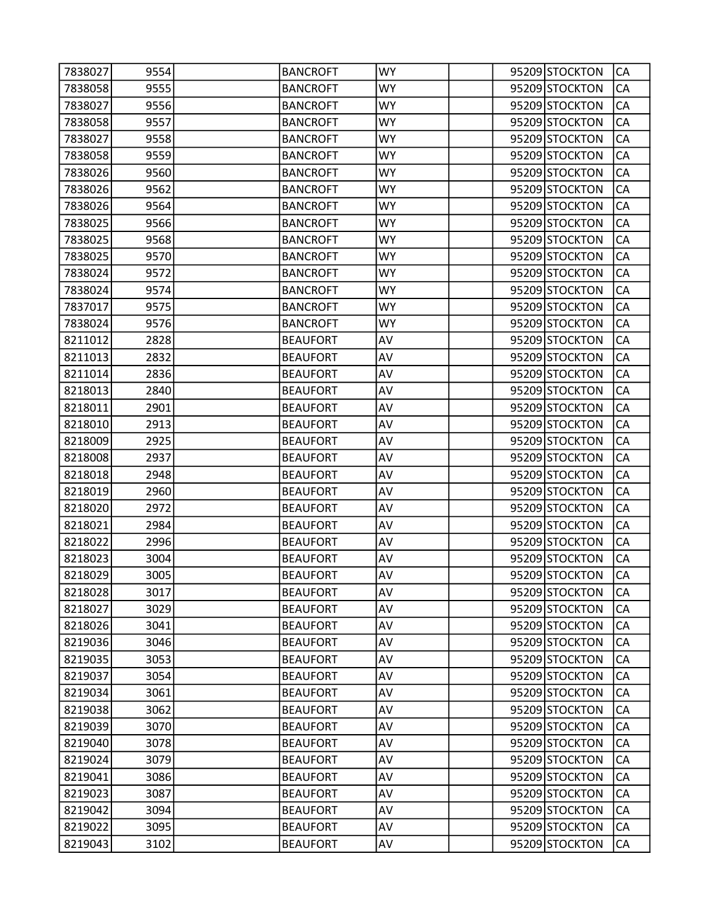| 7838027 | 9554 | <b>BANCROFT</b> | <b>WY</b> |  | 95209 STOCKTON | CA        |
|---------|------|-----------------|-----------|--|----------------|-----------|
| 7838058 | 9555 | <b>BANCROFT</b> | WY.       |  | 95209 STOCKTON | CA        |
| 7838027 | 9556 | <b>BANCROFT</b> | <b>WY</b> |  | 95209 STOCKTON | CA        |
| 7838058 | 9557 | <b>BANCROFT</b> | <b>WY</b> |  | 95209 STOCKTON | CA        |
| 7838027 | 9558 | <b>BANCROFT</b> | <b>WY</b> |  | 95209 STOCKTON | CA        |
| 7838058 | 9559 | <b>BANCROFT</b> | WY        |  | 95209 STOCKTON | CA        |
| 7838026 | 9560 | <b>BANCROFT</b> | <b>WY</b> |  | 95209 STOCKTON | CA        |
| 7838026 | 9562 | <b>BANCROFT</b> | <b>WY</b> |  | 95209 STOCKTON | CA        |
| 7838026 | 9564 | <b>BANCROFT</b> | <b>WY</b> |  | 95209 STOCKTON | CA        |
| 7838025 | 9566 | <b>BANCROFT</b> | <b>WY</b> |  | 95209 STOCKTON | CA        |
| 7838025 | 9568 | <b>BANCROFT</b> | <b>WY</b> |  | 95209 STOCKTON | CA        |
| 7838025 | 9570 | <b>BANCROFT</b> | <b>WY</b> |  | 95209 STOCKTON | CA        |
| 7838024 | 9572 | <b>BANCROFT</b> | <b>WY</b> |  | 95209 STOCKTON | CA        |
| 7838024 | 9574 | <b>BANCROFT</b> | <b>WY</b> |  | 95209 STOCKTON | CA        |
| 7837017 | 9575 | <b>BANCROFT</b> | <b>WY</b> |  | 95209 STOCKTON | CA        |
| 7838024 | 9576 | <b>BANCROFT</b> | <b>WY</b> |  | 95209 STOCKTON | CA        |
| 8211012 | 2828 | <b>BEAUFORT</b> | AV        |  | 95209 STOCKTON | CA        |
| 8211013 | 2832 | <b>BEAUFORT</b> | AV        |  | 95209 STOCKTON | CA        |
| 8211014 | 2836 | <b>BEAUFORT</b> | AV        |  | 95209 STOCKTON | CA        |
| 8218013 | 2840 | <b>BEAUFORT</b> | AV        |  | 95209 STOCKTON | CA        |
| 8218011 | 2901 | <b>BEAUFORT</b> | AV        |  | 95209 STOCKTON | CA        |
| 8218010 | 2913 | <b>BEAUFORT</b> | AV        |  | 95209 STOCKTON | CA        |
| 8218009 | 2925 | <b>BEAUFORT</b> | AV        |  | 95209 STOCKTON | CA        |
| 8218008 | 2937 | <b>BEAUFORT</b> | AV        |  | 95209 STOCKTON | CA        |
| 8218018 | 2948 | <b>BEAUFORT</b> | AV        |  | 95209 STOCKTON | CA        |
| 8218019 | 2960 | <b>BEAUFORT</b> | AV        |  | 95209 STOCKTON | CA        |
| 8218020 | 2972 | <b>BEAUFORT</b> | AV        |  | 95209 STOCKTON | CA        |
| 8218021 | 2984 | <b>BEAUFORT</b> | AV        |  | 95209 STOCKTON | CA        |
| 8218022 | 2996 | <b>BEAUFORT</b> | AV        |  | 95209 STOCKTON | CA        |
| 8218023 | 3004 | <b>BEAUFORT</b> | AV        |  | 95209 STOCKTON | CA        |
| 8218029 | 3005 | <b>BEAUFORT</b> | AV        |  | 95209 STOCKTON | CA        |
| 8218028 | 3017 | <b>BEAUFORT</b> | AV        |  | 95209 STOCKTON | <b>CA</b> |
| 8218027 | 3029 | <b>BEAUFORT</b> | AV        |  | 95209 STOCKTON | CA        |
| 8218026 | 3041 | <b>BEAUFORT</b> | AV        |  | 95209 STOCKTON | CA        |
| 8219036 | 3046 | <b>BEAUFORT</b> | AV        |  | 95209 STOCKTON | CA        |
| 8219035 | 3053 | <b>BEAUFORT</b> | AV        |  | 95209 STOCKTON | CA        |
| 8219037 | 3054 | <b>BEAUFORT</b> | AV        |  | 95209 STOCKTON | CA        |
| 8219034 | 3061 | <b>BEAUFORT</b> | AV        |  | 95209 STOCKTON | CA        |
| 8219038 | 3062 | <b>BEAUFORT</b> | AV        |  | 95209 STOCKTON | CA        |
| 8219039 | 3070 | <b>BEAUFORT</b> | AV        |  | 95209 STOCKTON | CA        |
| 8219040 | 3078 | <b>BEAUFORT</b> | AV        |  | 95209 STOCKTON | CA        |
| 8219024 | 3079 | <b>BEAUFORT</b> | AV        |  | 95209 STOCKTON | CA        |
| 8219041 | 3086 | <b>BEAUFORT</b> | AV        |  | 95209 STOCKTON | CA        |
| 8219023 | 3087 | <b>BEAUFORT</b> | AV        |  | 95209 STOCKTON | CA        |
| 8219042 | 3094 | <b>BEAUFORT</b> | AV        |  | 95209 STOCKTON | CA        |
| 8219022 | 3095 | <b>BEAUFORT</b> | AV        |  | 95209 STOCKTON | CA        |
| 8219043 | 3102 | <b>BEAUFORT</b> | AV        |  | 95209 STOCKTON | CA        |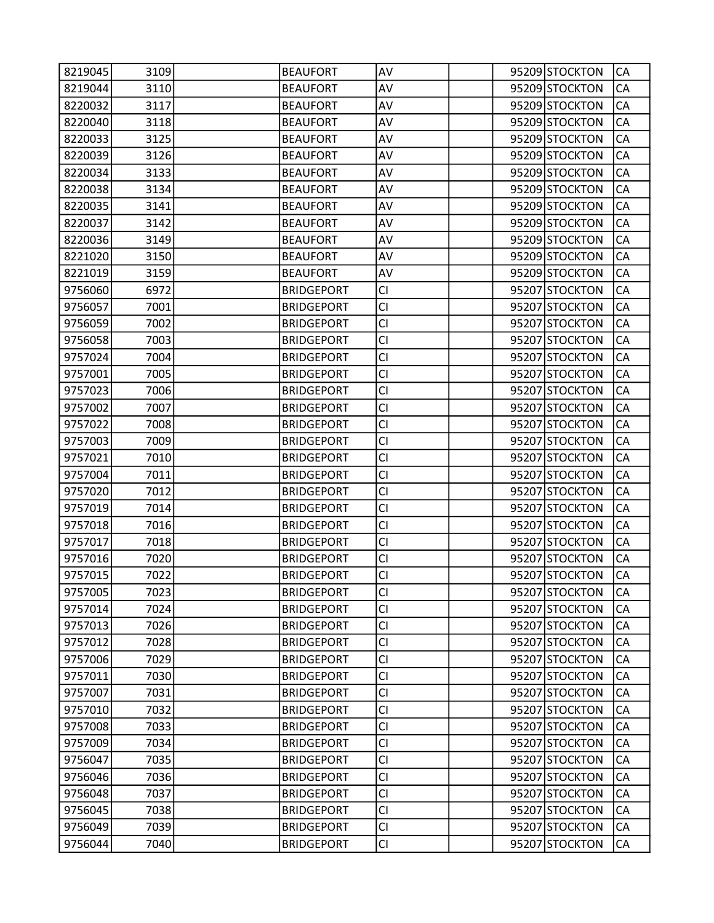| 8219045 | 3109 | <b>BEAUFORT</b>   | AV        |  | 95209 STOCKTON | CA        |
|---------|------|-------------------|-----------|--|----------------|-----------|
| 8219044 | 3110 | <b>BEAUFORT</b>   | AV        |  | 95209 STOCKTON | CA        |
| 8220032 | 3117 | <b>BEAUFORT</b>   | AV        |  | 95209 STOCKTON | CA        |
| 8220040 | 3118 | <b>BEAUFORT</b>   | AV        |  | 95209 STOCKTON | CA        |
| 8220033 | 3125 | <b>BEAUFORT</b>   | AV        |  | 95209 STOCKTON | CA        |
| 8220039 | 3126 | <b>BEAUFORT</b>   | AV        |  | 95209 STOCKTON | CA        |
| 8220034 | 3133 | <b>BEAUFORT</b>   | AV        |  | 95209 STOCKTON | CA        |
| 8220038 | 3134 | <b>BEAUFORT</b>   | AV        |  | 95209 STOCKTON | CA        |
| 8220035 | 3141 | <b>BEAUFORT</b>   | AV        |  | 95209 STOCKTON | CA        |
| 8220037 | 3142 | <b>BEAUFORT</b>   | AV        |  | 95209 STOCKTON | CA        |
| 8220036 | 3149 | <b>BEAUFORT</b>   | AV        |  | 95209 STOCKTON | CA        |
| 8221020 | 3150 | <b>BEAUFORT</b>   | AV        |  | 95209 STOCKTON | CA        |
| 8221019 | 3159 | <b>BEAUFORT</b>   | AV        |  | 95209 STOCKTON | CA        |
| 9756060 | 6972 | <b>BRIDGEPORT</b> | <b>CI</b> |  | 95207 STOCKTON | CA        |
| 9756057 | 7001 | <b>BRIDGEPORT</b> | <b>CI</b> |  | 95207 STOCKTON | CA        |
| 9756059 | 7002 | <b>BRIDGEPORT</b> | <b>CI</b> |  | 95207 STOCKTON | CA        |
| 9756058 | 7003 | <b>BRIDGEPORT</b> | <b>CI</b> |  | 95207 STOCKTON | CA        |
| 9757024 | 7004 | <b>BRIDGEPORT</b> | <b>CI</b> |  | 95207 STOCKTON | CA        |
| 9757001 | 7005 | <b>BRIDGEPORT</b> | CI        |  | 95207 STOCKTON | CA        |
| 9757023 | 7006 | <b>BRIDGEPORT</b> | <b>CI</b> |  | 95207 STOCKTON | CA        |
| 9757002 | 7007 | <b>BRIDGEPORT</b> | <b>CI</b> |  | 95207 STOCKTON | CA        |
| 9757022 | 7008 | <b>BRIDGEPORT</b> | <b>CI</b> |  | 95207 STOCKTON | CA        |
| 9757003 | 7009 | <b>BRIDGEPORT</b> | <b>CI</b> |  | 95207 STOCKTON | CA        |
| 9757021 | 7010 | <b>BRIDGEPORT</b> | <b>CI</b> |  | 95207 STOCKTON | CA        |
| 9757004 | 7011 | <b>BRIDGEPORT</b> | <b>CI</b> |  | 95207 STOCKTON | CA        |
| 9757020 | 7012 | <b>BRIDGEPORT</b> | <b>CI</b> |  | 95207 STOCKTON | CA        |
| 9757019 | 7014 | <b>BRIDGEPORT</b> | <b>CI</b> |  | 95207 STOCKTON | CA        |
| 9757018 | 7016 | <b>BRIDGEPORT</b> | <b>CI</b> |  | 95207 STOCKTON | CA        |
| 9757017 | 7018 | <b>BRIDGEPORT</b> | CI        |  | 95207 STOCKTON | CA        |
| 9757016 | 7020 | <b>BRIDGEPORT</b> | <b>CI</b> |  | 95207 STOCKTON | CA        |
| 9757015 | 7022 | <b>BRIDGEPORT</b> | <b>CI</b> |  | 95207 STOCKTON | CA        |
| 9757005 | 7023 | <b>BRIDGEPORT</b> | <b>CI</b> |  | 95207 STOCKTON | <b>CA</b> |
| 9757014 | 7024 | <b>BRIDGEPORT</b> | <b>CI</b> |  | 95207 STOCKTON | CA        |
| 9757013 | 7026 | <b>BRIDGEPORT</b> | <b>CI</b> |  | 95207 STOCKTON | CA        |
| 9757012 | 7028 | <b>BRIDGEPORT</b> | <b>CI</b> |  | 95207 STOCKTON | CA        |
| 9757006 | 7029 | <b>BRIDGEPORT</b> | <b>CI</b> |  | 95207 STOCKTON | CA        |
| 9757011 | 7030 | <b>BRIDGEPORT</b> | <b>CI</b> |  | 95207 STOCKTON | CA        |
| 9757007 | 7031 | <b>BRIDGEPORT</b> | <b>CI</b> |  | 95207 STOCKTON | CA        |
| 9757010 | 7032 | <b>BRIDGEPORT</b> | <b>CI</b> |  | 95207 STOCKTON | CA        |
| 9757008 | 7033 | <b>BRIDGEPORT</b> | <b>CI</b> |  | 95207 STOCKTON | CA        |
| 9757009 | 7034 | <b>BRIDGEPORT</b> | <b>CI</b> |  | 95207 STOCKTON | CA        |
| 9756047 | 7035 | <b>BRIDGEPORT</b> | <b>CI</b> |  | 95207 STOCKTON | CA        |
| 9756046 | 7036 | <b>BRIDGEPORT</b> | <b>CI</b> |  | 95207 STOCKTON | CA        |
| 9756048 | 7037 | <b>BRIDGEPORT</b> | <b>CI</b> |  | 95207 STOCKTON | CA        |
| 9756045 | 7038 | <b>BRIDGEPORT</b> | <b>CI</b> |  | 95207 STOCKTON | CA        |
| 9756049 | 7039 | <b>BRIDGEPORT</b> | <b>CI</b> |  | 95207 STOCKTON | CA        |
| 9756044 | 7040 | <b>BRIDGEPORT</b> | <b>CI</b> |  | 95207 STOCKTON | CA        |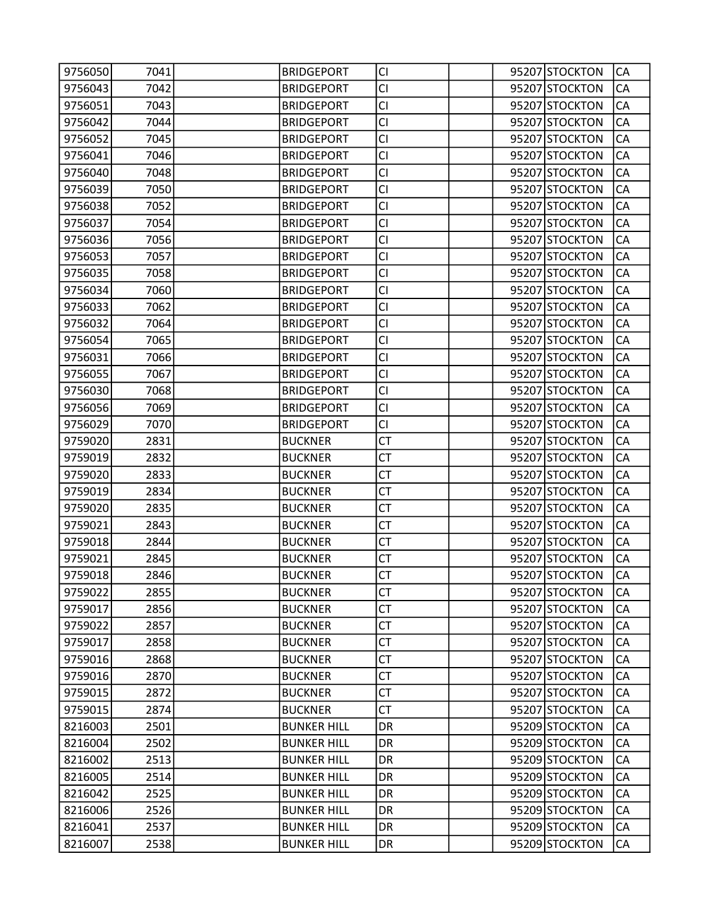| 9756050 | 7041 | <b>BRIDGEPORT</b>  | <b>CI</b> |  | 95207 STOCKTON | CA        |
|---------|------|--------------------|-----------|--|----------------|-----------|
| 9756043 | 7042 | <b>BRIDGEPORT</b>  | CI        |  | 95207 STOCKTON | CA        |
| 9756051 | 7043 | <b>BRIDGEPORT</b>  | <b>CI</b> |  | 95207 STOCKTON | CA        |
| 9756042 | 7044 | <b>BRIDGEPORT</b>  | <b>CI</b> |  | 95207 STOCKTON | CA        |
| 9756052 | 7045 | <b>BRIDGEPORT</b>  | <b>CI</b> |  | 95207 STOCKTON | CA        |
| 9756041 | 7046 | <b>BRIDGEPORT</b>  | <b>CI</b> |  | 95207 STOCKTON | CA        |
| 9756040 | 7048 | <b>BRIDGEPORT</b>  | <b>CI</b> |  | 95207 STOCKTON | CA        |
| 9756039 | 7050 | <b>BRIDGEPORT</b>  | <b>CI</b> |  | 95207 STOCKTON | CA        |
| 9756038 | 7052 | <b>BRIDGEPORT</b>  | <b>CI</b> |  | 95207 STOCKTON | CA        |
| 9756037 | 7054 | <b>BRIDGEPORT</b>  | <b>CI</b> |  | 95207 STOCKTON | CA        |
| 9756036 | 7056 | <b>BRIDGEPORT</b>  | <b>CI</b> |  | 95207 STOCKTON | CA        |
| 9756053 | 7057 | <b>BRIDGEPORT</b>  | <b>CI</b> |  | 95207 STOCKTON | CA        |
| 9756035 | 7058 | <b>BRIDGEPORT</b>  | <b>CI</b> |  | 95207 STOCKTON | CA        |
| 9756034 | 7060 | <b>BRIDGEPORT</b>  | <b>CI</b> |  | 95207 STOCKTON | CA        |
| 9756033 | 7062 | <b>BRIDGEPORT</b>  | <b>CI</b> |  | 95207 STOCKTON | CA        |
| 9756032 | 7064 | <b>BRIDGEPORT</b>  | <b>CI</b> |  | 95207 STOCKTON | CA        |
| 9756054 | 7065 | <b>BRIDGEPORT</b>  | <b>CI</b> |  | 95207 STOCKTON | CA        |
| 9756031 | 7066 | <b>BRIDGEPORT</b>  | <b>CI</b> |  | 95207 STOCKTON | CA        |
| 9756055 | 7067 | <b>BRIDGEPORT</b>  | <b>CI</b> |  | 95207 STOCKTON | CA        |
| 9756030 | 7068 | <b>BRIDGEPORT</b>  | <b>CI</b> |  | 95207 STOCKTON | CA        |
| 9756056 | 7069 | <b>BRIDGEPORT</b>  | <b>CI</b> |  | 95207 STOCKTON | CA        |
| 9756029 | 7070 | <b>BRIDGEPORT</b>  | <b>CI</b> |  | 95207 STOCKTON | CA        |
| 9759020 | 2831 | <b>BUCKNER</b>     | <b>CT</b> |  | 95207 STOCKTON | CA        |
| 9759019 | 2832 | <b>BUCKNER</b>     | <b>CT</b> |  | 95207 STOCKTON | CA        |
| 9759020 | 2833 | <b>BUCKNER</b>     | <b>CT</b> |  | 95207 STOCKTON | CA        |
| 9759019 | 2834 | <b>BUCKNER</b>     | СT        |  | 95207 STOCKTON | CA        |
| 9759020 | 2835 | <b>BUCKNER</b>     | <b>CT</b> |  | 95207 STOCKTON | CA        |
| 9759021 | 2843 | <b>BUCKNER</b>     | <b>CT</b> |  | 95207 STOCKTON | CA        |
| 9759018 | 2844 | <b>BUCKNER</b>     | <b>CT</b> |  | 95207 STOCKTON | CA        |
| 9759021 | 2845 | <b>BUCKNER</b>     | <b>CT</b> |  | 95207 STOCKTON | CA        |
| 9759018 | 2846 | <b>BUCKNER</b>     | СT        |  | 95207 STOCKTON | CA        |
| 9759022 | 2855 | <b>BUCKNER</b>     | <b>CT</b> |  | 95207 STOCKTON | <b>CA</b> |
| 9759017 | 2856 | <b>BUCKNER</b>     | <b>CT</b> |  | 95207 STOCKTON | CA        |
| 9759022 | 2857 | <b>BUCKNER</b>     | <b>CT</b> |  | 95207 STOCKTON | CA        |
| 9759017 | 2858 | <b>BUCKNER</b>     | <b>CT</b> |  | 95207 STOCKTON | CA        |
| 9759016 | 2868 | <b>BUCKNER</b>     | <b>CT</b> |  | 95207 STOCKTON | CA        |
| 9759016 | 2870 | <b>BUCKNER</b>     | <b>CT</b> |  | 95207 STOCKTON | CA        |
| 9759015 | 2872 | <b>BUCKNER</b>     | <b>CT</b> |  | 95207 STOCKTON | CA        |
| 9759015 | 2874 | <b>BUCKNER</b>     | <b>CT</b> |  | 95207 STOCKTON | CA        |
| 8216003 | 2501 | <b>BUNKER HILL</b> | <b>DR</b> |  | 95209 STOCKTON | CA        |
| 8216004 | 2502 | <b>BUNKER HILL</b> | DR        |  | 95209 STOCKTON | CA        |
| 8216002 | 2513 | <b>BUNKER HILL</b> | DR        |  | 95209 STOCKTON | CA        |
| 8216005 | 2514 | <b>BUNKER HILL</b> | DR        |  | 95209 STOCKTON | CA        |
| 8216042 | 2525 | <b>BUNKER HILL</b> | DR        |  | 95209 STOCKTON | CA        |
| 8216006 | 2526 | <b>BUNKER HILL</b> | DR        |  | 95209 STOCKTON | CA        |
| 8216041 | 2537 | <b>BUNKER HILL</b> | DR        |  | 95209 STOCKTON | СA        |
| 8216007 | 2538 | <b>BUNKER HILL</b> | DR        |  | 95209 STOCKTON | CA        |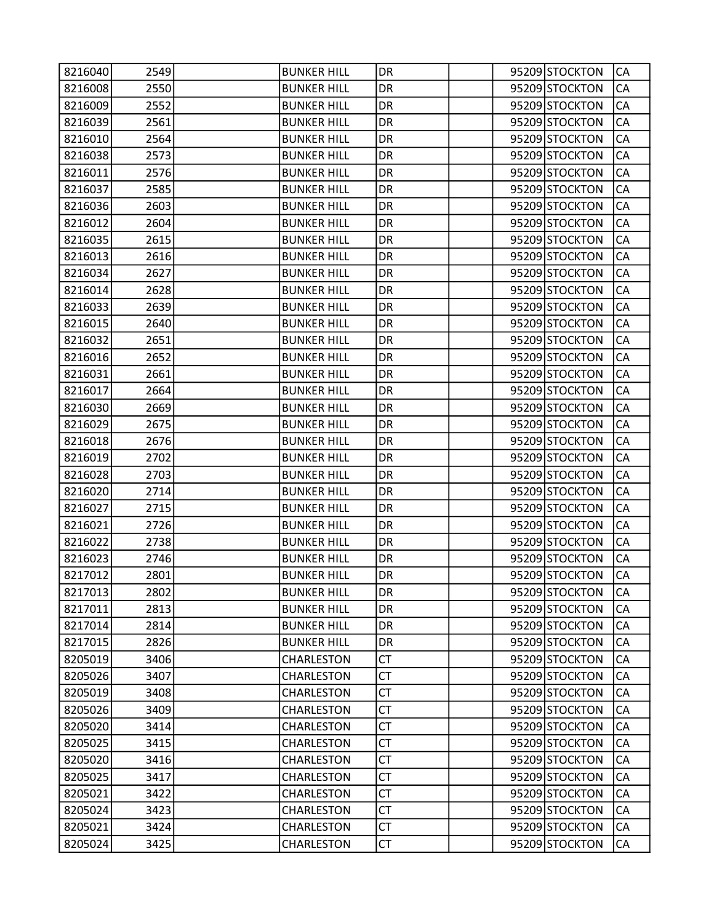| 8216040 | 2549 | <b>BUNKER HILL</b> | DR        |  | 95209 STOCKTON | CA |
|---------|------|--------------------|-----------|--|----------------|----|
| 8216008 | 2550 | <b>BUNKER HILL</b> | DR        |  | 95209 STOCKTON | CA |
| 8216009 | 2552 | <b>BUNKER HILL</b> | DR        |  | 95209 STOCKTON | CA |
| 8216039 | 2561 | <b>BUNKER HILL</b> | DR        |  | 95209 STOCKTON | CA |
| 8216010 | 2564 | <b>BUNKER HILL</b> | DR        |  | 95209 STOCKTON | CA |
| 8216038 | 2573 | <b>BUNKER HILL</b> | DR        |  | 95209 STOCKTON | CA |
| 8216011 | 2576 | <b>BUNKER HILL</b> | DR        |  | 95209 STOCKTON | CA |
| 8216037 | 2585 | <b>BUNKER HILL</b> | DR        |  | 95209 STOCKTON | CA |
| 8216036 | 2603 | <b>BUNKER HILL</b> | DR.       |  | 95209 STOCKTON | CA |
| 8216012 | 2604 | <b>BUNKER HILL</b> | DR        |  | 95209 STOCKTON | CA |
| 8216035 | 2615 | <b>BUNKER HILL</b> | DR        |  | 95209 STOCKTON | CA |
| 8216013 | 2616 | <b>BUNKER HILL</b> | DR        |  | 95209 STOCKTON | CA |
| 8216034 | 2627 | <b>BUNKER HILL</b> | DR        |  | 95209 STOCKTON | CA |
| 8216014 | 2628 | <b>BUNKER HILL</b> | DR        |  | 95209 STOCKTON | CA |
| 8216033 | 2639 | <b>BUNKER HILL</b> | DR        |  | 95209 STOCKTON | CA |
| 8216015 | 2640 | <b>BUNKER HILL</b> | DR        |  | 95209 STOCKTON | CA |
| 8216032 | 2651 | <b>BUNKER HILL</b> | DR        |  | 95209 STOCKTON | CA |
| 8216016 | 2652 | <b>BUNKER HILL</b> | DR        |  | 95209 STOCKTON | CA |
| 8216031 | 2661 | <b>BUNKER HILL</b> | DR        |  | 95209 STOCKTON | CA |
| 8216017 | 2664 | <b>BUNKER HILL</b> | DR        |  | 95209 STOCKTON | CA |
| 8216030 | 2669 | <b>BUNKER HILL</b> | DR        |  | 95209 STOCKTON | CA |
| 8216029 | 2675 | <b>BUNKER HILL</b> | DR        |  | 95209 STOCKTON | CA |
| 8216018 | 2676 | <b>BUNKER HILL</b> | DR        |  | 95209 STOCKTON | CA |
| 8216019 | 2702 | <b>BUNKER HILL</b> | DR.       |  | 95209 STOCKTON | CA |
| 8216028 | 2703 | <b>BUNKER HILL</b> | DR        |  | 95209 STOCKTON | CA |
| 8216020 | 2714 | <b>BUNKER HILL</b> | DR        |  | 95209 STOCKTON | CA |
| 8216027 | 2715 | <b>BUNKER HILL</b> | DR        |  | 95209 STOCKTON | CA |
| 8216021 | 2726 | <b>BUNKER HILL</b> | DR        |  | 95209 STOCKTON | CA |
| 8216022 | 2738 | <b>BUNKER HILL</b> | DR        |  | 95209 STOCKTON | CA |
| 8216023 | 2746 | <b>BUNKER HILL</b> | DR        |  | 95209 STOCKTON | CA |
| 8217012 | 2801 | <b>BUNKER HILL</b> | DR        |  | 95209 STOCKTON | CA |
| 8217013 | 2802 | <b>BUNKER HILL</b> | DR        |  | 95209 STOCKTON | CA |
| 8217011 | 2813 | <b>BUNKER HILL</b> | DR        |  | 95209 STOCKTON | CA |
| 8217014 | 2814 | <b>BUNKER HILL</b> | DR.       |  | 95209 STOCKTON | CA |
| 8217015 | 2826 | <b>BUNKER HILL</b> | <b>DR</b> |  | 95209 STOCKTON | CA |
| 8205019 | 3406 | CHARLESTON         | <b>CT</b> |  | 95209 STOCKTON | CA |
| 8205026 | 3407 | CHARLESTON         | <b>CT</b> |  | 95209 STOCKTON | CA |
| 8205019 | 3408 | CHARLESTON         | <b>CT</b> |  | 95209 STOCKTON | CA |
| 8205026 | 3409 | CHARLESTON         | СT        |  | 95209 STOCKTON | CA |
| 8205020 | 3414 | CHARLESTON         | <b>CT</b> |  | 95209 STOCKTON | CA |
| 8205025 | 3415 | CHARLESTON         | <b>CT</b> |  | 95209 STOCKTON | CA |
| 8205020 | 3416 | CHARLESTON         | <b>CT</b> |  | 95209 STOCKTON | CA |
| 8205025 | 3417 | CHARLESTON         | <b>CT</b> |  | 95209 STOCKTON | CA |
| 8205021 | 3422 | CHARLESTON         | СT        |  | 95209 STOCKTON | CA |
| 8205024 | 3423 | CHARLESTON         | <b>CT</b> |  | 95209 STOCKTON | CA |
| 8205021 | 3424 | CHARLESTON         | <b>CT</b> |  | 95209 STOCKTON | CA |
| 8205024 | 3425 | CHARLESTON         | <b>CT</b> |  | 95209 STOCKTON | СA |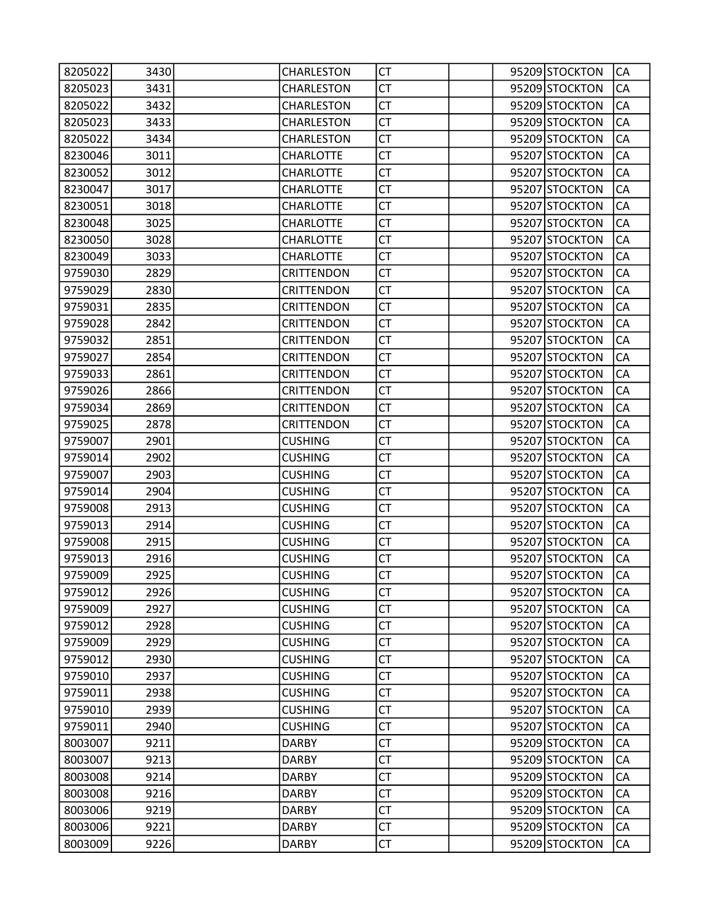| 8205022 | 3430 | CHARLESTON        | CT        |  | 95209 STOCKTON | CA        |
|---------|------|-------------------|-----------|--|----------------|-----------|
| 8205023 | 3431 | CHARLESTON        | <b>CT</b> |  | 95209 STOCKTON | CA        |
| 8205022 | 3432 | CHARLESTON        | <b>CT</b> |  | 95209 STOCKTON | CA        |
| 8205023 | 3433 | CHARLESTON        | <b>CT</b> |  | 95209 STOCKTON | CA        |
| 8205022 | 3434 | <b>CHARLESTON</b> | <b>CT</b> |  | 95209 STOCKTON | CA        |
| 8230046 | 3011 | <b>CHARLOTTE</b>  | СT        |  | 95207 STOCKTON | CA        |
| 8230052 | 3012 | <b>CHARLOTTE</b>  | <b>CT</b> |  | 95207 STOCKTON | CA        |
| 8230047 | 3017 | <b>CHARLOTTE</b>  | <b>CT</b> |  | 95207 STOCKTON | CA        |
| 8230051 | 3018 | <b>CHARLOTTE</b>  | <b>CT</b> |  | 95207 STOCKTON | CA        |
| 8230048 | 3025 | <b>CHARLOTTE</b>  | <b>CT</b> |  | 95207 STOCKTON | CA        |
| 8230050 | 3028 | <b>CHARLOTTE</b>  | СT        |  | 95207 STOCKTON | CA        |
| 8230049 | 3033 | <b>CHARLOTTE</b>  | <b>CT</b> |  | 95207 STOCKTON | CA        |
| 9759030 | 2829 | <b>CRITTENDON</b> | <b>CT</b> |  | 95207 STOCKTON | CA        |
| 9759029 | 2830 | <b>CRITTENDON</b> | <b>CT</b> |  | 95207 STOCKTON | CA        |
| 9759031 | 2835 | <b>CRITTENDON</b> | <b>CT</b> |  | 95207 STOCKTON | CA        |
| 9759028 | 2842 | <b>CRITTENDON</b> | СT        |  | 95207 STOCKTON | CA        |
| 9759032 | 2851 | <b>CRITTENDON</b> | <b>CT</b> |  | 95207 STOCKTON | CA        |
| 9759027 | 2854 | <b>CRITTENDON</b> | <b>CT</b> |  | 95207 STOCKTON | CA        |
| 9759033 | 2861 | <b>CRITTENDON</b> | <b>CT</b> |  | 95207 STOCKTON | CA        |
| 9759026 | 2866 | <b>CRITTENDON</b> | <b>CT</b> |  | 95207 STOCKTON | CA        |
| 9759034 | 2869 | <b>CRITTENDON</b> | СT        |  | 95207 STOCKTON | CA        |
| 9759025 | 2878 | <b>CRITTENDON</b> | <b>CT</b> |  | 95207 STOCKTON | CA        |
| 9759007 | 2901 | <b>CUSHING</b>    | <b>CT</b> |  | 95207 STOCKTON | CA        |
| 9759014 | 2902 | <b>CUSHING</b>    | <b>CT</b> |  | 95207 STOCKTON | CA        |
| 9759007 | 2903 | <b>CUSHING</b>    | <b>CT</b> |  | 95207 STOCKTON | CA        |
| 9759014 | 2904 | <b>CUSHING</b>    | СT        |  | 95207 STOCKTON | CA        |
| 9759008 | 2913 | <b>CUSHING</b>    | <b>CT</b> |  | 95207 STOCKTON | CA        |
| 9759013 | 2914 | <b>CUSHING</b>    | <b>CT</b> |  | 95207 STOCKTON | CA        |
| 9759008 | 2915 | <b>CUSHING</b>    | <b>CT</b> |  | 95207 STOCKTON | CA        |
| 9759013 | 2916 | <b>CUSHING</b>    | <b>CT</b> |  | 95207 STOCKTON | CA        |
| 9759009 | 2925 | <b>CUSHING</b>    | СT        |  | 95207 STOCKTON | CA        |
| 9759012 | 2926 | <b>CUSHING</b>    | <b>CT</b> |  | 95207 STOCKTON | <b>CA</b> |
| 9759009 | 2927 | <b>CUSHING</b>    | <b>CT</b> |  | 95207 STOCKTON | CA        |
| 9759012 | 2928 | <b>CUSHING</b>    | <b>CT</b> |  | 95207 STOCKTON | CA        |
| 9759009 | 2929 | <b>CUSHING</b>    | <b>CT</b> |  | 95207 STOCKTON | CA        |
| 9759012 | 2930 | <b>CUSHING</b>    | CT        |  | 95207 STOCKTON | CA        |
| 9759010 | 2937 | <b>CUSHING</b>    | <b>CT</b> |  | 95207 STOCKTON | CA        |
| 9759011 | 2938 | <b>CUSHING</b>    | <b>CT</b> |  | 95207 STOCKTON | CA        |
| 9759010 | 2939 | <b>CUSHING</b>    | <b>CT</b> |  | 95207 STOCKTON | CA        |
| 9759011 | 2940 | <b>CUSHING</b>    | <b>CT</b> |  | 95207 STOCKTON | CA        |
| 8003007 | 9211 | <b>DARBY</b>      | <b>CT</b> |  | 95209 STOCKTON | CA        |
| 8003007 | 9213 | <b>DARBY</b>      | <b>CT</b> |  | 95209 STOCKTON | CA        |
| 8003008 | 9214 | <b>DARBY</b>      | <b>CT</b> |  | 95209 STOCKTON | CA        |
| 8003008 | 9216 | <b>DARBY</b>      | <b>CT</b> |  | 95209 STOCKTON | CA        |
| 8003006 | 9219 | <b>DARBY</b>      | <b>CT</b> |  | 95209 STOCKTON | CA        |
| 8003006 | 9221 | <b>DARBY</b>      | <b>CT</b> |  | 95209 STOCKTON | CA        |
| 8003009 | 9226 | <b>DARBY</b>      | <b>CT</b> |  | 95209 STOCKTON | CA        |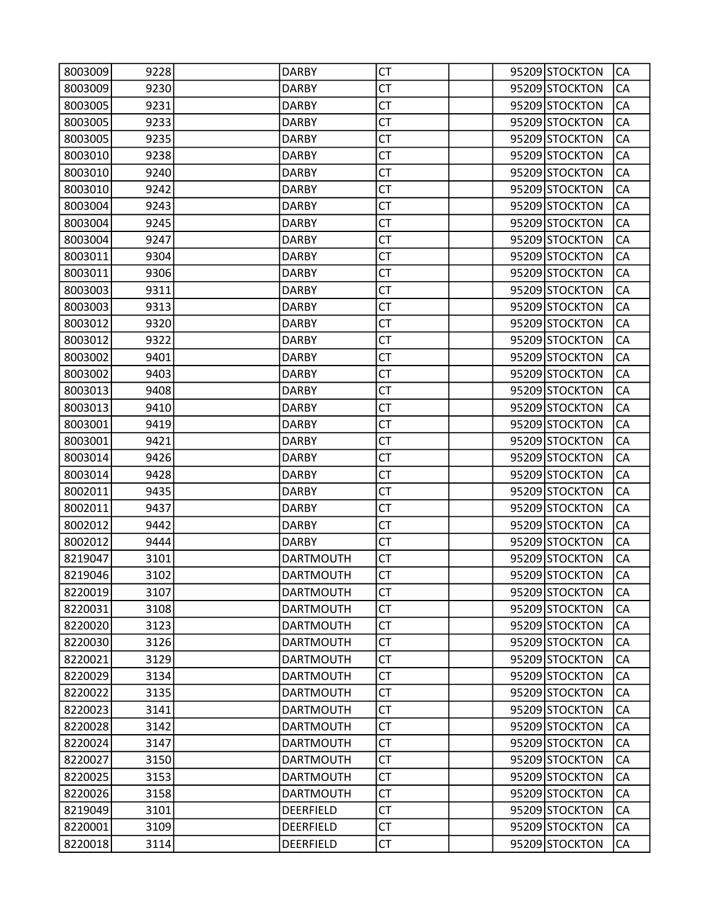| 8003009 | 9228 | <b>DARBY</b>     | СT        |  | 95209 STOCKTON | CA        |
|---------|------|------------------|-----------|--|----------------|-----------|
| 8003009 | 9230 | <b>DARBY</b>     | <b>CT</b> |  | 95209 STOCKTON | СA        |
| 8003005 | 9231 | <b>DARBY</b>     | <b>CT</b> |  | 95209 STOCKTON | CA        |
| 8003005 | 9233 | <b>DARBY</b>     | CT        |  | 95209 STOCKTON | CA        |
| 8003005 | 9235 | <b>DARBY</b>     | <b>CT</b> |  | 95209 STOCKTON | CA        |
| 8003010 | 9238 | <b>DARBY</b>     | СT        |  | 95209 STOCKTON | CA        |
| 8003010 | 9240 | <b>DARBY</b>     | <b>CT</b> |  | 95209 STOCKTON | CA        |
| 8003010 | 9242 | <b>DARBY</b>     | <b>CT</b> |  | 95209 STOCKTON | CA        |
| 8003004 | 9243 | <b>DARBY</b>     | CT        |  | 95209 STOCKTON | CA        |
| 8003004 | 9245 | <b>DARBY</b>     | <b>CT</b> |  | 95209 STOCKTON | CA        |
| 8003004 | 9247 | <b>DARBY</b>     | СT        |  | 95209 STOCKTON | CA        |
| 8003011 | 9304 | <b>DARBY</b>     | <b>CT</b> |  | 95209 STOCKTON | CA        |
| 8003011 | 9306 | <b>DARBY</b>     | <b>CT</b> |  | 95209 STOCKTON | CA        |
| 8003003 | 9311 | <b>DARBY</b>     | CT        |  | 95209 STOCKTON | CA        |
| 8003003 | 9313 | <b>DARBY</b>     | <b>CT</b> |  | 95209 STOCKTON | CA        |
| 8003012 | 9320 | <b>DARBY</b>     | СT        |  | 95209 STOCKTON | CA        |
| 8003012 | 9322 | <b>DARBY</b>     | <b>CT</b> |  | 95209 STOCKTON | CA        |
| 8003002 | 9401 | <b>DARBY</b>     | <b>CT</b> |  | 95209 STOCKTON | CA        |
| 8003002 | 9403 | <b>DARBY</b>     | <b>CT</b> |  | 95209 STOCKTON | CA        |
| 8003013 | 9408 | <b>DARBY</b>     | <b>CT</b> |  | 95209 STOCKTON | CA        |
| 8003013 | 9410 | <b>DARBY</b>     | СT        |  | 95209 STOCKTON | CA        |
| 8003001 | 9419 | <b>DARBY</b>     | <b>CT</b> |  | 95209 STOCKTON | CA        |
| 8003001 | 9421 | <b>DARBY</b>     | <b>CT</b> |  | 95209 STOCKTON | CA        |
| 8003014 | 9426 | <b>DARBY</b>     | СT        |  | 95209 STOCKTON | CA        |
| 8003014 | 9428 | <b>DARBY</b>     | <b>CT</b> |  | 95209 STOCKTON | CA        |
| 8002011 | 9435 | <b>DARBY</b>     | СT        |  | 95209 STOCKTON | CA        |
| 8002011 | 9437 | <b>DARBY</b>     | <b>CT</b> |  | 95209 STOCKTON | CA        |
| 8002012 | 9442 | <b>DARBY</b>     | <b>CT</b> |  | 95209 STOCKTON | CA        |
| 8002012 | 9444 | <b>DARBY</b>     | <b>CT</b> |  | 95209 STOCKTON | CA        |
| 8219047 | 3101 | <b>DARTMOUTH</b> | <b>CT</b> |  | 95209 STOCKTON | CA        |
| 8219046 | 3102 | <b>DARTMOUTH</b> | СT        |  | 95209 STOCKTON | CA        |
| 8220019 | 3107 | <b>DARTMOUTH</b> | <b>CT</b> |  | 95209 STOCKTON | <b>CA</b> |
| 8220031 | 3108 | <b>DARTMOUTH</b> | <b>CT</b> |  | 95209 STOCKTON | CA        |
| 8220020 | 3123 | <b>DARTMOUTH</b> | <b>CT</b> |  | 95209 STOCKTON | CA        |
| 8220030 | 3126 | <b>DARTMOUTH</b> | <b>CT</b> |  | 95209 STOCKTON | CA        |
| 8220021 | 3129 | <b>DARTMOUTH</b> | <b>CT</b> |  | 95209 STOCKTON | CA        |
| 8220029 | 3134 | <b>DARTMOUTH</b> | <b>CT</b> |  | 95209 STOCKTON | CA        |
| 8220022 | 3135 | <b>DARTMOUTH</b> | <b>CT</b> |  | 95209 STOCKTON | CA        |
| 8220023 | 3141 | <b>DARTMOUTH</b> | <b>CT</b> |  | 95209 STOCKTON | CA        |
| 8220028 | 3142 | <b>DARTMOUTH</b> | <b>CT</b> |  | 95209 STOCKTON | CA        |
| 8220024 | 3147 | <b>DARTMOUTH</b> | <b>CT</b> |  | 95209 STOCKTON | CA        |
| 8220027 | 3150 | <b>DARTMOUTH</b> | <b>CT</b> |  | 95209 STOCKTON | CA        |
| 8220025 | 3153 | <b>DARTMOUTH</b> | <b>CT</b> |  | 95209 STOCKTON | CA        |
| 8220026 | 3158 | <b>DARTMOUTH</b> | <b>CT</b> |  | 95209 STOCKTON | CA        |
| 8219049 | 3101 | DEERFIELD        | <b>CT</b> |  | 95209 STOCKTON | CA        |
| 8220001 | 3109 | <b>DEERFIELD</b> | <b>CT</b> |  | 95209 STOCKTON | CA        |
| 8220018 | 3114 | DEERFIELD        | <b>CT</b> |  | 95209 STOCKTON | CA        |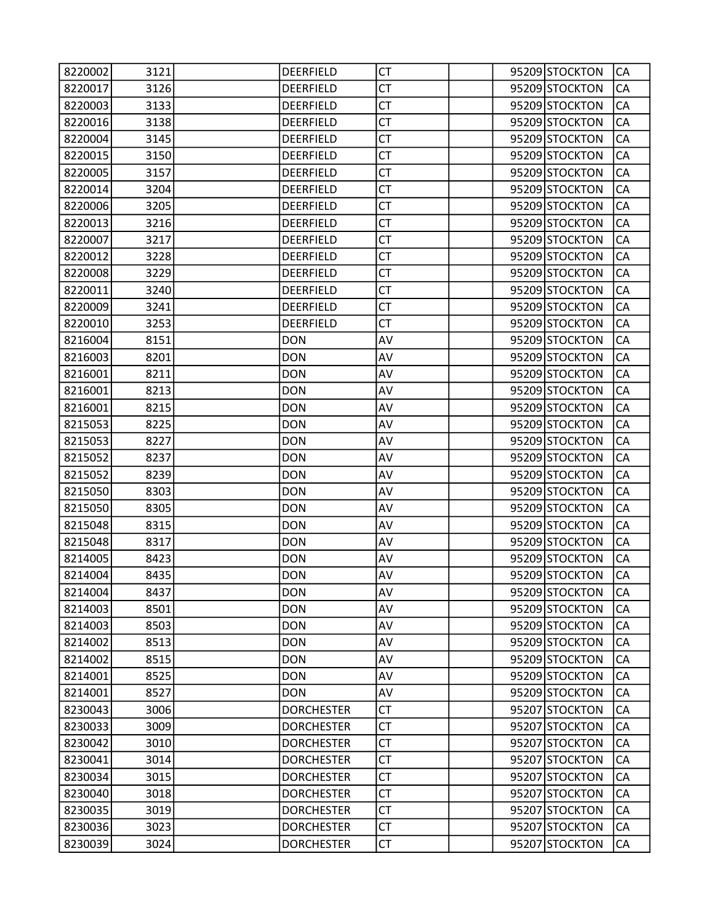| 8220002 | 3121 | DEERFIELD         | СT        |  | 95209 STOCKTON | CA        |
|---------|------|-------------------|-----------|--|----------------|-----------|
| 8220017 | 3126 | <b>DEERFIELD</b>  | <b>CT</b> |  | 95209 STOCKTON | CA        |
| 8220003 | 3133 | <b>DEERFIELD</b>  | <b>CT</b> |  | 95209 STOCKTON | CA        |
| 8220016 | 3138 | DEERFIELD         | <b>CT</b> |  | 95209 STOCKTON | CA        |
| 8220004 | 3145 | DEERFIELD         | <b>CT</b> |  | 95209 STOCKTON | CA        |
| 8220015 | 3150 | <b>DEERFIELD</b>  | СT        |  | 95209 STOCKTON | CA        |
| 8220005 | 3157 | <b>DEERFIELD</b>  | <b>CT</b> |  | 95209 STOCKTON | CA        |
| 8220014 | 3204 | <b>DEERFIELD</b>  | <b>CT</b> |  | 95209 STOCKTON | CA        |
| 8220006 | 3205 | DEERFIELD         | <b>CT</b> |  | 95209 STOCKTON | CA        |
| 8220013 | 3216 | DEERFIELD         | <b>CT</b> |  | 95209 STOCKTON | CA        |
| 8220007 | 3217 | <b>DEERFIELD</b>  | СT        |  | 95209 STOCKTON | CA        |
| 8220012 | 3228 | <b>DEERFIELD</b>  | <b>CT</b> |  | 95209 STOCKTON | CA        |
| 8220008 | 3229 | <b>DEERFIELD</b>  | <b>CT</b> |  | 95209 STOCKTON | CA        |
| 8220011 | 3240 | DEERFIELD         | <b>CT</b> |  | 95209 STOCKTON | CA        |
| 8220009 | 3241 | DEERFIELD         | <b>CT</b> |  | 95209 STOCKTON | CA        |
| 8220010 | 3253 | DEERFIELD         | СT        |  | 95209 STOCKTON | CA        |
| 8216004 | 8151 | <b>DON</b>        | AV        |  | 95209 STOCKTON | CA        |
| 8216003 | 8201 | <b>DON</b>        | AV        |  | 95209 STOCKTON | CA        |
| 8216001 | 8211 | <b>DON</b>        | AV        |  | 95209 STOCKTON | CA        |
| 8216001 | 8213 | <b>DON</b>        | AV        |  | 95209 STOCKTON | CA        |
| 8216001 | 8215 | <b>DON</b>        | AV        |  | 95209 STOCKTON | CA        |
| 8215053 | 8225 | <b>DON</b>        | AV        |  | 95209 STOCKTON | CA        |
| 8215053 | 8227 | <b>DON</b>        | AV        |  | 95209 STOCKTON | CA        |
| 8215052 | 8237 | <b>DON</b>        | AV        |  | 95209 STOCKTON | CA        |
| 8215052 | 8239 | <b>DON</b>        | AV        |  | 95209 STOCKTON | CA        |
| 8215050 | 8303 | <b>DON</b>        | AV        |  | 95209 STOCKTON | CA        |
| 8215050 | 8305 | <b>DON</b>        | AV        |  | 95209 STOCKTON | CA        |
| 8215048 | 8315 | <b>DON</b>        | AV        |  | 95209 STOCKTON | CA        |
| 8215048 | 8317 | <b>DON</b>        | AV        |  | 95209 STOCKTON | CA        |
| 8214005 | 8423 | <b>DON</b>        | AV        |  | 95209 STOCKTON | CA        |
| 8214004 | 8435 | <b>DON</b>        | AV        |  | 95209 STOCKTON | CA        |
| 8214004 | 8437 | <b>DON</b>        | AV        |  | 95209 STOCKTON | <b>CA</b> |
| 8214003 | 8501 | <b>DON</b>        | AV        |  | 95209 STOCKTON | CA        |
| 8214003 | 8503 | <b>DON</b>        | AV        |  | 95209 STOCKTON | CA        |
| 8214002 | 8513 | <b>DON</b>        | AV        |  | 95209 STOCKTON | CA        |
| 8214002 | 8515 | <b>DON</b>        | AV        |  | 95209 STOCKTON | CA        |
| 8214001 | 8525 | <b>DON</b>        | AV        |  | 95209 STOCKTON | CA        |
| 8214001 | 8527 | <b>DON</b>        | AV        |  | 95209 STOCKTON | CA        |
| 8230043 | 3006 | <b>DORCHESTER</b> | <b>CT</b> |  | 95207 STOCKTON | CA        |
| 8230033 | 3009 | <b>DORCHESTER</b> | <b>CT</b> |  | 95207 STOCKTON | CA        |
| 8230042 | 3010 | <b>DORCHESTER</b> | <b>CT</b> |  | 95207 STOCKTON | CA        |
| 8230041 | 3014 | <b>DORCHESTER</b> | <b>CT</b> |  | 95207 STOCKTON | CA        |
| 8230034 | 3015 | <b>DORCHESTER</b> | <b>CT</b> |  | 95207 STOCKTON | CA        |
| 8230040 | 3018 | <b>DORCHESTER</b> | <b>CT</b> |  | 95207 STOCKTON | CA        |
| 8230035 | 3019 | <b>DORCHESTER</b> | <b>CT</b> |  | 95207 STOCKTON | CA        |
| 8230036 | 3023 | <b>DORCHESTER</b> | <b>CT</b> |  | 95207 STOCKTON | CA        |
| 8230039 | 3024 | <b>DORCHESTER</b> | <b>CT</b> |  | 95207 STOCKTON | CA        |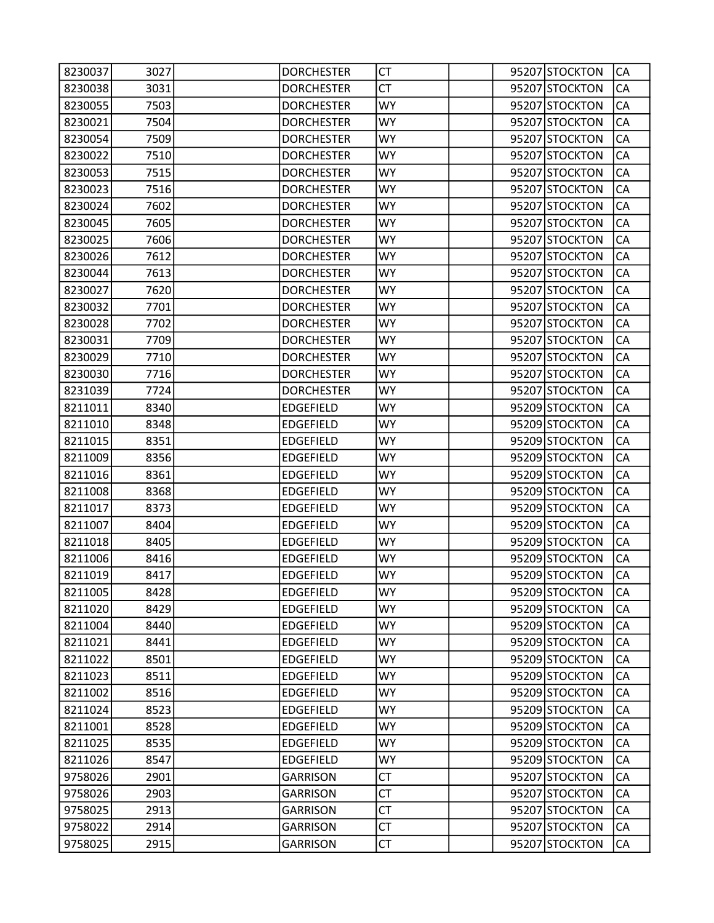| 8230037 | 3027 | <b>DORCHESTER</b> | СT        |  | 95207 STOCKTON | CA        |
|---------|------|-------------------|-----------|--|----------------|-----------|
| 8230038 | 3031 | <b>DORCHESTER</b> | СT        |  | 95207 STOCKTON | CA        |
| 8230055 | 7503 | <b>DORCHESTER</b> | <b>WY</b> |  | 95207 STOCKTON | CA        |
| 8230021 | 7504 | <b>DORCHESTER</b> | WY        |  | 95207 STOCKTON | CA        |
| 8230054 | 7509 | <b>DORCHESTER</b> | <b>WY</b> |  | 95207 STOCKTON | CA        |
| 8230022 | 7510 | <b>DORCHESTER</b> | <b>WY</b> |  | 95207 STOCKTON | CA        |
| 8230053 | 7515 | <b>DORCHESTER</b> | WY.       |  | 95207 STOCKTON | CA        |
| 8230023 | 7516 | <b>DORCHESTER</b> | <b>WY</b> |  | 95207 STOCKTON | CA        |
| 8230024 | 7602 | <b>DORCHESTER</b> | WY        |  | 95207 STOCKTON | CA        |
| 8230045 | 7605 | <b>DORCHESTER</b> | <b>WY</b> |  | 95207 STOCKTON | CA        |
| 8230025 | 7606 | <b>DORCHESTER</b> | <b>WY</b> |  | 95207 STOCKTON | CA        |
| 8230026 | 7612 | <b>DORCHESTER</b> | <b>WY</b> |  | 95207 STOCKTON | CA        |
| 8230044 | 7613 | <b>DORCHESTER</b> | <b>WY</b> |  | 95207 STOCKTON | CA        |
| 8230027 | 7620 | <b>DORCHESTER</b> | WY        |  | 95207 STOCKTON | CA        |
| 8230032 | 7701 | <b>DORCHESTER</b> | <b>WY</b> |  | 95207 STOCKTON | CA        |
| 8230028 | 7702 | <b>DORCHESTER</b> | <b>WY</b> |  | 95207 STOCKTON | CA        |
| 8230031 | 7709 | <b>DORCHESTER</b> | WY.       |  | 95207 STOCKTON | CA        |
| 8230029 | 7710 | <b>DORCHESTER</b> | <b>WY</b> |  | 95207 STOCKTON | CA        |
| 8230030 | 7716 | <b>DORCHESTER</b> | WY        |  | 95207 STOCKTON | CA        |
| 8231039 | 7724 | <b>DORCHESTER</b> | <b>WY</b> |  | 95207 STOCKTON | CA        |
| 8211011 | 8340 | <b>EDGEFIELD</b>  | <b>WY</b> |  | 95209 STOCKTON | CA        |
| 8211010 | 8348 | <b>EDGEFIELD</b>  | <b>WY</b> |  | 95209 STOCKTON | CA        |
| 8211015 | 8351 | <b>EDGEFIELD</b>  | <b>WY</b> |  | 95209 STOCKTON | CA        |
| 8211009 | 8356 | <b>EDGEFIELD</b>  | WY        |  | 95209 STOCKTON | CA        |
| 8211016 | 8361 | <b>EDGEFIELD</b>  | <b>WY</b> |  | 95209 STOCKTON | CA        |
| 8211008 | 8368 | <b>EDGEFIELD</b>  | <b>WY</b> |  | 95209 STOCKTON | CA        |
| 8211017 | 8373 | <b>EDGEFIELD</b>  | <b>WY</b> |  | 95209 STOCKTON | CA        |
| 8211007 | 8404 | <b>EDGEFIELD</b>  | <b>WY</b> |  | 95209 STOCKTON | CA        |
| 8211018 | 8405 | <b>EDGEFIELD</b>  | WY        |  | 95209 STOCKTON | CA        |
| 8211006 | 8416 | <b>EDGEFIELD</b>  | <b>WY</b> |  | 95209 STOCKTON | CA        |
| 8211019 | 8417 | <b>EDGEFIELD</b>  | WY        |  | 95209 STOCKTON | CA        |
| 8211005 | 8428 | <b>EDGEFIELD</b>  | <b>WY</b> |  | 95209 STOCKTON | <b>CA</b> |
| 8211020 | 8429 | <b>EDGEFIELD</b>  | <b>WY</b> |  | 95209 STOCKTON | CA        |
| 8211004 | 8440 | <b>EDGEFIELD</b>  | WY.       |  | 95209 STOCKTON | CA        |
| 8211021 | 8441 | <b>EDGEFIELD</b>  | <b>WY</b> |  | 95209 STOCKTON | CA        |
| 8211022 | 8501 | <b>EDGEFIELD</b>  | <b>WY</b> |  | 95209 STOCKTON | CA        |
| 8211023 | 8511 | <b>EDGEFIELD</b>  | <b>WY</b> |  | 95209 STOCKTON | CA        |
| 8211002 | 8516 | <b>EDGEFIELD</b>  | <b>WY</b> |  | 95209 STOCKTON | CA        |
| 8211024 | 8523 | <b>EDGEFIELD</b>  | WY.       |  | 95209 STOCKTON | CA        |
| 8211001 | 8528 | <b>EDGEFIELD</b>  | <b>WY</b> |  | 95209 STOCKTON | CA        |
| 8211025 | 8535 | <b>EDGEFIELD</b>  | <b>WY</b> |  | 95209 STOCKTON | CA        |
| 8211026 | 8547 | <b>EDGEFIELD</b>  | <b>WY</b> |  | 95209 STOCKTON | CA        |
| 9758026 | 2901 | <b>GARRISON</b>   | <b>CT</b> |  | 95207 STOCKTON | CA        |
| 9758026 | 2903 | <b>GARRISON</b>   | <b>CT</b> |  | 95207 STOCKTON | CA        |
| 9758025 | 2913 | <b>GARRISON</b>   | <b>CT</b> |  | 95207 STOCKTON | CA        |
| 9758022 | 2914 | <b>GARRISON</b>   | <b>CT</b> |  | 95207 STOCKTON | CA        |
| 9758025 | 2915 | <b>GARRISON</b>   | <b>CT</b> |  | 95207 STOCKTON | CA        |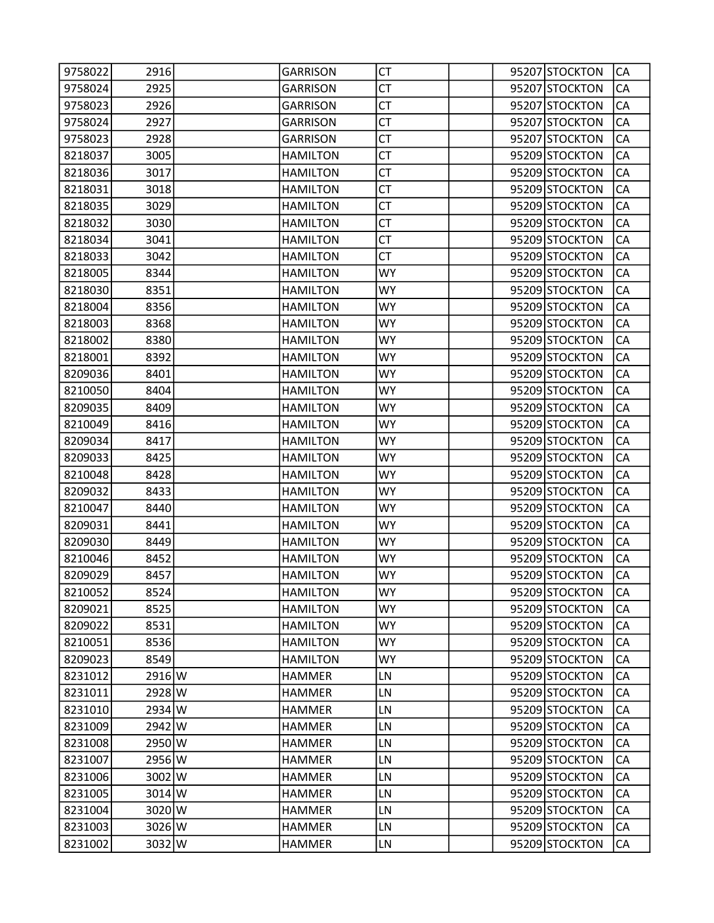| 9758022 | 2916           | <b>GARRISON</b> | CT        |  | 95207 STOCKTON | CA        |
|---------|----------------|-----------------|-----------|--|----------------|-----------|
| 9758024 | 2925           | <b>GARRISON</b> | <b>CT</b> |  | 95207 STOCKTON | CA        |
| 9758023 | 2926           | <b>GARRISON</b> | <b>CT</b> |  | 95207 STOCKTON | CA        |
| 9758024 | 2927           | <b>GARRISON</b> | <b>CT</b> |  | 95207 STOCKTON | CA        |
| 9758023 | 2928           | <b>GARRISON</b> | <b>CT</b> |  | 95207 STOCKTON | CA        |
| 8218037 | 3005           | <b>HAMILTON</b> | СT        |  | 95209 STOCKTON | CA        |
| 8218036 | 3017           | <b>HAMILTON</b> | <b>CT</b> |  | 95209 STOCKTON | CA        |
| 8218031 | 3018           | <b>HAMILTON</b> | <b>CT</b> |  | 95209 STOCKTON | CA        |
| 8218035 | 3029           | <b>HAMILTON</b> | <b>CT</b> |  | 95209 STOCKTON | CA        |
| 8218032 | 3030           | <b>HAMILTON</b> | <b>CT</b> |  | 95209 STOCKTON | CA        |
| 8218034 | 3041           | <b>HAMILTON</b> | СT        |  | 95209 STOCKTON | CA        |
| 8218033 | 3042           | <b>HAMILTON</b> | <b>CT</b> |  | 95209 STOCKTON | CA        |
| 8218005 | 8344           | <b>HAMILTON</b> | <b>WY</b> |  | 95209 STOCKTON | CA        |
| 8218030 | 8351           | <b>HAMILTON</b> | WY        |  | 95209 STOCKTON | CA        |
| 8218004 | 8356           | <b>HAMILTON</b> | <b>WY</b> |  | 95209 STOCKTON | CA        |
| 8218003 | 8368           | <b>HAMILTON</b> | WY        |  | 95209 STOCKTON | CA        |
| 8218002 | 8380           | <b>HAMILTON</b> | <b>WY</b> |  | 95209 STOCKTON | CA        |
| 8218001 | 8392           | <b>HAMILTON</b> | <b>WY</b> |  | 95209 STOCKTON | CA        |
| 8209036 | 8401           | <b>HAMILTON</b> | WY        |  | 95209 STOCKTON | CA        |
| 8210050 | 8404           | <b>HAMILTON</b> | <b>WY</b> |  | 95209 STOCKTON | CA        |
| 8209035 | 8409           | <b>HAMILTON</b> | <b>WY</b> |  | 95209 STOCKTON | CA        |
| 8210049 | 8416           | <b>HAMILTON</b> | <b>WY</b> |  | 95209 STOCKTON | CA        |
| 8209034 | 8417           | <b>HAMILTON</b> | <b>WY</b> |  | 95209 STOCKTON | CA        |
| 8209033 | 8425           | <b>HAMILTON</b> | WY        |  | 95209 STOCKTON | CA        |
| 8210048 | 8428           | <b>HAMILTON</b> | <b>WY</b> |  | 95209 STOCKTON | CA        |
| 8209032 | 8433           | <b>HAMILTON</b> | WY        |  | 95209 STOCKTON | CA        |
| 8210047 | 8440           | <b>HAMILTON</b> | <b>WY</b> |  | 95209 STOCKTON | CA        |
| 8209031 | 8441           | <b>HAMILTON</b> | <b>WY</b> |  | 95209 STOCKTON | CA        |
| 8209030 | 8449           | <b>HAMILTON</b> | WY        |  | 95209 STOCKTON | CA        |
| 8210046 | 8452           | <b>HAMILTON</b> | <b>WY</b> |  | 95209 STOCKTON | CA        |
| 8209029 | 8457           | <b>HAMILTON</b> | WY        |  | 95209 STOCKTON | CA        |
| 8210052 | 8524           | <b>HAMILTON</b> | <b>WY</b> |  | 95209 STOCKTON | <b>CA</b> |
| 8209021 | 8525           | <b>HAMILTON</b> | <b>WY</b> |  | 95209 STOCKTON | CA        |
| 8209022 | 8531           | <b>HAMILTON</b> | <b>WY</b> |  | 95209 STOCKTON | CA        |
| 8210051 | 8536           | <b>HAMILTON</b> | <b>WY</b> |  | 95209 STOCKTON | CA        |
| 8209023 | 8549           | <b>HAMILTON</b> | <b>WY</b> |  | 95209 STOCKTON | CA        |
| 8231012 | $2916$ W       | <b>HAMMER</b>   | LN        |  | 95209 STOCKTON | CA        |
| 8231011 | 2928 W         | <b>HAMMER</b>   | LN        |  | 95209 STOCKTON | CA        |
| 8231010 | 2934 W         | <b>HAMMER</b>   | LN        |  | 95209 STOCKTON | CA        |
| 8231009 | 2942 W         | <b>HAMMER</b>   | LN        |  | 95209 STOCKTON | CA        |
| 8231008 | 2950 W         | <b>HAMMER</b>   | LN        |  | 95209 STOCKTON | CA        |
| 8231007 | 2956 W         | <b>HAMMER</b>   | LN        |  | 95209 STOCKTON | CA        |
| 8231006 | 3002 W         | <b>HAMMER</b>   | LN        |  | 95209 STOCKTON | CA        |
| 8231005 | $3014$ W       | <b>HAMMER</b>   | LN        |  | 95209 STOCKTON | CA        |
| 8231004 | 3020 W         | <b>HAMMER</b>   | LN        |  | 95209 STOCKTON | CA        |
| 8231003 | $3026\text{W}$ | <b>HAMMER</b>   | LN        |  | 95209 STOCKTON | СA        |
| 8231002 | $3032\vert W$  | <b>HAMMER</b>   | LN        |  | 95209 STOCKTON | CA        |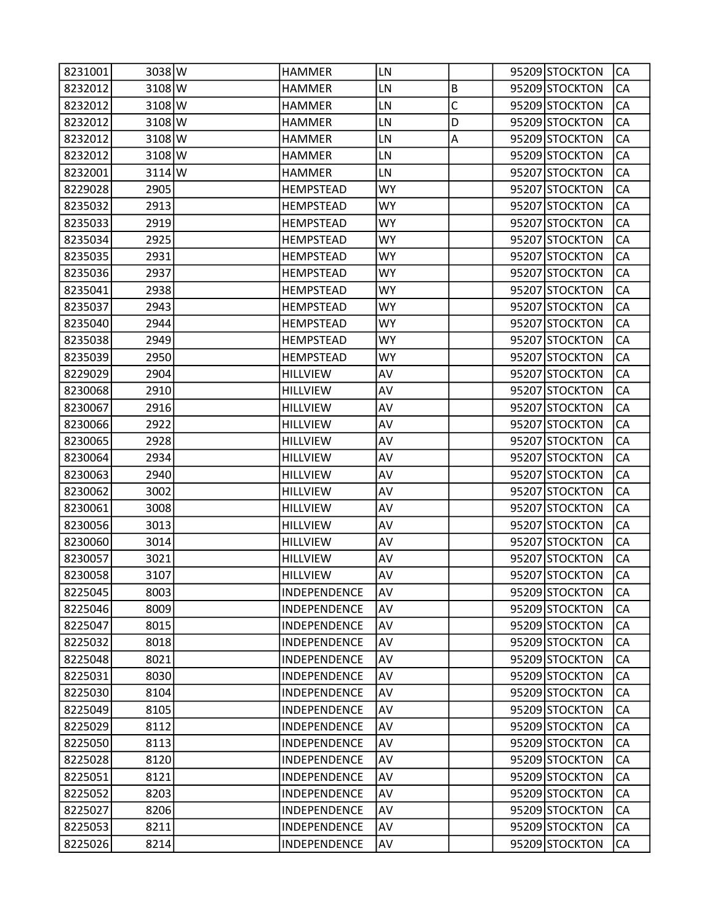| 8231001 | 3038 W   | <b>HAMMER</b>       | LN        |              | 95209 STOCKTON | CA        |
|---------|----------|---------------------|-----------|--------------|----------------|-----------|
| 8232012 | 3108 W   | <b>HAMMER</b>       | LN        | $\sf B$      | 95209 STOCKTON | CA        |
| 8232012 | 3108 W   | <b>HAMMER</b>       | LN        | $\mathsf{C}$ | 95209 STOCKTON | CA        |
| 8232012 | 3108 W   | <b>HAMMER</b>       | LN        | D            | 95209 STOCKTON | CA        |
| 8232012 | 3108 W   | <b>HAMMER</b>       | LN        | Α            | 95209 STOCKTON | CA        |
| 8232012 | 3108 W   | <b>HAMMER</b>       | LN        |              | 95209 STOCKTON | CA        |
| 8232001 | $3114$ W | <b>HAMMER</b>       | LN        |              | 95207 STOCKTON | CA        |
| 8229028 | 2905     | <b>HEMPSTEAD</b>    | <b>WY</b> |              | 95207 STOCKTON | CA        |
| 8235032 | 2913     | <b>HEMPSTEAD</b>    | WY        |              | 95207 STOCKTON | CA        |
| 8235033 | 2919     | <b>HEMPSTEAD</b>    | <b>WY</b> |              | 95207 STOCKTON | CA        |
| 8235034 | 2925     | <b>HEMPSTEAD</b>    | <b>WY</b> |              | 95207 STOCKTON | CA        |
| 8235035 | 2931     | <b>HEMPSTEAD</b>    | WY.       |              | 95207 STOCKTON | CA        |
| 8235036 | 2937     | <b>HEMPSTEAD</b>    | <b>WY</b> |              | 95207 STOCKTON | CA        |
| 8235041 | 2938     | <b>HEMPSTEAD</b>    | WY        |              | 95207 STOCKTON | CA        |
| 8235037 | 2943     | <b>HEMPSTEAD</b>    | <b>WY</b> |              | 95207 STOCKTON | CA        |
| 8235040 | 2944     | <b>HEMPSTEAD</b>    | <b>WY</b> |              | 95207 STOCKTON | CA        |
| 8235038 | 2949     | <b>HEMPSTEAD</b>    | WY        |              | 95207 STOCKTON | CA        |
| 8235039 | 2950     | <b>HEMPSTEAD</b>    | <b>WY</b> |              | 95207 STOCKTON | CA        |
| 8229029 | 2904     | <b>HILLVIEW</b>     | AV        |              | 95207 STOCKTON | CA        |
| 8230068 | 2910     | <b>HILLVIEW</b>     | AV        |              | 95207 STOCKTON | CA        |
| 8230067 | 2916     | <b>HILLVIEW</b>     | AV        |              | 95207 STOCKTON | CA        |
| 8230066 | 2922     | <b>HILLVIEW</b>     | AV        |              | 95207 STOCKTON | CA        |
| 8230065 | 2928     | <b>HILLVIEW</b>     | AV        |              | 95207 STOCKTON | CA        |
| 8230064 | 2934     | <b>HILLVIEW</b>     | AV        |              | 95207 STOCKTON | CA        |
| 8230063 | 2940     | <b>HILLVIEW</b>     | AV        |              | 95207 STOCKTON | CA        |
| 8230062 | 3002     | <b>HILLVIEW</b>     | AV        |              | 95207 STOCKTON | CA        |
| 8230061 | 3008     | <b>HILLVIEW</b>     | AV        |              | 95207 STOCKTON | CA        |
| 8230056 | 3013     | <b>HILLVIEW</b>     | AV        |              | 95207 STOCKTON | CA        |
| 8230060 | 3014     | <b>HILLVIEW</b>     | AV        |              | 95207 STOCKTON | CA        |
| 8230057 | 3021     | <b>HILLVIEW</b>     | AV        |              | 95207 STOCKTON | CA        |
| 8230058 | 3107     | <b>HILLVIEW</b>     | AV        |              | 95207 STOCKTON | CA        |
| 8225045 | 8003     | INDEPENDENCE        | AV        |              | 95209 STOCKTON | <b>CA</b> |
| 8225046 | 8009     | <b>INDEPENDENCE</b> | AV        |              | 95209 STOCKTON | CA        |
| 8225047 | 8015     | <b>INDEPENDENCE</b> | AV        |              | 95209 STOCKTON | CA        |
| 8225032 | 8018     | INDEPENDENCE        | AV        |              | 95209 STOCKTON | CA        |
| 8225048 | 8021     | INDEPENDENCE        | AV        |              | 95209 STOCKTON | CA        |
| 8225031 | 8030     | INDEPENDENCE        | AV        |              | 95209 STOCKTON | CA        |
| 8225030 | 8104     | INDEPENDENCE        | AV        |              | 95209 STOCKTON | CA        |
| 8225049 | 8105     | INDEPENDENCE        | AV        |              | 95209 STOCKTON | CA        |
| 8225029 | 8112     | INDEPENDENCE        | AV        |              | 95209 STOCKTON | CA        |
| 8225050 | 8113     | INDEPENDENCE        | AV        |              | 95209 STOCKTON | CA        |
| 8225028 | 8120     | INDEPENDENCE        | AV        |              | 95209 STOCKTON | CA        |
| 8225051 | 8121     | INDEPENDENCE        | AV        |              | 95209 STOCKTON | CA        |
| 8225052 | 8203     | INDEPENDENCE        | AV        |              | 95209 STOCKTON | CA        |
| 8225027 | 8206     | INDEPENDENCE        | AV        |              | 95209 STOCKTON | CA        |
| 8225053 | 8211     | INDEPENDENCE        | AV        |              | 95209 STOCKTON | CA        |
| 8225026 | 8214     | INDEPENDENCE        | AV        |              | 95209 STOCKTON | CA        |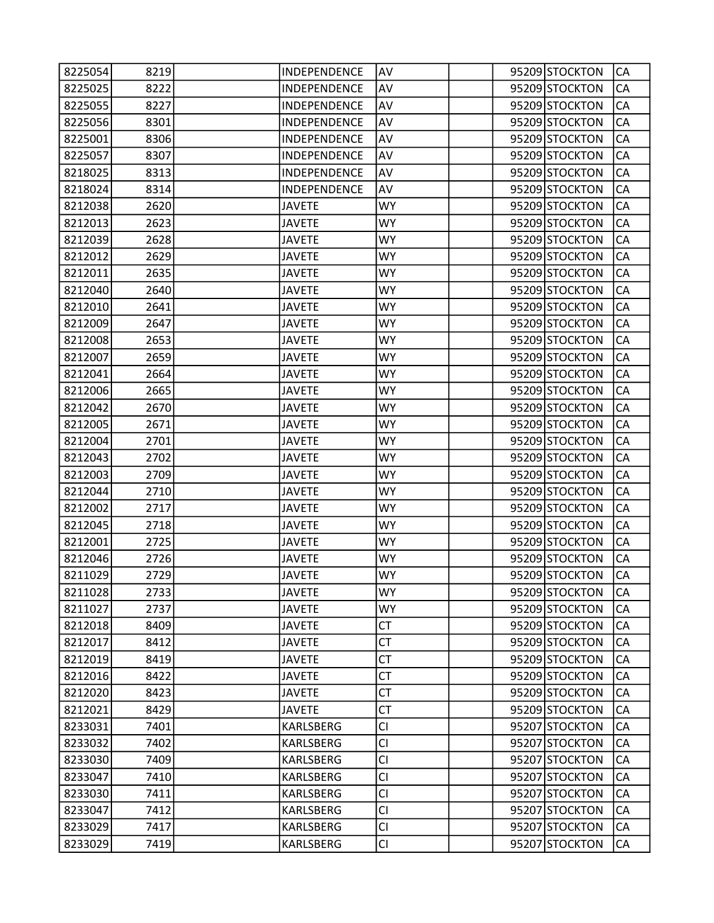| 8225054 | 8219 | INDEPENDENCE        | AV        |  | 95209 STOCKTON | CA        |
|---------|------|---------------------|-----------|--|----------------|-----------|
| 8225025 | 8222 | INDEPENDENCE        | AV        |  | 95209 STOCKTON | CA        |
| 8225055 | 8227 | INDEPENDENCE        | AV        |  | 95209 STOCKTON | CA        |
| 8225056 | 8301 | INDEPENDENCE        | AV        |  | 95209 STOCKTON | CA        |
| 8225001 | 8306 | <b>INDEPENDENCE</b> | AV        |  | 95209 STOCKTON | CA        |
| 8225057 | 8307 | INDEPENDENCE        | AV        |  | 95209 STOCKTON | CA        |
| 8218025 | 8313 | INDEPENDENCE        | AV        |  | 95209 STOCKTON | CA        |
| 8218024 | 8314 | INDEPENDENCE        | AV        |  | 95209 STOCKTON | CA        |
| 8212038 | 2620 | <b>JAVETE</b>       | WY        |  | 95209 STOCKTON | CA        |
| 8212013 | 2623 | <b>JAVETE</b>       | <b>WY</b> |  | 95209 STOCKTON | CA        |
| 8212039 | 2628 | <b>JAVETE</b>       | <b>WY</b> |  | 95209 STOCKTON | CA        |
| 8212012 | 2629 | <b>JAVETE</b>       | <b>WY</b> |  | 95209 STOCKTON | CA        |
| 8212011 | 2635 | <b>JAVETE</b>       | <b>WY</b> |  | 95209 STOCKTON | CA        |
| 8212040 | 2640 | <b>JAVETE</b>       | WY        |  | 95209 STOCKTON | CA        |
| 8212010 | 2641 | <b>JAVETE</b>       | <b>WY</b> |  | 95209 STOCKTON | CA        |
| 8212009 | 2647 | <b>JAVETE</b>       | <b>WY</b> |  | 95209 STOCKTON | CA        |
| 8212008 | 2653 | <b>JAVETE</b>       | <b>WY</b> |  | 95209 STOCKTON | CA        |
| 8212007 | 2659 | <b>JAVETE</b>       | <b>WY</b> |  | 95209 STOCKTON | CA        |
| 8212041 | 2664 | <b>JAVETE</b>       | WY        |  | 95209 STOCKTON | CA        |
| 8212006 | 2665 | <b>JAVETE</b>       | <b>WY</b> |  | 95209 STOCKTON | CA        |
| 8212042 | 2670 | <b>JAVETE</b>       | <b>WY</b> |  | 95209 STOCKTON | CA        |
| 8212005 | 2671 | <b>JAVETE</b>       | <b>WY</b> |  | 95209 STOCKTON | CA        |
| 8212004 | 2701 | <b>JAVETE</b>       | <b>WY</b> |  | 95209 STOCKTON | CA        |
| 8212043 | 2702 | <b>JAVETE</b>       | WY        |  | 95209 STOCKTON | CA        |
| 8212003 | 2709 | <b>JAVETE</b>       | <b>WY</b> |  | 95209 STOCKTON | CA        |
| 8212044 | 2710 | <b>JAVETE</b>       | <b>WY</b> |  | 95209 STOCKTON | CA        |
| 8212002 | 2717 | <b>JAVETE</b>       | <b>WY</b> |  | 95209 STOCKTON | CA        |
| 8212045 | 2718 | <b>JAVETE</b>       | <b>WY</b> |  | 95209 STOCKTON | CA        |
| 8212001 | 2725 | <b>JAVETE</b>       | WY        |  | 95209 STOCKTON | CA        |
| 8212046 | 2726 | <b>JAVETE</b>       | <b>WY</b> |  | 95209 STOCKTON | CA        |
| 8211029 | 2729 | <b>JAVETE</b>       | WY        |  | 95209 STOCKTON | CA        |
| 8211028 | 2733 | <b>JAVETE</b>       | <b>WY</b> |  | 95209 STOCKTON | <b>CA</b> |
| 8211027 | 2737 | <b>JAVETE</b>       | <b>WY</b> |  | 95209 STOCKTON | CA        |
| 8212018 | 8409 | <b>JAVETE</b>       | <b>CT</b> |  | 95209 STOCKTON | CA        |
| 8212017 | 8412 | <b>JAVETE</b>       | <b>CT</b> |  | 95209 STOCKTON | CA        |
| 8212019 | 8419 | <b>JAVETE</b>       | <b>CT</b> |  | 95209 STOCKTON | CA        |
| 8212016 | 8422 | <b>JAVETE</b>       | <b>CT</b> |  | 95209 STOCKTON | CA        |
| 8212020 | 8423 | <b>JAVETE</b>       | <b>CT</b> |  | 95209 STOCKTON | CA        |
| 8212021 | 8429 | <b>JAVETE</b>       | <b>CT</b> |  | 95209 STOCKTON | CA        |
| 8233031 | 7401 | KARLSBERG           | <b>CI</b> |  | 95207 STOCKTON | CA        |
| 8233032 | 7402 | KARLSBERG           | <b>CI</b> |  | 95207 STOCKTON | CA        |
| 8233030 | 7409 | <b>KARLSBERG</b>    | <b>CI</b> |  | 95207 STOCKTON | CA        |
| 8233047 | 7410 | KARLSBERG           | <b>CI</b> |  | 95207 STOCKTON | CA        |
| 8233030 | 7411 | KARLSBERG           | <b>CI</b> |  | 95207 STOCKTON | CA        |
| 8233047 | 7412 | KARLSBERG           | <b>CI</b> |  | 95207 STOCKTON | CA        |
| 8233029 | 7417 | KARLSBERG           | <b>CI</b> |  | 95207 STOCKTON | CA        |
| 8233029 | 7419 | KARLSBERG           | <b>CI</b> |  | 95207 STOCKTON | CA        |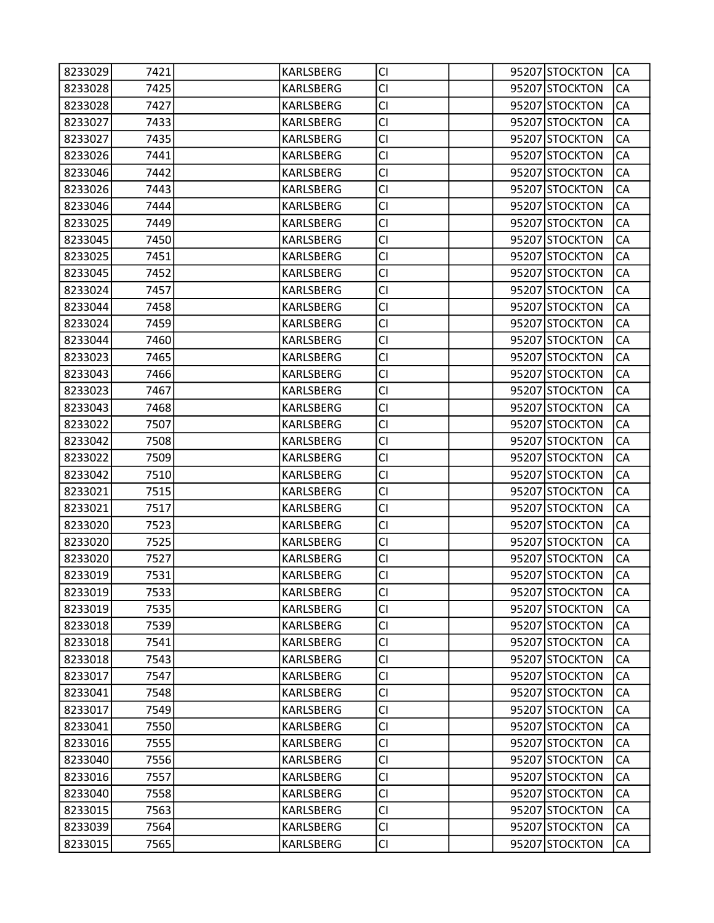| 8233029 | 7421 | KARLSBERG        | <b>CI</b> |  | 95207 STOCKTON | CA        |
|---------|------|------------------|-----------|--|----------------|-----------|
| 8233028 | 7425 | KARLSBERG        | <b>CI</b> |  | 95207 STOCKTON | CA        |
| 8233028 | 7427 | <b>KARLSBERG</b> | <b>CI</b> |  | 95207 STOCKTON | CA        |
| 8233027 | 7433 | KARLSBERG        | <b>CI</b> |  | 95207 STOCKTON | CA        |
| 8233027 | 7435 | KARLSBERG        | <b>CI</b> |  | 95207 STOCKTON | CA        |
| 8233026 | 7441 | KARLSBERG        | <b>CI</b> |  | 95207 STOCKTON | CA        |
| 8233046 | 7442 | KARLSBERG        | <b>CI</b> |  | 95207 STOCKTON | CA        |
| 8233026 | 7443 | KARLSBERG        | <b>CI</b> |  | 95207 STOCKTON | CA        |
| 8233046 | 7444 | KARLSBERG        | <b>CI</b> |  | 95207 STOCKTON | CA        |
| 8233025 | 7449 | KARLSBERG        | <b>CI</b> |  | 95207 STOCKTON | CA        |
| 8233045 | 7450 | KARLSBERG        | <b>CI</b> |  | 95207 STOCKTON | CA        |
| 8233025 | 7451 | KARLSBERG        | <b>CI</b> |  | 95207 STOCKTON | CA        |
| 8233045 | 7452 | KARLSBERG        | <b>CI</b> |  | 95207 STOCKTON | CA        |
| 8233024 | 7457 | KARLSBERG        | <b>CI</b> |  | 95207 STOCKTON | CA        |
| 8233044 | 7458 | KARLSBERG        | <b>CI</b> |  | 95207 STOCKTON | CA        |
| 8233024 | 7459 | KARLSBERG        | <b>CI</b> |  | 95207 STOCKTON | CA        |
| 8233044 | 7460 | <b>KARLSBERG</b> | CI        |  | 95207 STOCKTON | CA        |
| 8233023 | 7465 | KARLSBERG        | <b>CI</b> |  | 95207 STOCKTON | CA        |
| 8233043 | 7466 | KARLSBERG        | <b>CI</b> |  | 95207 STOCKTON | CA        |
| 8233023 | 7467 | KARLSBERG        | <b>CI</b> |  | 95207 STOCKTON | CA        |
| 8233043 | 7468 | KARLSBERG        | <b>CI</b> |  | 95207 STOCKTON | CA        |
| 8233022 | 7507 | KARLSBERG        | CI        |  | 95207 STOCKTON | CA        |
| 8233042 | 7508 | KARLSBERG        | <b>CI</b> |  | 95207 STOCKTON | CA        |
| 8233022 | 7509 | KARLSBERG        | <b>CI</b> |  | 95207 STOCKTON | CA        |
| 8233042 | 7510 | KARLSBERG        | <b>CI</b> |  | 95207 STOCKTON | CA        |
| 8233021 | 7515 | KARLSBERG        | <b>CI</b> |  | 95207 STOCKTON | CA        |
| 8233021 | 7517 | KARLSBERG        | <b>CI</b> |  | 95207 STOCKTON | CA        |
| 8233020 | 7523 | KARLSBERG        | <b>CI</b> |  | 95207 STOCKTON | CA        |
| 8233020 | 7525 | KARLSBERG        | <b>CI</b> |  | 95207 STOCKTON | CA        |
| 8233020 | 7527 | KARLSBERG        | <b>CI</b> |  | 95207 STOCKTON | CA        |
| 8233019 | 7531 | KARLSBERG        | CI        |  | 95207 STOCKTON | CA        |
| 8233019 | 7533 | <b>KARLSBERG</b> | <b>CI</b> |  | 95207 STOCKTON | <b>CA</b> |
| 8233019 | 7535 | <b>KARLSBERG</b> | <b>CI</b> |  | 95207 STOCKTON | CA        |
| 8233018 | 7539 | KARLSBERG        | <b>CI</b> |  | 95207 STOCKTON | CA        |
| 8233018 | 7541 | KARLSBERG        | <b>CI</b> |  | 95207 STOCKTON | CA        |
| 8233018 | 7543 | KARLSBERG        | CI        |  | 95207 STOCKTON | CA        |
| 8233017 | 7547 | <b>KARLSBERG</b> | <b>CI</b> |  | 95207 STOCKTON | CA        |
| 8233041 | 7548 | KARLSBERG        | <b>CI</b> |  | 95207 STOCKTON | CA        |
| 8233017 | 7549 | KARLSBERG        | <b>CI</b> |  | 95207 STOCKTON | CA        |
| 8233041 | 7550 | KARLSBERG        | <b>CI</b> |  | 95207 STOCKTON | CA        |
| 8233016 | 7555 | KARLSBERG        | <b>CI</b> |  | 95207 STOCKTON | CA        |
| 8233040 | 7556 | <b>KARLSBERG</b> | <b>CI</b> |  | 95207 STOCKTON | CA        |
| 8233016 | 7557 | KARLSBERG        | <b>CI</b> |  | 95207 STOCKTON | CA        |
| 8233040 | 7558 | KARLSBERG        | <b>CI</b> |  | 95207 STOCKTON | CA        |
| 8233015 | 7563 | KARLSBERG        | <b>CI</b> |  | 95207 STOCKTON | CA        |
| 8233039 | 7564 | KARLSBERG        | <b>CI</b> |  | 95207 STOCKTON | CA        |
| 8233015 | 7565 | KARLSBERG        | <b>CI</b> |  | 95207 STOCKTON | CA        |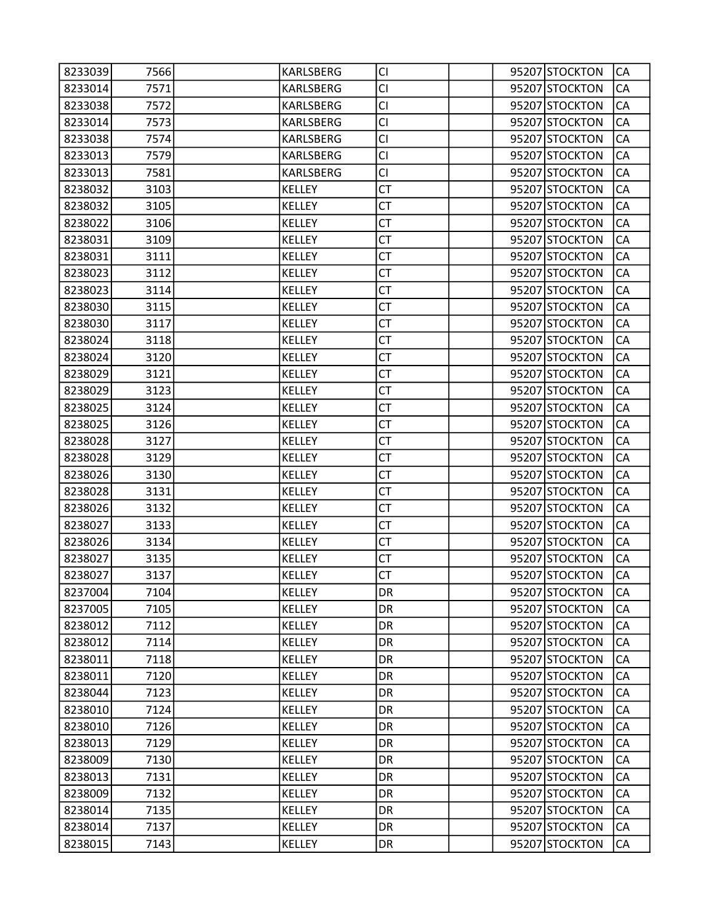| 8233039 | 7566 | KARLSBERG        | CI        |  | 95207 STOCKTON | CA         |
|---------|------|------------------|-----------|--|----------------|------------|
| 8233014 | 7571 | <b>KARLSBERG</b> | CI        |  | 95207 STOCKTON | CA         |
| 8233038 | 7572 | KARLSBERG        | <b>CI</b> |  | 95207 STOCKTON | CA         |
| 8233014 | 7573 | KARLSBERG        | <b>CI</b> |  | 95207 STOCKTON | CA         |
| 8233038 | 7574 | KARLSBERG        | <b>CI</b> |  | 95207 STOCKTON | CA         |
| 8233013 | 7579 | KARLSBERG        | <b>CI</b> |  | 95207 STOCKTON | CA         |
| 8233013 | 7581 | KARLSBERG        | CI        |  | 95207 STOCKTON | CA         |
| 8238032 | 3103 | KELLEY           | CT        |  | 95207 STOCKTON | CA         |
| 8238032 | 3105 | <b>KELLEY</b>    | <b>CT</b> |  | 95207 STOCKTON | CA         |
| 8238022 | 3106 | <b>KELLEY</b>    | <b>CT</b> |  | 95207 STOCKTON | CA         |
| 8238031 | 3109 | KELLEY           | CT        |  | 95207 STOCKTON | CA         |
| 8238031 | 3111 | KELLEY           | <b>CT</b> |  | 95207 STOCKTON | CA         |
| 8238023 | 3112 | KELLEY           | <b>CT</b> |  | 95207 STOCKTON | CA         |
| 8238023 | 3114 | <b>KELLEY</b>    | <b>CT</b> |  | 95207 STOCKTON | CA         |
| 8238030 | 3115 | <b>KELLEY</b>    | <b>CT</b> |  | 95207 STOCKTON | CA         |
| 8238030 | 3117 | <b>KELLEY</b>    | CT        |  | 95207 STOCKTON | CA         |
| 8238024 | 3118 | <b>KELLEY</b>    | <b>CT</b> |  | 95207 STOCKTON | CA         |
| 8238024 | 3120 | <b>KELLEY</b>    | <b>CT</b> |  | 95207 STOCKTON | CA         |
| 8238029 | 3121 | <b>KELLEY</b>    | <b>CT</b> |  | 95207 STOCKTON | CA         |
| 8238029 | 3123 | <b>KELLEY</b>    | <b>CT</b> |  | 95207 STOCKTON | CA         |
| 8238025 | 3124 | <b>KELLEY</b>    | CT        |  | 95207 STOCKTON | CA         |
| 8238025 | 3126 | <b>KELLEY</b>    | <b>CT</b> |  | 95207 STOCKTON | CA         |
| 8238028 | 3127 | <b>KELLEY</b>    | <b>CT</b> |  | 95207 STOCKTON | CA         |
| 8238028 | 3129 | <b>KELLEY</b>    | <b>CT</b> |  | 95207 STOCKTON | CA         |
| 8238026 | 3130 | <b>KELLEY</b>    | <b>CT</b> |  | 95207 STOCKTON | CA         |
| 8238028 | 3131 | <b>KELLEY</b>    | CT        |  | 95207 STOCKTON | CA         |
| 8238026 | 3132 | <b>KELLEY</b>    | <b>CT</b> |  | 95207 STOCKTON | CA         |
| 8238027 | 3133 | <b>KELLEY</b>    | <b>CT</b> |  | 95207 STOCKTON | CA         |
| 8238026 | 3134 | <b>KELLEY</b>    | <b>CT</b> |  | 95207 STOCKTON | CA         |
| 8238027 | 3135 | <b>KELLEY</b>    | <b>CT</b> |  | 95207 STOCKTON | CA         |
| 8238027 | 3137 | <b>KELLEY</b>    | СT        |  | 95207 STOCKTON | CA         |
| 8237004 | 7104 | <b>KELLEY</b>    | DR        |  | 95207 STOCKTON | <b>CA</b>  |
| 8237005 | 7105 | <b>KELLEY</b>    | DR        |  | 95207 STOCKTON | CA         |
| 8238012 | 7112 | <b>KELLEY</b>    | DR        |  | 95207 STOCKTON | CA         |
| 8238012 | 7114 | KELLEY           | <b>DR</b> |  | 95207 STOCKTON | CA         |
| 8238011 | 7118 | KELLEY           | DR        |  | 95207 STOCKTON | CA         |
| 8238011 | 7120 | <b>KELLEY</b>    | DR        |  | 95207 STOCKTON | CA         |
| 8238044 | 7123 | <b>KELLEY</b>    | DR        |  | 95207 STOCKTON | CA         |
| 8238010 | 7124 | <b>KELLEY</b>    | DR.       |  | 95207 STOCKTON | CA         |
| 8238010 | 7126 | KELLEY           | <b>DR</b> |  | 95207 STOCKTON | CA         |
| 8238013 | 7129 | KELLEY           | DR        |  | 95207 STOCKTON | CA         |
| 8238009 | 7130 | <b>KELLEY</b>    | DR        |  | 95207 STOCKTON | CA         |
| 8238013 | 7131 | KELLEY           | DR        |  | 95207 STOCKTON | CA         |
| 8238009 | 7132 | <b>KELLEY</b>    | DR        |  | 95207 STOCKTON | CA         |
| 8238014 | 7135 | KELLEY           | DR        |  | 95207 STOCKTON | ${\sf CA}$ |
| 8238014 | 7137 | KELLEY           | DR        |  | 95207 STOCKTON | CA         |
| 8238015 | 7143 | <b>KELLEY</b>    | DR        |  | 95207 STOCKTON | CA         |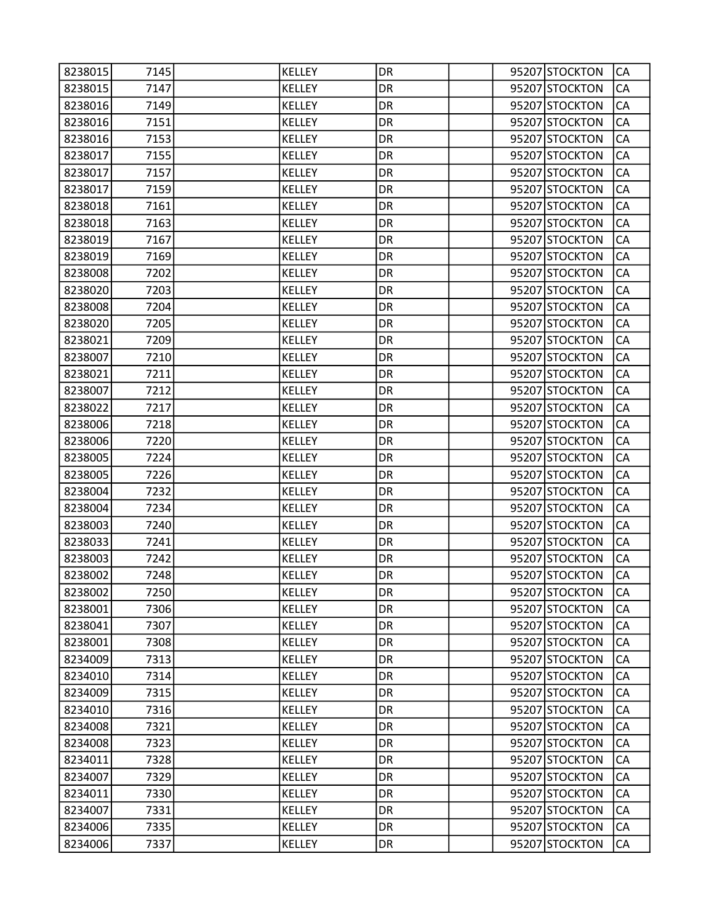| 8238015 | 7145 | <b>KELLEY</b> | DR        |  | 95207 STOCKTON | CA        |
|---------|------|---------------|-----------|--|----------------|-----------|
| 8238015 | 7147 | <b>KELLEY</b> | DR        |  | 95207 STOCKTON | CA        |
| 8238016 | 7149 | KELLEY        | DR        |  | 95207 STOCKTON | CA        |
| 8238016 | 7151 | KELLEY        | DR        |  | 95207 STOCKTON | CA        |
| 8238016 | 7153 | <b>KELLEY</b> | DR        |  | 95207 STOCKTON | CA        |
| 8238017 | 7155 | <b>KELLEY</b> | DR        |  | 95207 STOCKTON | CA        |
| 8238017 | 7157 | <b>KELLEY</b> | DR        |  | 95207 STOCKTON | CA        |
| 8238017 | 7159 | KELLEY        | DR        |  | 95207 STOCKTON | CA        |
| 8238018 | 7161 | KELLEY        | DR        |  | 95207 STOCKTON | CA        |
| 8238018 | 7163 | <b>KELLEY</b> | DR        |  | 95207 STOCKTON | CA        |
| 8238019 | 7167 | KELLEY        | DR        |  | 95207 STOCKTON | CA        |
| 8238019 | 7169 | <b>KELLEY</b> | DR        |  | 95207 STOCKTON | CA        |
| 8238008 | 7202 | KELLEY        | DR        |  | 95207 STOCKTON | CA        |
| 8238020 | 7203 | KELLEY        | DR        |  | 95207 STOCKTON | CA        |
| 8238008 | 7204 | <b>KELLEY</b> | DR        |  | 95207 STOCKTON | CA        |
| 8238020 | 7205 | KELLEY        | DR        |  | 95207 STOCKTON | CA        |
| 8238021 | 7209 | <b>KELLEY</b> | DR        |  | 95207 STOCKTON | CA        |
| 8238007 | 7210 | <b>KELLEY</b> | DR        |  | 95207 STOCKTON | CA        |
| 8238021 | 7211 | KELLEY        | DR        |  | 95207 STOCKTON | CA        |
| 8238007 | 7212 | <b>KELLEY</b> | DR        |  | 95207 STOCKTON | CA        |
| 8238022 | 7217 | <b>KELLEY</b> | DR        |  | 95207 STOCKTON | CA        |
| 8238006 | 7218 | <b>KELLEY</b> | DR        |  | 95207 STOCKTON | CA        |
| 8238006 | 7220 | KELLEY        | DR        |  | 95207 STOCKTON | CA        |
| 8238005 | 7224 | KELLEY        | DR        |  | 95207 STOCKTON | CA        |
| 8238005 | 7226 | <b>KELLEY</b> | DR        |  | 95207 STOCKTON | CA        |
| 8238004 | 7232 | KELLEY        | DR        |  | 95207 STOCKTON | CA        |
| 8238004 | 7234 | <b>KELLEY</b> | DR        |  | 95207 STOCKTON | CA        |
| 8238003 | 7240 | KELLEY        | DR        |  | 95207 STOCKTON | CA        |
| 8238033 | 7241 | KELLEY        | DR        |  | 95207 STOCKTON | CA        |
| 8238003 | 7242 | <b>KELLEY</b> | DR        |  | 95207 STOCKTON | CA        |
| 8238002 | 7248 | <b>KELLEY</b> | DR        |  | 95207 STOCKTON | CA        |
| 8238002 | 7250 | KELLEY        | DR        |  | 95207 STOCKTON | <b>CA</b> |
| 8238001 | 7306 | <b>KELLEY</b> | <b>DR</b> |  | 95207 STOCKTON | CA        |
| 8238041 | 7307 | <b>KELLEY</b> | DR        |  | 95207 STOCKTON | CA        |
| 8238001 | 7308 | <b>KELLEY</b> | <b>DR</b> |  | 95207 STOCKTON | CA        |
| 8234009 | 7313 | KELLEY        | DR        |  | 95207 STOCKTON | CA        |
| 8234010 | 7314 | <b>KELLEY</b> | DR        |  | 95207 STOCKTON | CA        |
| 8234009 | 7315 | <b>KELLEY</b> | <b>DR</b> |  | 95207 STOCKTON | CA        |
| 8234010 | 7316 | <b>KELLEY</b> | DR        |  | 95207 STOCKTON | CA        |
| 8234008 | 7321 | <b>KELLEY</b> | <b>DR</b> |  | 95207 STOCKTON | CA        |
| 8234008 | 7323 | KELLEY        | DR        |  | 95207 STOCKTON | CA        |
| 8234011 | 7328 | <b>KELLEY</b> | DR        |  | 95207 STOCKTON | CA        |
| 8234007 | 7329 | <b>KELLEY</b> | <b>DR</b> |  | 95207 STOCKTON | CA        |
| 8234011 | 7330 | <b>KELLEY</b> | DR        |  | 95207 STOCKTON | CA        |
| 8234007 | 7331 | <b>KELLEY</b> | <b>DR</b> |  | 95207 STOCKTON | CA        |
| 8234006 | 7335 | <b>KELLEY</b> | DR        |  | 95207 STOCKTON | CA        |
| 8234006 | 7337 | <b>KELLEY</b> | DR        |  | 95207 STOCKTON | CA        |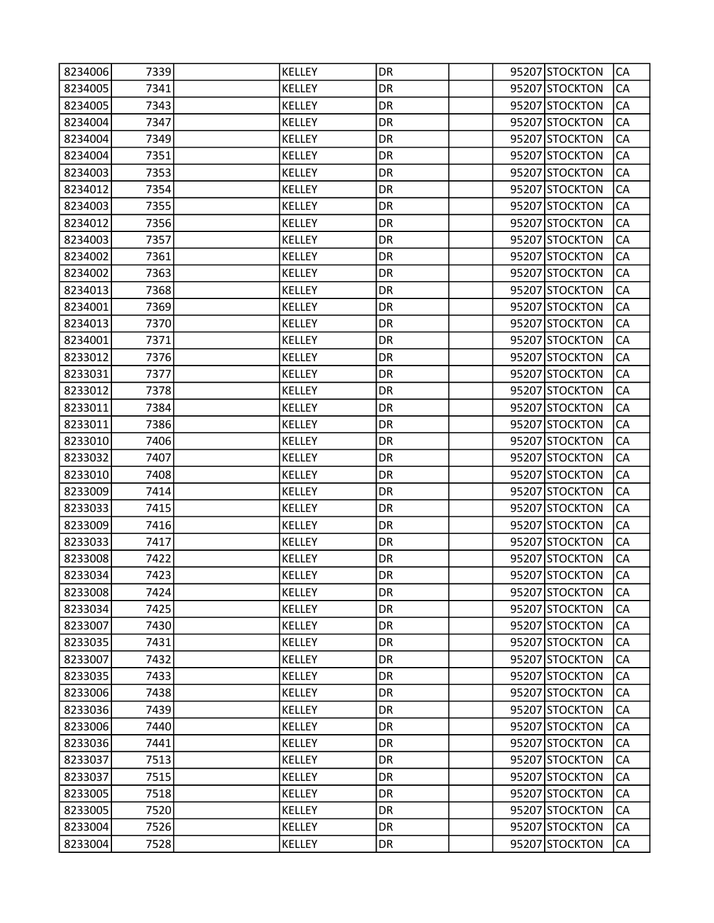| 8234006 | 7339 | <b>KELLEY</b> | DR        |  | 95207 STOCKTON | CA        |
|---------|------|---------------|-----------|--|----------------|-----------|
| 8234005 | 7341 | <b>KELLEY</b> | DR        |  | 95207 STOCKTON | CA        |
| 8234005 | 7343 | <b>KELLEY</b> | DR        |  | 95207 STOCKTON | CA        |
| 8234004 | 7347 | <b>KELLEY</b> | DR        |  | 95207 STOCKTON | CA        |
| 8234004 | 7349 | <b>KELLEY</b> | DR        |  | 95207 STOCKTON | CA        |
| 8234004 | 7351 | KELLEY        | DR        |  | 95207 STOCKTON | CA        |
| 8234003 | 7353 | <b>KELLEY</b> | DR        |  | 95207 STOCKTON | CA        |
| 8234012 | 7354 | <b>KELLEY</b> | DR        |  | 95207 STOCKTON | CA        |
| 8234003 | 7355 | <b>KELLEY</b> | DR        |  | 95207 STOCKTON | CA        |
| 8234012 | 7356 | <b>KELLEY</b> | DR        |  | 95207 STOCKTON | CA        |
| 8234003 | 7357 | KELLEY        | DR        |  | 95207 STOCKTON | CA        |
| 8234002 | 7361 | <b>KELLEY</b> | DR        |  | 95207 STOCKTON | CA        |
| 8234002 | 7363 | <b>KELLEY</b> | DR        |  | 95207 STOCKTON | CA        |
| 8234013 | 7368 | <b>KELLEY</b> | DR        |  | 95207 STOCKTON | CA        |
| 8234001 | 7369 | <b>KELLEY</b> | DR        |  | 95207 STOCKTON | CA        |
| 8234013 | 7370 | KELLEY        | DR        |  | 95207 STOCKTON | CA        |
| 8234001 | 7371 | <b>KELLEY</b> | DR        |  | 95207 STOCKTON | CA        |
| 8233012 | 7376 | <b>KELLEY</b> | DR        |  | 95207 STOCKTON | CA        |
| 8233031 | 7377 | <b>KELLEY</b> | DR        |  | 95207 STOCKTON | CA        |
| 8233012 | 7378 | <b>KELLEY</b> | DR        |  | 95207 STOCKTON | CA        |
| 8233011 | 7384 | KELLEY        | DR        |  | 95207 STOCKTON | CA        |
| 8233011 | 7386 | <b>KELLEY</b> | DR        |  | 95207 STOCKTON | CA        |
| 8233010 | 7406 | <b>KELLEY</b> | DR        |  | 95207 STOCKTON | CA        |
| 8233032 | 7407 | <b>KELLEY</b> | DR        |  | 95207 STOCKTON | CA        |
| 8233010 | 7408 | <b>KELLEY</b> | DR        |  | 95207 STOCKTON | CA        |
| 8233009 | 7414 | KELLEY        | DR        |  | 95207 STOCKTON | CA        |
| 8233033 | 7415 | <b>KELLEY</b> | DR        |  | 95207 STOCKTON | CA        |
| 8233009 | 7416 | <b>KELLEY</b> | DR        |  | 95207 STOCKTON | CA        |
| 8233033 | 7417 | KELLEY        | DR        |  | 95207 STOCKTON | CA        |
| 8233008 | 7422 | <b>KELLEY</b> | DR        |  | 95207 STOCKTON | CA        |
| 8233034 | 7423 | <b>KELLEY</b> | DR        |  | 95207 STOCKTON | CA        |
| 8233008 | 7424 | KELLEY        | DR        |  | 95207 STOCKTON | <b>CA</b> |
| 8233034 | 7425 | <b>KELLEY</b> | DR        |  | 95207 STOCKTON | CA        |
| 8233007 | 7430 | KELLEY        | DR        |  | 95207 STOCKTON | CA        |
| 8233035 | 7431 | <b>KELLEY</b> | <b>DR</b> |  | 95207 STOCKTON | CA        |
| 8233007 | 7432 | KELLEY        | DR        |  | 95207 STOCKTON | CA        |
| 8233035 | 7433 | <b>KELLEY</b> | DR        |  | 95207 STOCKTON | CA        |
| 8233006 | 7438 | KELLEY        | DR        |  | 95207 STOCKTON | CA        |
| 8233036 | 7439 | <b>KELLEY</b> | DR        |  | 95207 STOCKTON | CA        |
| 8233006 | 7440 | <b>KELLEY</b> | <b>DR</b> |  | 95207 STOCKTON | CA        |
| 8233036 | 7441 | KELLEY        | DR        |  | 95207 STOCKTON | CA        |
| 8233037 | 7513 | <b>KELLEY</b> | DR        |  | 95207 STOCKTON | CA        |
| 8233037 | 7515 | KELLEY        | DR        |  | 95207 STOCKTON | CA        |
| 8233005 | 7518 | KELLEY        | DR        |  | 95207 STOCKTON | CA        |
| 8233005 | 7520 | <b>KELLEY</b> | <b>DR</b> |  | 95207 STOCKTON | CA        |
| 8233004 | 7526 | <b>KELLEY</b> | DR        |  | 95207 STOCKTON | CA        |
| 8233004 | 7528 | <b>KELLEY</b> | DR        |  | 95207 STOCKTON | CA        |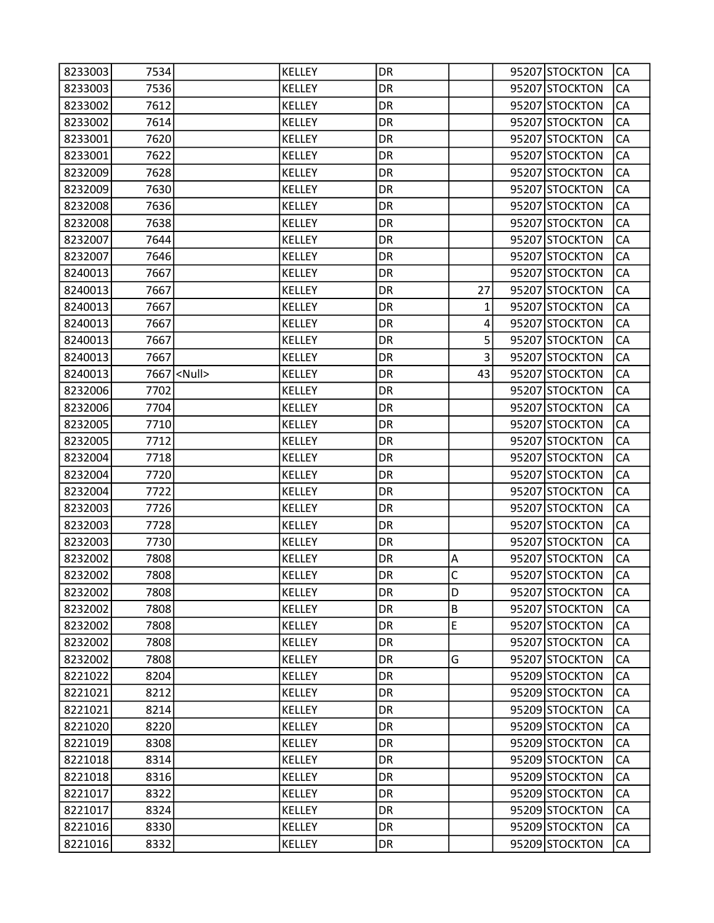| 8233003 | 7534 |                    | <b>KELLEY</b> | DR        |              | 95207 STOCKTON | CA        |
|---------|------|--------------------|---------------|-----------|--------------|----------------|-----------|
| 8233003 | 7536 |                    | <b>KELLEY</b> | DR        |              | 95207 STOCKTON | CA        |
| 8233002 | 7612 |                    | KELLEY        | DR        |              | 95207 STOCKTON | CA        |
| 8233002 | 7614 |                    | <b>KELLEY</b> | DR        |              | 95207 STOCKTON | CA        |
| 8233001 | 7620 |                    | KELLEY        | DR        |              | 95207 STOCKTON | CA        |
| 8233001 | 7622 |                    | KELLEY        | DR        |              | 95207 STOCKTON | CA        |
| 8232009 | 7628 |                    | <b>KELLEY</b> | DR        |              | 95207 STOCKTON | CA        |
| 8232009 | 7630 |                    | <b>KELLEY</b> | DR        |              | 95207 STOCKTON | CA        |
| 8232008 | 7636 |                    | <b>KELLEY</b> | DR        |              | 95207 STOCKTON | CA        |
| 8232008 | 7638 |                    | KELLEY        | DR        |              | 95207 STOCKTON | CA        |
| 8232007 | 7644 |                    | KELLEY        | DR        |              | 95207 STOCKTON | CA        |
| 8232007 | 7646 |                    | <b>KELLEY</b> | DR        |              | 95207 STOCKTON | CA        |
| 8240013 | 7667 |                    | KELLEY        | DR        |              | 95207 STOCKTON | CA        |
| 8240013 | 7667 |                    | <b>KELLEY</b> | DR        | 27           | 95207 STOCKTON | CA        |
| 8240013 | 7667 |                    | KELLEY        | DR        | $\mathbf{1}$ | 95207 STOCKTON | CA        |
| 8240013 | 7667 |                    | KELLEY        | DR        | 4            | 95207 STOCKTON | CA        |
| 8240013 | 7667 |                    | <b>KELLEY</b> | DR        | 5            | 95207 STOCKTON | CA        |
| 8240013 | 7667 |                    | KELLEY        | DR        | 3            | 95207 STOCKTON | CA        |
| 8240013 |      | 7667 <null></null> | <b>KELLEY</b> | DR        | 43           | 95207 STOCKTON | CA        |
| 8232006 | 7702 |                    | <b>KELLEY</b> | DR        |              | 95207 STOCKTON | CA        |
| 8232006 | 7704 |                    | KELLEY        | DR        |              | 95207 STOCKTON | CA        |
| 8232005 | 7710 |                    | KELLEY        | DR        |              | 95207 STOCKTON | CA        |
| 8232005 | 7712 |                    | <b>KELLEY</b> | DR        |              | 95207 STOCKTON | CA        |
| 8232004 | 7718 |                    | <b>KELLEY</b> | DR        |              | 95207 STOCKTON | CA        |
| 8232004 | 7720 |                    | KELLEY        | DR        |              | 95207 STOCKTON | CA        |
| 8232004 | 7722 |                    | KELLEY        | DR        |              | 95207 STOCKTON | CA        |
| 8232003 | 7726 |                    | <b>KELLEY</b> | DR        |              | 95207 STOCKTON | CA        |
| 8232003 | 7728 |                    | KELLEY        | DR        |              | 95207 STOCKTON | CA        |
| 8232003 | 7730 |                    | <b>KELLEY</b> | DR        |              | 95207 STOCKTON | CA        |
| 8232002 | 7808 |                    | <b>KELLEY</b> | DR        | Α            | 95207 STOCKTON | CA        |
| 8232002 | 7808 |                    | <b>KELLEY</b> | DR        | C            | 95207 STOCKTON | CA        |
| 8232002 | 7808 |                    | <b>KELLEY</b> | DR        | D            | 95207 STOCKTON | <b>CA</b> |
| 8232002 | 7808 |                    | <b>KELLEY</b> | DR        | B            | 95207 STOCKTON | CA        |
| 8232002 | 7808 |                    | <b>KELLEY</b> | DR        | $\mathsf E$  | 95207 STOCKTON | CA        |
| 8232002 | 7808 |                    | <b>KELLEY</b> | <b>DR</b> |              | 95207 STOCKTON | CA        |
| 8232002 | 7808 |                    | <b>KELLEY</b> | DR        | G            | 95207 STOCKTON | CA        |
| 8221022 | 8204 |                    | <b>KELLEY</b> | DR        |              | 95209 STOCKTON | CA        |
| 8221021 | 8212 |                    | <b>KELLEY</b> | DR        |              | 95209 STOCKTON | CA        |
| 8221021 | 8214 |                    | <b>KELLEY</b> | DR        |              | 95209 STOCKTON | CA        |
| 8221020 | 8220 |                    | <b>KELLEY</b> | <b>DR</b> |              | 95209 STOCKTON | CA        |
| 8221019 | 8308 |                    | KELLEY        | DR        |              | 95209 STOCKTON | CA        |
| 8221018 | 8314 |                    | <b>KELLEY</b> | DR        |              | 95209 STOCKTON | CA        |
| 8221018 | 8316 |                    | <b>KELLEY</b> | DR        |              | 95209 STOCKTON | CA        |
| 8221017 | 8322 |                    | <b>KELLEY</b> | DR        |              | 95209 STOCKTON | CA        |
| 8221017 | 8324 |                    | <b>KELLEY</b> | <b>DR</b> |              | 95209 STOCKTON | CA        |
| 8221016 | 8330 |                    | <b>KELLEY</b> | DR        |              | 95209 STOCKTON | CA        |
| 8221016 | 8332 |                    | <b>KELLEY</b> | DR        |              | 95209 STOCKTON | CA        |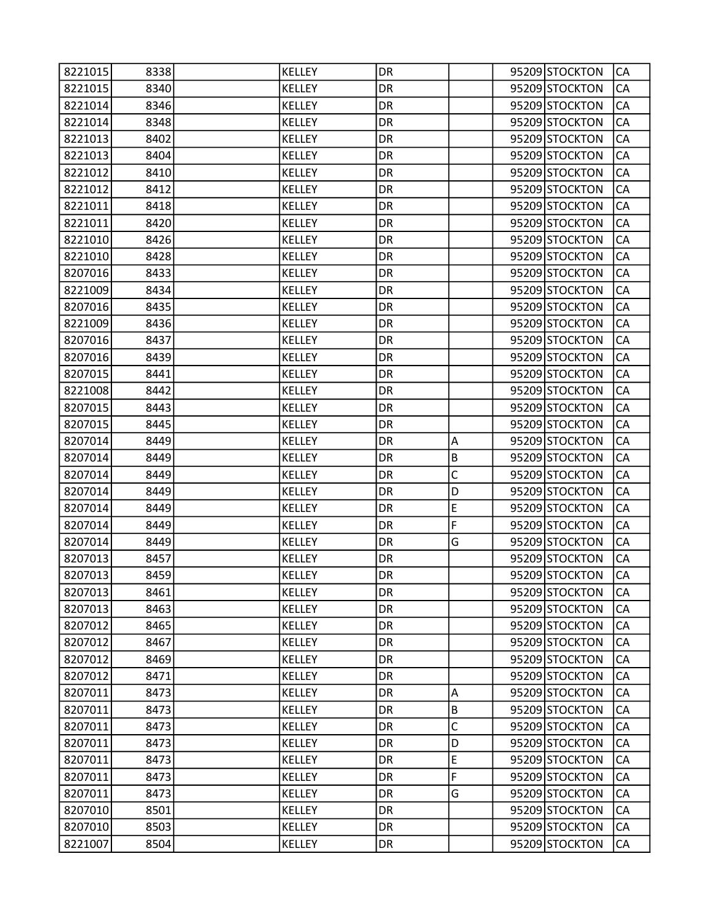| 8221015 | 8338 | KELLEY        | DR        |         | 95209 STOCKTON | CA         |
|---------|------|---------------|-----------|---------|----------------|------------|
| 8221015 | 8340 | <b>KELLEY</b> | DR        |         | 95209 STOCKTON | CA         |
| 8221014 | 8346 | <b>KELLEY</b> | DR        |         | 95209 STOCKTON | CA         |
| 8221014 | 8348 | <b>KELLEY</b> | DR        |         | 95209 STOCKTON | CA         |
| 8221013 | 8402 | <b>KELLEY</b> | DR        |         | 95209 STOCKTON | CA         |
| 8221013 | 8404 | <b>KELLEY</b> | DR        |         | 95209 STOCKTON | CA         |
| 8221012 | 8410 | <b>KELLEY</b> | DR        |         | 95209 STOCKTON | CA         |
| 8221012 | 8412 | <b>KELLEY</b> | DR        |         | 95209 STOCKTON | CA         |
| 8221011 | 8418 | <b>KELLEY</b> | DR        |         | 95209 STOCKTON | CA         |
| 8221011 | 8420 | <b>KELLEY</b> | DR        |         | 95209 STOCKTON | CA         |
| 8221010 | 8426 | <b>KELLEY</b> | DR        |         | 95209 STOCKTON | CA         |
| 8221010 | 8428 | KELLEY        | DR        |         | 95209 STOCKTON | CA         |
| 8207016 | 8433 | <b>KELLEY</b> | DR        |         | 95209 STOCKTON | CA         |
| 8221009 | 8434 | <b>KELLEY</b> | DR        |         | 95209 STOCKTON | CA         |
| 8207016 | 8435 | <b>KELLEY</b> | DR        |         | 95209 STOCKTON | CA         |
| 8221009 | 8436 | <b>KELLEY</b> | DR        |         | 95209 STOCKTON | CA         |
| 8207016 | 8437 | <b>KELLEY</b> | DR        |         | 95209 STOCKTON | CA         |
| 8207016 | 8439 | KELLEY        | DR        |         | 95209 STOCKTON | CA         |
| 8207015 | 8441 | <b>KELLEY</b> | DR        |         | 95209 STOCKTON | CA         |
| 8221008 | 8442 | <b>KELLEY</b> | DR        |         | 95209 STOCKTON | CA         |
| 8207015 | 8443 | <b>KELLEY</b> | DR        |         | 95209 STOCKTON | CA         |
| 8207015 | 8445 | KELLEY        | DR        |         | 95209 STOCKTON | CA         |
| 8207014 | 8449 | <b>KELLEY</b> | DR        | Α       | 95209 STOCKTON | CA         |
| 8207014 | 8449 | <b>KELLEY</b> | DR        | B       | 95209 STOCKTON | CA         |
| 8207014 | 8449 | <b>KELLEY</b> | DR        | C       | 95209 STOCKTON | CA         |
| 8207014 | 8449 | KELLEY        | DR        | D       | 95209 STOCKTON | CA         |
| 8207014 | 8449 | <b>KELLEY</b> | DR        | E       | 95209 STOCKTON | CA         |
| 8207014 | 8449 | KELLEY        | DR        | F       | 95209 STOCKTON | CA         |
| 8207014 | 8449 | <b>KELLEY</b> | DR        | G       | 95209 STOCKTON | CA         |
| 8207013 | 8457 | <b>KELLEY</b> | DR        |         | 95209 STOCKTON | CA         |
| 8207013 | 8459 | <b>KELLEY</b> | DR        |         | 95209 STOCKTON | CA         |
| 8207013 | 8461 | <b>KELLEY</b> | DR        |         | 95209 STOCKTON | <b>CA</b>  |
| 8207013 | 8463 | <b>KELLEY</b> | DR        |         | 95209 STOCKTON | CA         |
| 8207012 | 8465 | KELLEY        | DR        |         | 95209 STOCKTON | CA         |
| 8207012 | 8467 | KELLEY        | <b>DR</b> |         | 95209 STOCKTON | ${\sf CA}$ |
| 8207012 | 8469 | KELLEY        | DR        |         | 95209 STOCKTON | CA         |
| 8207012 | 8471 | <b>KELLEY</b> | DR        |         | 95209 STOCKTON | CA         |
| 8207011 | 8473 | <b>KELLEY</b> | DR        | Α       | 95209 STOCKTON | CA         |
| 8207011 | 8473 | KELLEY        | DR.       | $\sf B$ | 95209 STOCKTON | CA         |
| 8207011 | 8473 | KELLEY        | <b>DR</b> | C       | 95209 STOCKTON | CA         |
| 8207011 | 8473 | KELLEY        | DR        | D       | 95209 STOCKTON | CA         |
| 8207011 | 8473 | <b>KELLEY</b> | DR        | E       | 95209 STOCKTON | CA         |
| 8207011 | 8473 | KELLEY        | DR        | F       | 95209 STOCKTON | CA         |
| 8207011 | 8473 | <b>KELLEY</b> | DR        | G       | 95209 STOCKTON | CA         |
| 8207010 | 8501 | KELLEY        | DR        |         | 95209 STOCKTON | CA         |
| 8207010 | 8503 | KELLEY        | DR        |         | 95209 STOCKTON | CA         |
| 8221007 | 8504 | <b>KELLEY</b> | DR        |         | 95209 STOCKTON | CA         |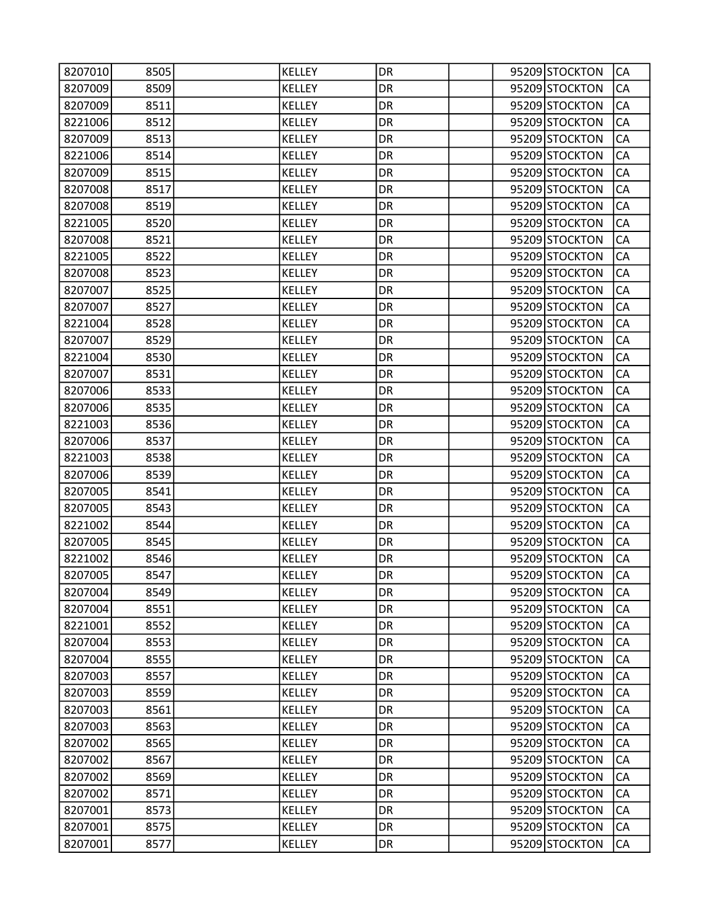| 8207010 | 8505 | KELLEY        | DR        |  | 95209 STOCKTON | CA        |
|---------|------|---------------|-----------|--|----------------|-----------|
| 8207009 | 8509 | <b>KELLEY</b> | DR        |  | 95209 STOCKTON | CA        |
| 8207009 | 8511 | KELLEY        | DR        |  | 95209 STOCKTON | CA        |
| 8221006 | 8512 | <b>KELLEY</b> | DR        |  | 95209 STOCKTON | CA        |
| 8207009 | 8513 | <b>KELLEY</b> | DR        |  | 95209 STOCKTON | CA        |
| 8221006 | 8514 | KELLEY        | DR        |  | 95209 STOCKTON | CA        |
| 8207009 | 8515 | <b>KELLEY</b> | DR        |  | 95209 STOCKTON | CA        |
| 8207008 | 8517 | <b>KELLEY</b> | DR        |  | 95209 STOCKTON | CA        |
| 8207008 | 8519 | <b>KELLEY</b> | DR        |  | 95209 STOCKTON | CA        |
| 8221005 | 8520 | <b>KELLEY</b> | DR        |  | 95209 STOCKTON | CA        |
| 8207008 | 8521 | KELLEY        | DR        |  | 95209 STOCKTON | CA        |
| 8221005 | 8522 | <b>KELLEY</b> | DR        |  | 95209 STOCKTON | CA        |
| 8207008 | 8523 | KELLEY        | DR        |  | 95209 STOCKTON | CA        |
| 8207007 | 8525 | <b>KELLEY</b> | DR        |  | 95209 STOCKTON | CA        |
| 8207007 | 8527 | <b>KELLEY</b> | DR        |  | 95209 STOCKTON | CA        |
| 8221004 | 8528 | KELLEY        | DR        |  | 95209 STOCKTON | CA        |
| 8207007 | 8529 | <b>KELLEY</b> | DR        |  | 95209 STOCKTON | CA        |
| 8221004 | 8530 | <b>KELLEY</b> | DR        |  | 95209 STOCKTON | CA        |
| 8207007 | 8531 | <b>KELLEY</b> | DR        |  | 95209 STOCKTON | CA        |
| 8207006 | 8533 | <b>KELLEY</b> | DR        |  | 95209 STOCKTON | CA        |
| 8207006 | 8535 | KELLEY        | DR        |  | 95209 STOCKTON | CA        |
| 8221003 | 8536 | KELLEY        | DR        |  | 95209 STOCKTON | CA        |
| 8207006 | 8537 | <b>KELLEY</b> | DR        |  | 95209 STOCKTON | CA        |
| 8221003 | 8538 | <b>KELLEY</b> | DR        |  | 95209 STOCKTON | CA        |
| 8207006 | 8539 | <b>KELLEY</b> | DR        |  | 95209 STOCKTON | CA        |
| 8207005 | 8541 | KELLEY        | DR        |  | 95209 STOCKTON | CA        |
| 8207005 | 8543 | <b>KELLEY</b> | DR        |  | 95209 STOCKTON | CA        |
| 8221002 | 8544 | KELLEY        | DR        |  | 95209 STOCKTON | CA        |
| 8207005 | 8545 | <b>KELLEY</b> | DR        |  | 95209 STOCKTON | CA        |
| 8221002 | 8546 | <b>KELLEY</b> | DR        |  | 95209 STOCKTON | CA        |
| 8207005 | 8547 | <b>KELLEY</b> | DR        |  | 95209 STOCKTON | CA        |
| 8207004 | 8549 | KELLEY        | DR        |  | 95209 STOCKTON | <b>CA</b> |
| 8207004 | 8551 | <b>KELLEY</b> | DR        |  | 95209 STOCKTON | CA        |
| 8221001 | 8552 | KELLEY        | DR        |  | 95209 STOCKTON | CA        |
| 8207004 | 8553 | <b>KELLEY</b> | <b>DR</b> |  | 95209 STOCKTON | CA        |
| 8207004 | 8555 | KELLEY        | DR        |  | 95209 STOCKTON | CA        |
| 8207003 | 8557 | <b>KELLEY</b> | DR        |  | 95209 STOCKTON | CA        |
| 8207003 | 8559 | <b>KELLEY</b> | DR        |  | 95209 STOCKTON | CA        |
| 8207003 | 8561 | KELLEY        | DR        |  | 95209 STOCKTON | CA        |
| 8207003 | 8563 | <b>KELLEY</b> | <b>DR</b> |  | 95209 STOCKTON | CA        |
| 8207002 | 8565 | KELLEY        | DR        |  | 95209 STOCKTON | CA        |
| 8207002 | 8567 | <b>KELLEY</b> | DR        |  | 95209 STOCKTON | CA        |
| 8207002 | 8569 | KELLEY        | DR        |  | 95209 STOCKTON | CA        |
| 8207002 | 8571 | <b>KELLEY</b> | DR        |  | 95209 STOCKTON | CA        |
| 8207001 | 8573 | <b>KELLEY</b> | <b>DR</b> |  | 95209 STOCKTON | CA        |
| 8207001 | 8575 | <b>KELLEY</b> | DR        |  | 95209 STOCKTON | CA        |
| 8207001 | 8577 | <b>KELLEY</b> | DR        |  | 95209 STOCKTON | CA        |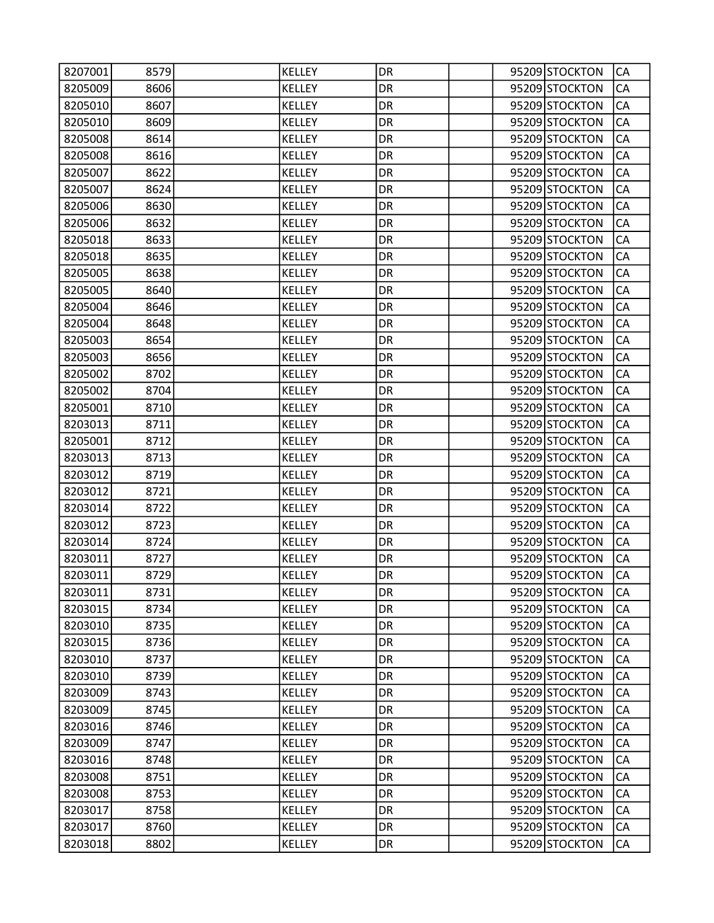| 8207001 | 8579 | KELLEY        | DR        |  | 95209 STOCKTON | CA        |
|---------|------|---------------|-----------|--|----------------|-----------|
| 8205009 | 8606 | <b>KELLEY</b> | DR        |  | 95209 STOCKTON | CA        |
| 8205010 | 8607 | KELLEY        | DR        |  | 95209 STOCKTON | CA        |
| 8205010 | 8609 | <b>KELLEY</b> | DR        |  | 95209 STOCKTON | CA        |
| 8205008 | 8614 | KELLEY        | DR        |  | 95209 STOCKTON | CA        |
| 8205008 | 8616 | KELLEY        | DR        |  | 95209 STOCKTON | CA        |
| 8205007 | 8622 | <b>KELLEY</b> | DR        |  | 95209 STOCKTON | CA        |
| 8205007 | 8624 | <b>KELLEY</b> | DR        |  | 95209 STOCKTON | CA        |
| 8205006 | 8630 | <b>KELLEY</b> | DR        |  | 95209 STOCKTON | CA        |
| 8205006 | 8632 | KELLEY        | DR        |  | 95209 STOCKTON | CA        |
| 8205018 | 8633 | KELLEY        | DR        |  | 95209 STOCKTON | CA        |
| 8205018 | 8635 | <b>KELLEY</b> | DR        |  | 95209 STOCKTON | CA        |
| 8205005 | 8638 | KELLEY        | DR        |  | 95209 STOCKTON | CA        |
| 8205005 | 8640 | <b>KELLEY</b> | DR        |  | 95209 STOCKTON | CA        |
| 8205004 | 8646 | <b>KELLEY</b> | DR        |  | 95209 STOCKTON | CA        |
| 8205004 | 8648 | KELLEY        | DR        |  | 95209 STOCKTON | CA        |
| 8205003 | 8654 | <b>KELLEY</b> | DR        |  | 95209 STOCKTON | CA        |
| 8205003 | 8656 | KELLEY        | DR        |  | 95209 STOCKTON | CA        |
| 8205002 | 8702 | <b>KELLEY</b> | DR        |  | 95209 STOCKTON | CA        |
| 8205002 | 8704 | <b>KELLEY</b> | DR        |  | 95209 STOCKTON | CA        |
| 8205001 | 8710 | KELLEY        | DR        |  | 95209 STOCKTON | CA        |
| 8203013 | 8711 | KELLEY        | DR        |  | 95209 STOCKTON | CA        |
| 8205001 | 8712 | <b>KELLEY</b> | DR        |  | 95209 STOCKTON | CA        |
| 8203013 | 8713 | <b>KELLEY</b> | DR        |  | 95209 STOCKTON | CA        |
| 8203012 | 8719 | KELLEY        | DR        |  | 95209 STOCKTON | CA        |
| 8203012 | 8721 | KELLEY        | DR        |  | 95209 STOCKTON | CA        |
| 8203014 | 8722 | <b>KELLEY</b> | DR        |  | 95209 STOCKTON | CA        |
| 8203012 | 8723 | KELLEY        | DR        |  | 95209 STOCKTON | CA        |
| 8203014 | 8724 | <b>KELLEY</b> | DR        |  | 95209 STOCKTON | CA        |
| 8203011 | 8727 | <b>KELLEY</b> | DR        |  | 95209 STOCKTON | CA        |
| 8203011 | 8729 | <b>KELLEY</b> | DR        |  | 95209 STOCKTON | CA        |
| 8203011 | 8731 | KELLEY        | DR        |  | 95209 STOCKTON | <b>CA</b> |
| 8203015 | 8734 | <b>KELLEY</b> | DR        |  | 95209 STOCKTON | CA        |
| 8203010 | 8735 | <b>KELLEY</b> | DR        |  | 95209 STOCKTON | CA        |
| 8203015 | 8736 | <b>KELLEY</b> | <b>DR</b> |  | 95209 STOCKTON | CA        |
| 8203010 | 8737 | KELLEY        | DR        |  | 95209 STOCKTON | CA        |
| 8203010 | 8739 | <b>KELLEY</b> | DR        |  | 95209 STOCKTON | CA        |
| 8203009 | 8743 | <b>KELLEY</b> | DR        |  | 95209 STOCKTON | CA        |
| 8203009 | 8745 | <b>KELLEY</b> | DR        |  | 95209 STOCKTON | CA        |
| 8203016 | 8746 | <b>KELLEY</b> | <b>DR</b> |  | 95209 STOCKTON | CA        |
| 8203009 | 8747 | KELLEY        | DR        |  | 95209 STOCKTON | CA        |
| 8203016 | 8748 | <b>KELLEY</b> | DR        |  | 95209 STOCKTON | CA        |
| 8203008 | 8751 | KELLEY        | DR        |  | 95209 STOCKTON | CA        |
| 8203008 | 8753 | <b>KELLEY</b> | DR        |  | 95209 STOCKTON | CA        |
| 8203017 | 8758 | <b>KELLEY</b> | <b>DR</b> |  | 95209 STOCKTON | CA        |
| 8203017 | 8760 | <b>KELLEY</b> | DR        |  | 95209 STOCKTON | CA        |
| 8203018 | 8802 | <b>KELLEY</b> | DR        |  | 95209 STOCKTON | CA        |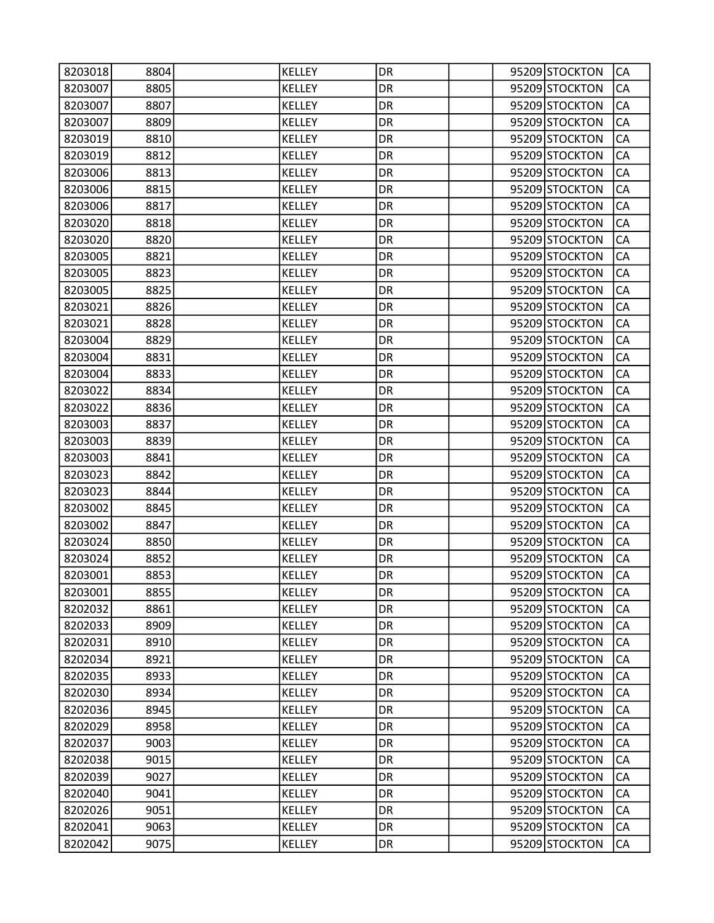| 8203018 | 8804 | KELLEY        | DR        |  | 95209 STOCKTON | CA        |
|---------|------|---------------|-----------|--|----------------|-----------|
| 8203007 | 8805 | <b>KELLEY</b> | DR        |  | 95209 STOCKTON | CA        |
| 8203007 | 8807 | <b>KELLEY</b> | DR        |  | 95209 STOCKTON | CA        |
| 8203007 | 8809 | <b>KELLEY</b> | DR        |  | 95209 STOCKTON | CA        |
| 8203019 | 8810 | KELLEY        | DR        |  | 95209 STOCKTON | CA        |
| 8203019 | 8812 | KELLEY        | DR        |  | 95209 STOCKTON | CA        |
| 8203006 | 8813 | <b>KELLEY</b> | DR        |  | 95209 STOCKTON | CA        |
| 8203006 | 8815 | <b>KELLEY</b> | DR        |  | 95209 STOCKTON | CA        |
| 8203006 | 8817 | <b>KELLEY</b> | DR        |  | 95209 STOCKTON | CA        |
| 8203020 | 8818 | KELLEY        | DR        |  | 95209 STOCKTON | CA        |
| 8203020 | 8820 | KELLEY        | DR        |  | 95209 STOCKTON | CA        |
| 8203005 | 8821 | <b>KELLEY</b> | DR        |  | 95209 STOCKTON | CA        |
| 8203005 | 8823 | <b>KELLEY</b> | DR        |  | 95209 STOCKTON | CA        |
| 8203005 | 8825 | <b>KELLEY</b> | DR        |  | 95209 STOCKTON | CA        |
| 8203021 | 8826 | <b>KELLEY</b> | DR        |  | 95209 STOCKTON | CA        |
| 8203021 | 8828 | KELLEY        | DR        |  | 95209 STOCKTON | CA        |
| 8203004 | 8829 | <b>KELLEY</b> | DR        |  | 95209 STOCKTON | CA        |
| 8203004 | 8831 | <b>KELLEY</b> | DR        |  | 95209 STOCKTON | CA        |
| 8203004 | 8833 | <b>KELLEY</b> | DR        |  | 95209 STOCKTON | CA        |
| 8203022 | 8834 | <b>KELLEY</b> | DR        |  | 95209 STOCKTON | CA        |
| 8203022 | 8836 | KELLEY        | DR        |  | 95209 STOCKTON | CA        |
| 8203003 | 8837 | KELLEY        | DR        |  | 95209 STOCKTON | CA        |
| 8203003 | 8839 | <b>KELLEY</b> | DR        |  | 95209 STOCKTON | CA        |
| 8203003 | 8841 | <b>KELLEY</b> | DR        |  | 95209 STOCKTON | CA        |
| 8203023 | 8842 | KELLEY        | DR        |  | 95209 STOCKTON | CA        |
| 8203023 | 8844 | KELLEY        | DR        |  | 95209 STOCKTON | CA        |
| 8203002 | 8845 | <b>KELLEY</b> | DR        |  | 95209 STOCKTON | CA        |
| 8203002 | 8847 | KELLEY        | DR        |  | 95209 STOCKTON | CA        |
| 8203024 | 8850 | <b>KELLEY</b> | DR        |  | 95209 STOCKTON | CA        |
| 8203024 | 8852 | <b>KELLEY</b> | DR        |  | 95209 STOCKTON | CA        |
| 8203001 | 8853 | <b>KELLEY</b> | DR        |  | 95209 STOCKTON | CA        |
| 8203001 | 8855 | <b>KELLEY</b> | DR        |  | 95209 STOCKTON | <b>CA</b> |
| 8202032 | 8861 | <b>KELLEY</b> | DR        |  | 95209 STOCKTON | CA        |
| 8202033 | 8909 | <b>KELLEY</b> | DR        |  | 95209 STOCKTON | CA        |
| 8202031 | 8910 | <b>KELLEY</b> | <b>DR</b> |  | 95209 STOCKTON | CA        |
| 8202034 | 8921 | <b>KELLEY</b> | DR        |  | 95209 STOCKTON | CA        |
| 8202035 | 8933 | <b>KELLEY</b> | DR        |  | 95209 STOCKTON | CA        |
| 8202030 | 8934 | <b>KELLEY</b> | DR        |  | 95209 STOCKTON | CA        |
| 8202036 | 8945 | <b>KELLEY</b> | DR        |  | 95209 STOCKTON | CA        |
| 8202029 | 8958 | <b>KELLEY</b> | <b>DR</b> |  | 95209 STOCKTON | CA        |
| 8202037 | 9003 | KELLEY        | DR        |  | 95209 STOCKTON | CA        |
| 8202038 | 9015 | <b>KELLEY</b> | DR        |  | 95209 STOCKTON | CA        |
| 8202039 | 9027 | KELLEY        | DR        |  | 95209 STOCKTON | CA        |
| 8202040 | 9041 | <b>KELLEY</b> | DR        |  | 95209 STOCKTON | CA        |
| 8202026 | 9051 | <b>KELLEY</b> | <b>DR</b> |  | 95209 STOCKTON | CA        |
| 8202041 | 9063 | <b>KELLEY</b> | DR        |  | 95209 STOCKTON | CA        |
| 8202042 | 9075 | <b>KELLEY</b> | DR        |  | 95209 STOCKTON | CA        |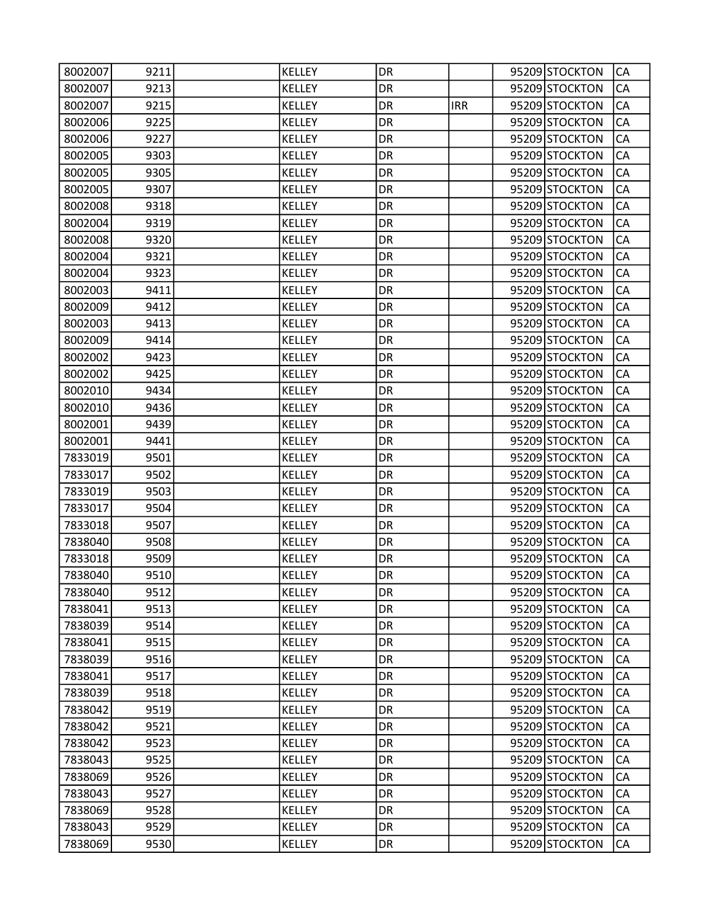| 8002007 | 9211 | KELLEY        | DR        |            | 95209 STOCKTON | CA        |
|---------|------|---------------|-----------|------------|----------------|-----------|
| 8002007 | 9213 | <b>KELLEY</b> | DR        |            | 95209 STOCKTON | CA        |
| 8002007 | 9215 | KELLEY        | DR        | <b>IRR</b> | 95209 STOCKTON | CA        |
| 8002006 | 9225 | <b>KELLEY</b> | DR        |            | 95209 STOCKTON | CA        |
| 8002006 | 9227 | <b>KELLEY</b> | DR        |            | 95209 STOCKTON | CA        |
| 8002005 | 9303 | KELLEY        | DR        |            | 95209 STOCKTON | CA        |
| 8002005 | 9305 | <b>KELLEY</b> | DR        |            | 95209 STOCKTON | CA        |
| 8002005 | 9307 | <b>KELLEY</b> | DR        |            | 95209 STOCKTON | CA        |
| 8002008 | 9318 | <b>KELLEY</b> | DR        |            | 95209 STOCKTON | CA        |
| 8002004 | 9319 | KELLEY        | DR        |            | 95209 STOCKTON | CA        |
| 8002008 | 9320 | KELLEY        | DR        |            | 95209 STOCKTON | CA        |
| 8002004 | 9321 | <b>KELLEY</b> | DR        |            | 95209 STOCKTON | CA        |
| 8002004 | 9323 | KELLEY        | DR        |            | 95209 STOCKTON | CA        |
| 8002003 | 9411 | <b>KELLEY</b> | DR        |            | 95209 STOCKTON | CA        |
| 8002009 | 9412 | <b>KELLEY</b> | DR        |            | 95209 STOCKTON | CA        |
| 8002003 | 9413 | KELLEY        | DR        |            | 95209 STOCKTON | CA        |
| 8002009 | 9414 | <b>KELLEY</b> | DR        |            | 95209 STOCKTON | CA        |
| 8002002 | 9423 | KELLEY        | DR        |            | 95209 STOCKTON | CA        |
| 8002002 | 9425 | <b>KELLEY</b> | DR        |            | 95209 STOCKTON | CA        |
| 8002010 | 9434 | KELLEY        | DR        |            | 95209 STOCKTON | CA        |
| 8002010 | 9436 | KELLEY        | DR        |            | 95209 STOCKTON | CA        |
| 8002001 | 9439 | KELLEY        | DR        |            | 95209 STOCKTON | CA        |
| 8002001 | 9441 | <b>KELLEY</b> | DR        |            | 95209 STOCKTON | CA        |
| 7833019 | 9501 | <b>KELLEY</b> | DR        |            | 95209 STOCKTON | CA        |
| 7833017 | 9502 | KELLEY        | DR        |            | 95209 STOCKTON | CA        |
| 7833019 | 9503 | KELLEY        | DR        |            | 95209 STOCKTON | CA        |
| 7833017 | 9504 | <b>KELLEY</b> | DR        |            | 95209 STOCKTON | CA        |
| 7833018 | 9507 | <b>KELLEY</b> | DR        |            | 95209 STOCKTON | CA        |
| 7838040 | 9508 | <b>KELLEY</b> | DR        |            | 95209 STOCKTON | CA        |
| 7833018 | 9509 | <b>KELLEY</b> | DR        |            | 95209 STOCKTON | CA        |
| 7838040 | 9510 | <b>KELLEY</b> | DR        |            | 95209 STOCKTON | CA        |
| 7838040 | 9512 | <b>KELLEY</b> | DR        |            | 95209 STOCKTON | <b>CA</b> |
| 7838041 | 9513 | <b>KELLEY</b> | DR        |            | 95209 STOCKTON | CA        |
| 7838039 | 9514 | <b>KELLEY</b> | DR        |            | 95209 STOCKTON | CA        |
| 7838041 | 9515 | <b>KELLEY</b> | <b>DR</b> |            | 95209 STOCKTON | CA        |
| 7838039 | 9516 | KELLEY        | DR        |            | 95209 STOCKTON | CA        |
| 7838041 | 9517 | <b>KELLEY</b> | DR        |            | 95209 STOCKTON | CA        |
| 7838039 | 9518 | <b>KELLEY</b> | DR        |            | 95209 STOCKTON | CA        |
| 7838042 | 9519 | <b>KELLEY</b> | DR        |            | 95209 STOCKTON | CA        |
| 7838042 | 9521 | <b>KELLEY</b> | <b>DR</b> |            | 95209 STOCKTON | CA        |
| 7838042 | 9523 | KELLEY        | DR        |            | 95209 STOCKTON | CA        |
| 7838043 | 9525 | <b>KELLEY</b> | DR        |            | 95209 STOCKTON | CA        |
| 7838069 | 9526 | KELLEY        | DR        |            | 95209 STOCKTON | CA        |
| 7838043 | 9527 | <b>KELLEY</b> | DR        |            | 95209 STOCKTON | CA        |
| 7838069 | 9528 | <b>KELLEY</b> | <b>DR</b> |            | 95209 STOCKTON | CA        |
| 7838043 | 9529 | <b>KELLEY</b> | DR        |            | 95209 STOCKTON | CA        |
| 7838069 | 9530 | <b>KELLEY</b> | DR        |            | 95209 STOCKTON | CA        |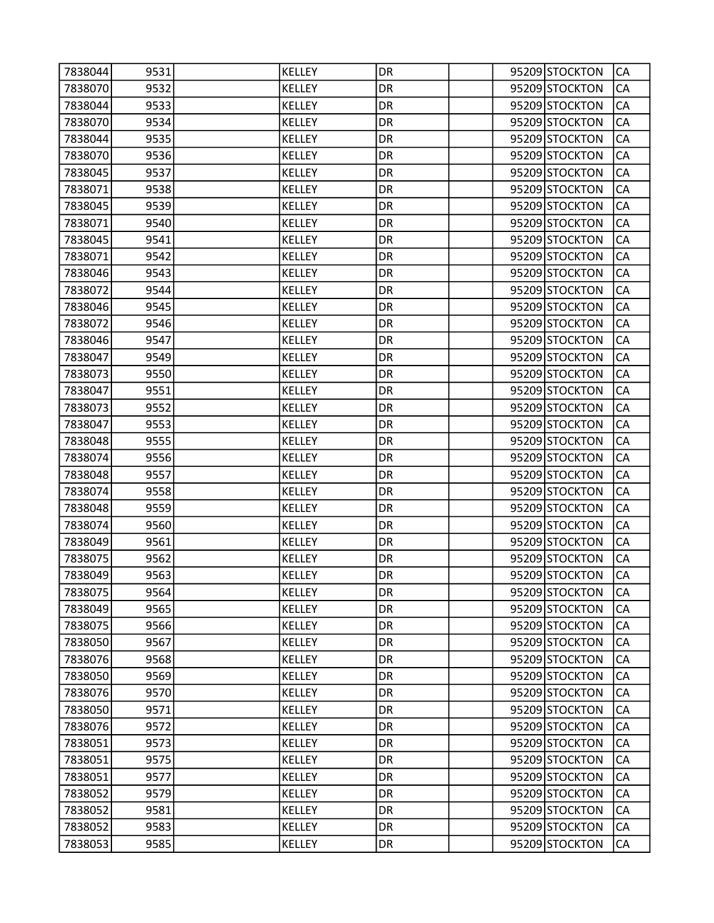| 7838044            | 9531         | KELLEY                  | DR        |  | 95209 STOCKTON                   | CA        |
|--------------------|--------------|-------------------------|-----------|--|----------------------------------|-----------|
| 7838070            | 9532         | <b>KELLEY</b>           | DR        |  | 95209 STOCKTON                   | CA        |
| 7838044            | 9533         | <b>KELLEY</b>           | DR        |  | 95209 STOCKTON                   | CA        |
| 7838070            | 9534         | <b>KELLEY</b>           | DR        |  | 95209 STOCKTON                   | CA        |
| 7838044            | 9535         | <b>KELLEY</b>           | DR        |  | 95209 STOCKTON                   | CA        |
| 7838070            | 9536         | KELLEY                  | DR        |  | 95209 STOCKTON                   | CA        |
| 7838045            | 9537         | <b>KELLEY</b>           | DR        |  | 95209 STOCKTON                   | CA        |
| 7838071            | 9538         | <b>KELLEY</b>           | DR        |  | 95209 STOCKTON                   | CA        |
| 7838045            | 9539         | <b>KELLEY</b>           | DR        |  | 95209 STOCKTON                   | CA        |
| 7838071            | 9540         | <b>KELLEY</b>           | DR        |  | 95209 STOCKTON                   | CA        |
| 7838045            | 9541         | KELLEY                  | DR        |  | 95209 STOCKTON                   | CA        |
| 7838071            | 9542         | <b>KELLEY</b>           | DR        |  | 95209 STOCKTON                   | CA        |
| 7838046            | 9543         | <b>KELLEY</b>           | DR        |  | 95209 STOCKTON                   | CA        |
| 7838072            | 9544         | KELLEY                  | DR        |  | 95209 STOCKTON                   | CA        |
| 7838046            | 9545         | <b>KELLEY</b>           | DR        |  | 95209 STOCKTON                   | CA        |
| 7838072            | 9546         | KELLEY                  | DR        |  | 95209 STOCKTON                   | CA        |
| 7838046            | 9547         | <b>KELLEY</b>           | DR        |  | 95209 STOCKTON                   | CA        |
| 7838047            | 9549         | <b>KELLEY</b>           | DR        |  | 95209 STOCKTON                   | CA        |
| 7838073            | 9550         | <b>KELLEY</b>           | DR        |  | 95209 STOCKTON                   | CA        |
| 7838047            | 9551         | <b>KELLEY</b>           | DR        |  | 95209 STOCKTON                   | CA        |
| 7838073            | 9552         | <b>KELLEY</b>           | DR        |  | 95209 STOCKTON                   | CA        |
| 7838047            | 9553         | <b>KELLEY</b>           | DR        |  | 95209 STOCKTON                   | CA        |
| 7838048            | 9555         | <b>KELLEY</b>           | DR        |  | 95209 STOCKTON                   | CA        |
| 7838074            | 9556         | KELLEY                  | DR        |  | 95209 STOCKTON                   | CA        |
| 7838048            | 9557         | <b>KELLEY</b>           | DR        |  | 95209 STOCKTON                   | CA        |
| 7838074            | 9558         | KELLEY                  | DR        |  | 95209 STOCKTON                   | CA        |
| 7838048            | 9559         | <b>KELLEY</b>           | DR        |  | 95209 STOCKTON                   | CA        |
| 7838074            | 9560         | <b>KELLEY</b>           | DR        |  | 95209 STOCKTON                   | CA        |
| 7838049            | 9561         | KELLEY                  | DR        |  | 95209 STOCKTON                   | CA        |
| 7838075            | 9562         | <b>KELLEY</b>           | DR        |  | 95209 STOCKTON                   | CA        |
| 7838049            | 9563         | <b>KELLEY</b>           | DR        |  | 95209 STOCKTON                   | CA        |
| 7838075            | 9564         | <b>KELLEY</b>           | DR        |  | 95209 STOCKTON                   | <b>CA</b> |
| 7838049            | 9565         | <b>KELLEY</b>           | DR        |  | 95209 STOCKTON                   | CA        |
| 7838075            | 9566         | KELLEY                  | DR        |  | 95209 STOCKTON                   | CA        |
| 7838050            | 9567         | <b>KELLEY</b>           | <b>DR</b> |  | 95209 STOCKTON                   | CA        |
| 7838076            | 9568         | KELLEY                  | DR        |  | 95209 STOCKTON                   | CA        |
| 7838050            | 9569         | <b>KELLEY</b>           | DR        |  | 95209 STOCKTON                   | CA        |
| 7838076            | 9570         | <b>KELLEY</b>           | DR        |  | 95209 STOCKTON                   | CA        |
| 7838050            | 9571         | <b>KELLEY</b>           | DR        |  | 95209 STOCKTON                   | CA        |
| 7838076            | 9572         | <b>KELLEY</b>           | <b>DR</b> |  | 95209 STOCKTON                   | CA        |
| 7838051<br>7838051 | 9573<br>9575 | KELLEY<br><b>KELLEY</b> | DR<br>DR  |  | 95209 STOCKTON<br>95209 STOCKTON | CA<br>CA  |
| 7838051            | 9577         | KELLEY                  | DR        |  | 95209 STOCKTON                   | CA        |
| 7838052            | 9579         | KELLEY                  | DR        |  | 95209 STOCKTON                   | CA        |
| 7838052            | 9581         | <b>KELLEY</b>           | <b>DR</b> |  | 95209 STOCKTON                   | CA        |
| 7838052            | 9583         | <b>KELLEY</b>           | DR        |  | 95209 STOCKTON                   | CA        |
| 7838053            | 9585         | <b>KELLEY</b>           | DR        |  | 95209 STOCKTON                   | CA        |
|                    |              |                         |           |  |                                  |           |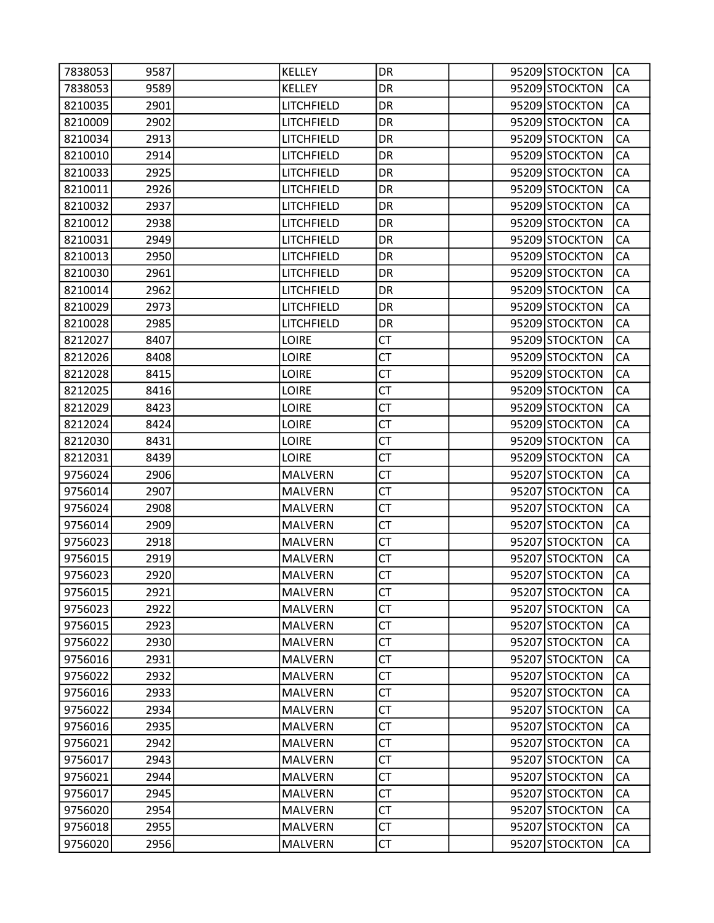| 7838053 | 9587 | <b>KELLEY</b>  | DR        |  | 95209 STOCKTON | CA        |
|---------|------|----------------|-----------|--|----------------|-----------|
| 7838053 | 9589 | <b>KELLEY</b>  | DR        |  | 95209 STOCKTON | CA        |
| 8210035 | 2901 | LITCHFIELD     | DR        |  | 95209 STOCKTON | CA        |
| 8210009 | 2902 | LITCHFIELD     | DR        |  | 95209 STOCKTON | CA        |
| 8210034 | 2913 | LITCHFIELD     | DR        |  | 95209 STOCKTON | CA        |
| 8210010 | 2914 | LITCHFIELD     | DR        |  | 95209 STOCKTON | CA        |
| 8210033 | 2925 | LITCHFIELD     | DR        |  | 95209 STOCKTON | CA        |
| 8210011 | 2926 | LITCHFIELD     | DR        |  | 95209 STOCKTON | CA        |
| 8210032 | 2937 | LITCHFIELD     | DR        |  | 95209 STOCKTON | CA        |
| 8210012 | 2938 | LITCHFIELD     | DR        |  | 95209 STOCKTON | CA        |
| 8210031 | 2949 | LITCHFIELD     | DR        |  | 95209 STOCKTON | CA        |
| 8210013 | 2950 | LITCHFIELD     | DR        |  | 95209 STOCKTON | CA        |
| 8210030 | 2961 | LITCHFIELD     | DR        |  | 95209 STOCKTON | CA        |
| 8210014 | 2962 | LITCHFIELD     | DR        |  | 95209 STOCKTON | CA        |
| 8210029 | 2973 | LITCHFIELD     | DR        |  | 95209 STOCKTON | CA        |
| 8210028 | 2985 | LITCHFIELD     | DR        |  | 95209 STOCKTON | CA        |
| 8212027 | 8407 | <b>LOIRE</b>   | <b>CT</b> |  | 95209 STOCKTON | CA        |
| 8212026 | 8408 | <b>LOIRE</b>   | <b>CT</b> |  | 95209 STOCKTON | CA        |
| 8212028 | 8415 | <b>LOIRE</b>   | <b>CT</b> |  | 95209 STOCKTON | CA        |
| 8212025 | 8416 | <b>LOIRE</b>   | <b>CT</b> |  | 95209 STOCKTON | CA        |
| 8212029 | 8423 | <b>LOIRE</b>   | СT        |  | 95209 STOCKTON | CA        |
| 8212024 | 8424 | <b>LOIRE</b>   | <b>CT</b> |  | 95209 STOCKTON | CA        |
| 8212030 | 8431 | <b>LOIRE</b>   | <b>CT</b> |  | 95209 STOCKTON | CA        |
| 8212031 | 8439 | LOIRE          | <b>CT</b> |  | 95209 STOCKTON | CA        |
| 9756024 | 2906 | <b>MALVERN</b> | <b>CT</b> |  | 95207 STOCKTON | CA        |
| 9756014 | 2907 | <b>MALVERN</b> | СT        |  | 95207 STOCKTON | CA        |
| 9756024 | 2908 | <b>MALVERN</b> | <b>CT</b> |  | 95207 STOCKTON | CA        |
| 9756014 | 2909 | <b>MALVERN</b> | <b>CT</b> |  | 95207 STOCKTON | CA        |
| 9756023 | 2918 | <b>MALVERN</b> | <b>CT</b> |  | 95207 STOCKTON | CA        |
| 9756015 | 2919 | <b>MALVERN</b> | <b>CT</b> |  | 95207 STOCKTON | CA        |
| 9756023 | 2920 | <b>MALVERN</b> | СT        |  | 95207 STOCKTON | CA        |
| 9756015 | 2921 | <b>MALVERN</b> | <b>CT</b> |  | 95207 STOCKTON | <b>CA</b> |
| 9756023 | 2922 | <b>MALVERN</b> | <b>CT</b> |  | 95207 STOCKTON | CA        |
| 9756015 | 2923 | <b>MALVERN</b> | <b>CT</b> |  | 95207 STOCKTON | CA        |
| 9756022 | 2930 | <b>MALVERN</b> | <b>CT</b> |  | 95207 STOCKTON | CA        |
| 9756016 | 2931 | <b>MALVERN</b> | CT        |  | 95207 STOCKTON | CA        |
| 9756022 | 2932 | <b>MALVERN</b> | <b>CT</b> |  | 95207 STOCKTON | CA        |
| 9756016 | 2933 | <b>MALVERN</b> | <b>CT</b> |  | 95207 STOCKTON | CA        |
| 9756022 | 2934 | <b>MALVERN</b> | <b>CT</b> |  | 95207 STOCKTON | CA        |
| 9756016 | 2935 | <b>MALVERN</b> | <b>CT</b> |  | 95207 STOCKTON | CA        |
| 9756021 | 2942 | <b>MALVERN</b> | CT        |  | 95207 STOCKTON | CA        |
| 9756017 | 2943 | <b>MALVERN</b> | <b>CT</b> |  | 95207 STOCKTON | CA        |
| 9756021 | 2944 | <b>MALVERN</b> | <b>CT</b> |  | 95207 STOCKTON | CA        |
| 9756017 | 2945 | <b>MALVERN</b> | <b>CT</b> |  | 95207 STOCKTON | CA        |
| 9756020 | 2954 | <b>MALVERN</b> | <b>CT</b> |  | 95207 STOCKTON | CA        |
| 9756018 | 2955 | <b>MALVERN</b> | <b>CT</b> |  | 95207 STOCKTON | CA        |
| 9756020 | 2956 | <b>MALVERN</b> | <b>CT</b> |  | 95207 STOCKTON | CA        |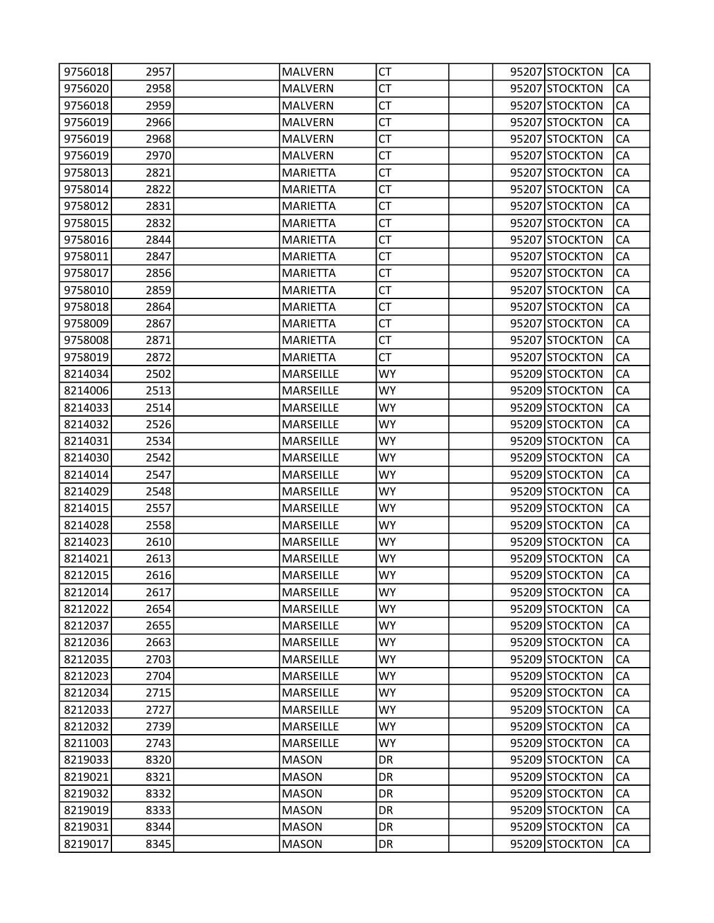| 9756018 | 2957 | <b>MALVERN</b>   | CT        |  | 95207 STOCKTON | CA        |
|---------|------|------------------|-----------|--|----------------|-----------|
| 9756020 | 2958 | <b>MALVERN</b>   | <b>CT</b> |  | 95207 STOCKTON | CA        |
| 9756018 | 2959 | <b>MALVERN</b>   | <b>CT</b> |  | 95207 STOCKTON | CA        |
| 9756019 | 2966 | <b>MALVERN</b>   | <b>CT</b> |  | 95207 STOCKTON | CA        |
| 9756019 | 2968 | <b>MALVERN</b>   | <b>CT</b> |  | 95207 STOCKTON | CA        |
| 9756019 | 2970 | <b>MALVERN</b>   | СT        |  | 95207 STOCKTON | CA        |
| 9758013 | 2821 | <b>MARIETTA</b>  | <b>CT</b> |  | 95207 STOCKTON | CA        |
| 9758014 | 2822 | <b>MARIETTA</b>  | <b>CT</b> |  | 95207 STOCKTON | CA        |
| 9758012 | 2831 | <b>MARIETTA</b>  | <b>CT</b> |  | 95207 STOCKTON | CA        |
| 9758015 | 2832 | <b>MARIETTA</b>  | <b>CT</b> |  | 95207 STOCKTON | CA        |
| 9758016 | 2844 | <b>MARIETTA</b>  | CT        |  | 95207 STOCKTON | CA        |
| 9758011 | 2847 | <b>MARIETTA</b>  | <b>CT</b> |  | 95207 STOCKTON | CA        |
| 9758017 | 2856 | <b>MARIETTA</b>  | <b>CT</b> |  | 95207 STOCKTON | CA        |
| 9758010 | 2859 | <b>MARIETTA</b>  | <b>CT</b> |  | 95207 STOCKTON | CA        |
| 9758018 | 2864 | <b>MARIETTA</b>  | <b>CT</b> |  | 95207 STOCKTON | CA        |
| 9758009 | 2867 | <b>MARIETTA</b>  | CT        |  | 95207 STOCKTON | CA        |
| 9758008 | 2871 | <b>MARIETTA</b>  | <b>CT</b> |  | 95207 STOCKTON | CA        |
| 9758019 | 2872 | <b>MARIETTA</b>  | <b>CT</b> |  | 95207 STOCKTON | CA        |
| 8214034 | 2502 | <b>MARSEILLE</b> | <b>WY</b> |  | 95209 STOCKTON | CA        |
| 8214006 | 2513 | MARSEILLE        | <b>WY</b> |  | 95209 STOCKTON | CA        |
| 8214033 | 2514 | <b>MARSEILLE</b> | <b>WY</b> |  | 95209 STOCKTON | CA        |
| 8214032 | 2526 | MARSEILLE        | <b>WY</b> |  | 95209 STOCKTON | CA        |
| 8214031 | 2534 | <b>MARSEILLE</b> | <b>WY</b> |  | 95209 STOCKTON | CA        |
| 8214030 | 2542 | <b>MARSEILLE</b> | <b>WY</b> |  | 95209 STOCKTON | CA        |
| 8214014 | 2547 | MARSEILLE        | <b>WY</b> |  | 95209 STOCKTON | CA        |
| 8214029 | 2548 | <b>MARSEILLE</b> | <b>WY</b> |  | 95209 STOCKTON | CA        |
| 8214015 | 2557 | <b>MARSEILLE</b> | <b>WY</b> |  | 95209 STOCKTON | CA        |
| 8214028 | 2558 | MARSEILLE        | <b>WY</b> |  | 95209 STOCKTON | CA        |
| 8214023 | 2610 | <b>MARSEILLE</b> | WY        |  | 95209 STOCKTON | CA        |
| 8214021 | 2613 | MARSEILLE        | <b>WY</b> |  | 95209 STOCKTON | CA        |
| 8212015 | 2616 | <b>MARSEILLE</b> | WY        |  | 95209 STOCKTON | CA        |
| 8212014 | 2617 | <b>MARSEILLE</b> | <b>WY</b> |  | 95209 STOCKTON | <b>CA</b> |
| 8212022 | 2654 | MARSEILLE        | <b>WY</b> |  | 95209 STOCKTON | CA        |
| 8212037 | 2655 | MARSEILLE        | <b>WY</b> |  | 95209 STOCKTON | CA        |
| 8212036 | 2663 | MARSEILLE        | <b>WY</b> |  | 95209 STOCKTON | CA        |
| 8212035 | 2703 | <b>MARSEILLE</b> | <b>WY</b> |  | 95209 STOCKTON | CA        |
| 8212023 | 2704 | MARSEILLE        | <b>WY</b> |  | 95209 STOCKTON | CA        |
| 8212034 | 2715 | MARSEILLE        | <b>WY</b> |  | 95209 STOCKTON | CA        |
| 8212033 | 2727 | MARSEILLE        | <b>WY</b> |  | 95209 STOCKTON | CA        |
| 8212032 | 2739 | MARSEILLE        | <b>WY</b> |  | 95209 STOCKTON | CA        |
| 8211003 | 2743 | <b>MARSEILLE</b> | <b>WY</b> |  | 95209 STOCKTON | CA        |
| 8219033 | 8320 | <b>MASON</b>     | DR        |  | 95209 STOCKTON | CA        |
| 8219021 | 8321 | <b>MASON</b>     | <b>DR</b> |  | 95209 STOCKTON | CA        |
| 8219032 | 8332 | <b>MASON</b>     | DR        |  | 95209 STOCKTON | CA        |
| 8219019 | 8333 | <b>MASON</b>     | <b>DR</b> |  | 95209 STOCKTON | CA        |
| 8219031 | 8344 | <b>MASON</b>     | DR        |  | 95209 STOCKTON | CA        |
| 8219017 | 8345 | <b>MASON</b>     | DR        |  | 95209 STOCKTON | CA        |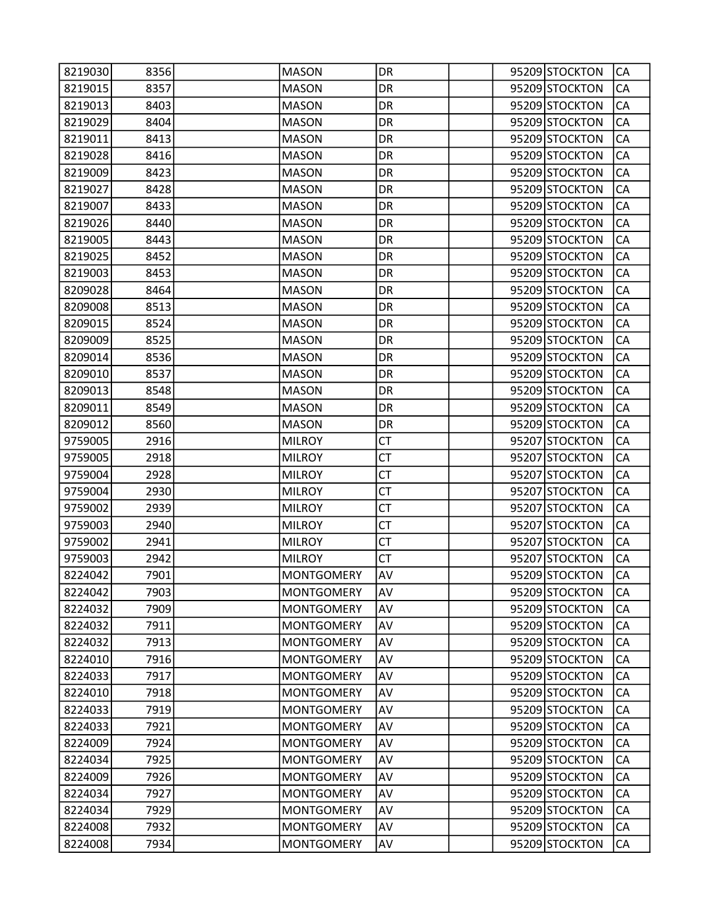| 8219030 | 8356 | <b>MASON</b>      | DR        |  | 95209 STOCKTON | CA |
|---------|------|-------------------|-----------|--|----------------|----|
| 8219015 | 8357 | <b>MASON</b>      | DR        |  | 95209 STOCKTON | CA |
| 8219013 | 8403 | <b>MASON</b>      | DR        |  | 95209 STOCKTON | CA |
| 8219029 | 8404 | <b>MASON</b>      | DR        |  | 95209 STOCKTON | CA |
| 8219011 | 8413 | <b>MASON</b>      | DR        |  | 95209 STOCKTON | CA |
| 8219028 | 8416 | <b>MASON</b>      | DR        |  | 95209 STOCKTON | CA |
| 8219009 | 8423 | <b>MASON</b>      | DR        |  | 95209 STOCKTON | CA |
| 8219027 | 8428 | <b>MASON</b>      | DR        |  | 95209 STOCKTON | CA |
| 8219007 | 8433 | <b>MASON</b>      | DR        |  | 95209 STOCKTON | CA |
| 8219026 | 8440 | <b>MASON</b>      | DR        |  | 95209 STOCKTON | CA |
| 8219005 | 8443 | <b>MASON</b>      | DR        |  | 95209 STOCKTON | CA |
| 8219025 | 8452 | <b>MASON</b>      | DR        |  | 95209 STOCKTON | CA |
| 8219003 | 8453 | <b>MASON</b>      | DR        |  | 95209 STOCKTON | CA |
| 8209028 | 8464 | <b>MASON</b>      | DR        |  | 95209 STOCKTON | CA |
| 8209008 | 8513 | <b>MASON</b>      | DR        |  | 95209 STOCKTON | CA |
| 8209015 | 8524 | <b>MASON</b>      | DR        |  | 95209 STOCKTON | CA |
| 8209009 | 8525 | <b>MASON</b>      | DR        |  | 95209 STOCKTON | CA |
| 8209014 | 8536 | <b>MASON</b>      | DR        |  | 95209 STOCKTON | CA |
| 8209010 | 8537 | <b>MASON</b>      | DR        |  | 95209 STOCKTON | CA |
| 8209013 | 8548 | <b>MASON</b>      | DR        |  | 95209 STOCKTON | CA |
| 8209011 | 8549 | <b>MASON</b>      | DR        |  | 95209 STOCKTON | CA |
| 8209012 | 8560 | <b>MASON</b>      | DR        |  | 95209 STOCKTON | CA |
| 9759005 | 2916 | <b>MILROY</b>     | <b>CT</b> |  | 95207 STOCKTON | CA |
| 9759005 | 2918 | <b>MILROY</b>     | <b>CT</b> |  | 95207 STOCKTON | CA |
| 9759004 | 2928 | <b>MILROY</b>     | <b>CT</b> |  | 95207 STOCKTON | CA |
| 9759004 | 2930 | <b>MILROY</b>     | CT        |  | 95207 STOCKTON | CA |
| 9759002 | 2939 | <b>MILROY</b>     | <b>CT</b> |  | 95207 STOCKTON | CA |
| 9759003 | 2940 | <b>MILROY</b>     | CT        |  | 95207 STOCKTON | CA |
| 9759002 | 2941 | <b>MILROY</b>     | <b>CT</b> |  | 95207 STOCKTON | CA |
| 9759003 | 2942 | <b>MILROY</b>     | <b>CT</b> |  | 95207 STOCKTON | CA |
| 8224042 | 7901 | <b>MONTGOMERY</b> | AV        |  | 95209 STOCKTON | CA |
| 8224042 | 7903 | <b>MONTGOMERY</b> | AV        |  | 95209 STOCKTON | CA |
| 8224032 | 7909 | <b>MONTGOMERY</b> | AV        |  | 95209 STOCKTON | CA |
| 8224032 | 7911 | <b>MONTGOMERY</b> | AV        |  | 95209 STOCKTON | CA |
| 8224032 | 7913 | <b>MONTGOMERY</b> | AV        |  | 95209 STOCKTON | CA |
| 8224010 | 7916 | <b>MONTGOMERY</b> | AV        |  | 95209 STOCKTON | CA |
| 8224033 | 7917 | <b>MONTGOMERY</b> | AV        |  | 95209 STOCKTON | CA |
| 8224010 | 7918 | <b>MONTGOMERY</b> | AV        |  | 95209 STOCKTON | CA |
| 8224033 | 7919 | <b>MONTGOMERY</b> | AV        |  | 95209 STOCKTON | CA |
| 8224033 | 7921 | <b>MONTGOMERY</b> | AV        |  | 95209 STOCKTON | CA |
| 8224009 | 7924 | <b>MONTGOMERY</b> | AV        |  | 95209 STOCKTON | CA |
| 8224034 | 7925 | <b>MONTGOMERY</b> | AV        |  | 95209 STOCKTON | CA |
| 8224009 | 7926 | <b>MONTGOMERY</b> | AV        |  | 95209 STOCKTON | CA |
| 8224034 | 7927 | <b>MONTGOMERY</b> | AV        |  | 95209 STOCKTON | CA |
| 8224034 | 7929 | <b>MONTGOMERY</b> | AV        |  | 95209 STOCKTON | CA |
| 8224008 | 7932 | <b>MONTGOMERY</b> | AV        |  | 95209 STOCKTON | CA |
| 8224008 | 7934 | <b>MONTGOMERY</b> | AV        |  | 95209 STOCKTON | СA |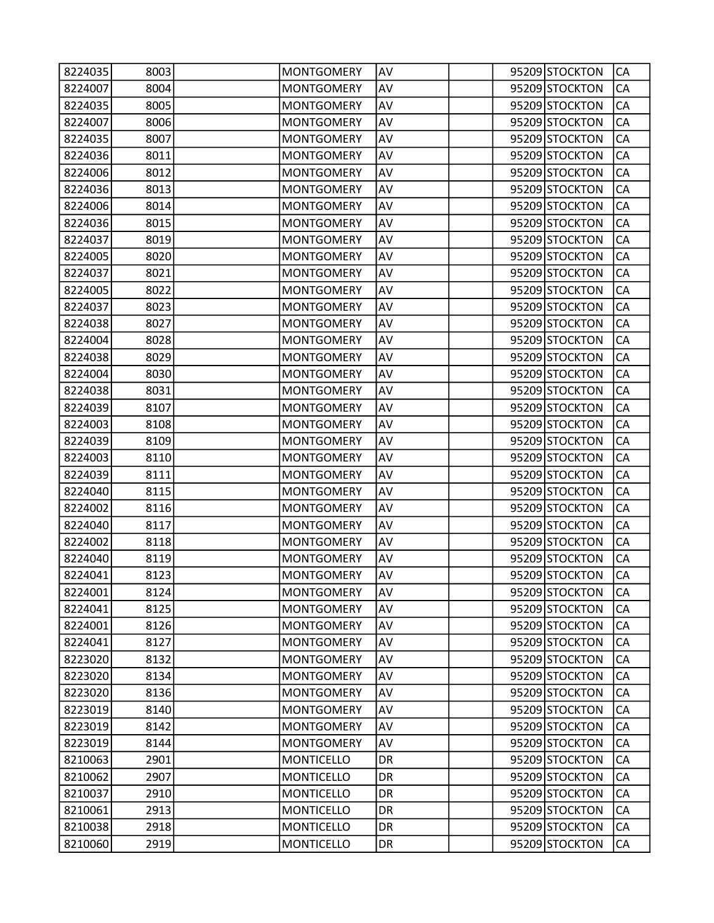| 8224035 | 8003 | <b>MONTGOMERY</b> | AV |  | 95209 STOCKTON | CA |
|---------|------|-------------------|----|--|----------------|----|
| 8224007 | 8004 | <b>MONTGOMERY</b> | AV |  | 95209 STOCKTON | CA |
| 8224035 | 8005 | <b>MONTGOMERY</b> | AV |  | 95209 STOCKTON | CA |
| 8224007 | 8006 | <b>MONTGOMERY</b> | AV |  | 95209 STOCKTON | CA |
| 8224035 | 8007 | <b>MONTGOMERY</b> | AV |  | 95209 STOCKTON | CA |
| 8224036 | 8011 | <b>MONTGOMERY</b> | AV |  | 95209 STOCKTON | CA |
| 8224006 | 8012 | <b>MONTGOMERY</b> | AV |  | 95209 STOCKTON | CA |
| 8224036 | 8013 | <b>MONTGOMERY</b> | AV |  | 95209 STOCKTON | CA |
| 8224006 | 8014 | <b>MONTGOMERY</b> | AV |  | 95209 STOCKTON | CA |
| 8224036 | 8015 | <b>MONTGOMERY</b> | AV |  | 95209 STOCKTON | CA |
| 8224037 | 8019 | <b>MONTGOMERY</b> | AV |  | 95209 STOCKTON | CA |
| 8224005 | 8020 | <b>MONTGOMERY</b> | AV |  | 95209 STOCKTON | CA |
| 8224037 | 8021 | <b>MONTGOMERY</b> | AV |  | 95209 STOCKTON | CA |
| 8224005 | 8022 | <b>MONTGOMERY</b> | AV |  | 95209 STOCKTON | CA |
| 8224037 | 8023 | <b>MONTGOMERY</b> | AV |  | 95209 STOCKTON | CA |
| 8224038 | 8027 | <b>MONTGOMERY</b> | AV |  | 95209 STOCKTON | CA |
| 8224004 | 8028 | <b>MONTGOMERY</b> | AV |  | 95209 STOCKTON | CA |
| 8224038 | 8029 | <b>MONTGOMERY</b> | AV |  | 95209 STOCKTON | CA |
| 8224004 | 8030 | <b>MONTGOMERY</b> | AV |  | 95209 STOCKTON | CA |
| 8224038 | 8031 | <b>MONTGOMERY</b> | AV |  | 95209 STOCKTON | CA |
| 8224039 | 8107 | <b>MONTGOMERY</b> | AV |  | 95209 STOCKTON | CA |
| 8224003 | 8108 | <b>MONTGOMERY</b> | AV |  | 95209 STOCKTON | CA |
| 8224039 | 8109 | <b>MONTGOMERY</b> | AV |  | 95209 STOCKTON | CA |
| 8224003 | 8110 | <b>MONTGOMERY</b> | AV |  | 95209 STOCKTON | CA |
| 8224039 | 8111 | <b>MONTGOMERY</b> | AV |  | 95209 STOCKTON | CA |
| 8224040 | 8115 | <b>MONTGOMERY</b> | AV |  | 95209 STOCKTON | CA |
| 8224002 | 8116 | <b>MONTGOMERY</b> | AV |  | 95209 STOCKTON | CA |
| 8224040 | 8117 | <b>MONTGOMERY</b> | AV |  | 95209 STOCKTON | CA |
| 8224002 | 8118 | <b>MONTGOMERY</b> | AV |  | 95209 STOCKTON | CA |
| 8224040 | 8119 | <b>MONTGOMERY</b> | AV |  | 95209 STOCKTON | CA |
| 8224041 | 8123 | <b>MONTGOMERY</b> | AV |  | 95209 STOCKTON | CA |
| 8224001 | 8124 | <b>MONTGOMERY</b> | AV |  | 95209 STOCKTON | СA |
| 8224041 | 8125 | <b>MONTGOMERY</b> | AV |  | 95209 STOCKTON | CA |
| 8224001 | 8126 | <b>MONTGOMERY</b> | AV |  | 95209 STOCKTON | CA |
| 8224041 | 8127 | <b>MONTGOMERY</b> | AV |  | 95209 STOCKTON | CA |
| 8223020 | 8132 | <b>MONTGOMERY</b> | AV |  | 95209 STOCKTON | CA |
| 8223020 | 8134 | <b>MONTGOMERY</b> | AV |  | 95209 STOCKTON | CA |
| 8223020 | 8136 | <b>MONTGOMERY</b> | AV |  | 95209 STOCKTON | CA |
| 8223019 | 8140 | <b>MONTGOMERY</b> | AV |  | 95209 STOCKTON | CA |
| 8223019 | 8142 | <b>MONTGOMERY</b> | AV |  | 95209 STOCKTON | CA |
| 8223019 | 8144 | <b>MONTGOMERY</b> | AV |  | 95209 STOCKTON | CA |
| 8210063 | 2901 | <b>MONTICELLO</b> | DR |  | 95209 STOCKTON | CA |
| 8210062 | 2907 | <b>MONTICELLO</b> | DR |  | 95209 STOCKTON | CA |
| 8210037 | 2910 | <b>MONTICELLO</b> | DR |  | 95209 STOCKTON | CA |
| 8210061 | 2913 | <b>MONTICELLO</b> | DR |  | 95209 STOCKTON | CA |
| 8210038 | 2918 | <b>MONTICELLO</b> | DR |  | 95209 STOCKTON | CA |
| 8210060 | 2919 | <b>MONTICELLO</b> | DR |  | 95209 STOCKTON | CA |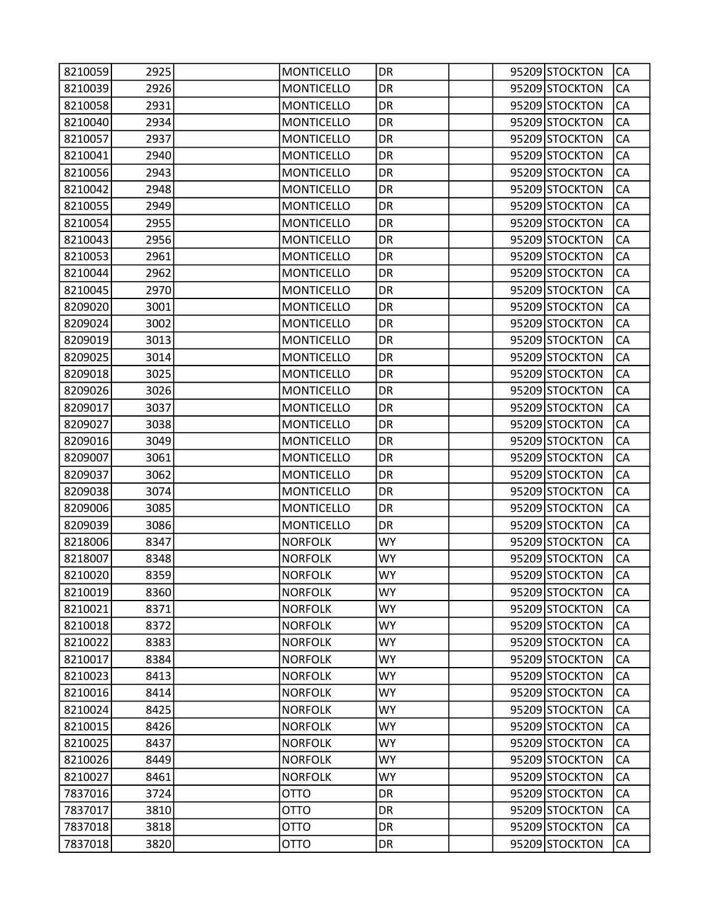| 8210059 | 2925 | <b>MONTICELLO</b> | DR        |  | 95209 STOCKTON | CA        |
|---------|------|-------------------|-----------|--|----------------|-----------|
| 8210039 | 2926 | <b>MONTICELLO</b> | DR        |  | 95209 STOCKTON | CA        |
| 8210058 | 2931 | <b>MONTICELLO</b> | DR        |  | 95209 STOCKTON | CA        |
| 8210040 | 2934 | <b>MONTICELLO</b> | DR        |  | 95209 STOCKTON | CA        |
| 8210057 | 2937 | <b>MONTICELLO</b> | DR        |  | 95209 STOCKTON | CA        |
| 8210041 | 2940 | <b>MONTICELLO</b> | DR        |  | 95209 STOCKTON | CA        |
| 8210056 | 2943 | <b>MONTICELLO</b> | DR        |  | 95209 STOCKTON | CA        |
| 8210042 | 2948 | <b>MONTICELLO</b> | DR        |  | 95209 STOCKTON | CA        |
| 8210055 | 2949 | <b>MONTICELLO</b> | DR        |  | 95209 STOCKTON | CA        |
| 8210054 | 2955 | <b>MONTICELLO</b> | DR        |  | 95209 STOCKTON | CA        |
| 8210043 | 2956 | <b>MONTICELLO</b> | DR        |  | 95209 STOCKTON | CA        |
| 8210053 | 2961 | <b>MONTICELLO</b> | DR        |  | 95209 STOCKTON | CA        |
| 8210044 | 2962 | <b>MONTICELLO</b> | DR        |  | 95209 STOCKTON | CA        |
| 8210045 | 2970 | <b>MONTICELLO</b> | DR        |  | 95209 STOCKTON | CA        |
| 8209020 | 3001 | <b>MONTICELLO</b> | DR        |  | 95209 STOCKTON | CA        |
| 8209024 | 3002 | <b>MONTICELLO</b> | DR        |  | 95209 STOCKTON | CA        |
| 8209019 | 3013 | <b>MONTICELLO</b> | DR        |  | 95209 STOCKTON | CA        |
| 8209025 | 3014 | <b>MONTICELLO</b> | DR        |  | 95209 STOCKTON | CA        |
| 8209018 | 3025 | <b>MONTICELLO</b> | DR        |  | 95209 STOCKTON | CA        |
| 8209026 | 3026 | <b>MONTICELLO</b> | DR        |  | 95209 STOCKTON | CA        |
| 8209017 | 3037 | <b>MONTICELLO</b> | DR        |  | 95209 STOCKTON | CA        |
| 8209027 | 3038 | <b>MONTICELLO</b> | DR        |  | 95209 STOCKTON | CA        |
| 8209016 | 3049 | <b>MONTICELLO</b> | DR        |  | 95209 STOCKTON | CA        |
| 8209007 | 3061 | <b>MONTICELLO</b> | DR        |  | 95209 STOCKTON | CA        |
| 8209037 | 3062 | <b>MONTICELLO</b> | DR        |  | 95209 STOCKTON | CA        |
| 8209038 | 3074 | <b>MONTICELLO</b> | DR        |  | 95209 STOCKTON | CA        |
| 8209006 | 3085 | <b>MONTICELLO</b> | DR        |  | 95209 STOCKTON | CA        |
| 8209039 | 3086 | <b>MONTICELLO</b> | DR        |  | 95209 STOCKTON | CA        |
| 8218006 | 8347 | <b>NORFOLK</b>    | <b>WY</b> |  | 95209 STOCKTON | CA        |
| 8218007 | 8348 | <b>NORFOLK</b>    | <b>WY</b> |  | 95209 STOCKTON | CA        |
| 8210020 | 8359 | <b>NORFOLK</b>    | <b>WY</b> |  | 95209 STOCKTON | CA        |
| 8210019 | 8360 | <b>NORFOLK</b>    | <b>WY</b> |  | 95209 STOCKTON | <b>CA</b> |
| 8210021 | 8371 | <b>NORFOLK</b>    | <b>WY</b> |  | 95209 STOCKTON | CA        |
| 8210018 | 8372 | <b>NORFOLK</b>    | <b>WY</b> |  | 95209 STOCKTON | CA        |
| 8210022 | 8383 | <b>NORFOLK</b>    | <b>WY</b> |  | 95209 STOCKTON | CA        |
| 8210017 | 8384 | <b>NORFOLK</b>    | <b>WY</b> |  | 95209 STOCKTON | CA        |
| 8210023 | 8413 | <b>NORFOLK</b>    | <b>WY</b> |  | 95209 STOCKTON | CA        |
| 8210016 | 8414 | <b>NORFOLK</b>    | <b>WY</b> |  | 95209 STOCKTON | CA        |
| 8210024 | 8425 | <b>NORFOLK</b>    | WY.       |  | 95209 STOCKTON | CA        |
| 8210015 | 8426 | <b>NORFOLK</b>    | <b>WY</b> |  | 95209 STOCKTON | CA        |
| 8210025 | 8437 | <b>NORFOLK</b>    | <b>WY</b> |  | 95209 STOCKTON | CA        |
| 8210026 | 8449 | <b>NORFOLK</b>    | <b>WY</b> |  | 95209 STOCKTON | CA        |
| 8210027 | 8461 | <b>NORFOLK</b>    | <b>WY</b> |  | 95209 STOCKTON | CA        |
| 7837016 | 3724 | <b>OTTO</b>       | DR        |  | 95209 STOCKTON | CA        |
| 7837017 | 3810 | <b>OTTO</b>       | <b>DR</b> |  | 95209 STOCKTON | CA        |
| 7837018 | 3818 | <b>OTTO</b>       | DR        |  | 95209 STOCKTON | CA        |
| 7837018 | 3820 | <b>OTTO</b>       | DR        |  | 95209 STOCKTON | CA        |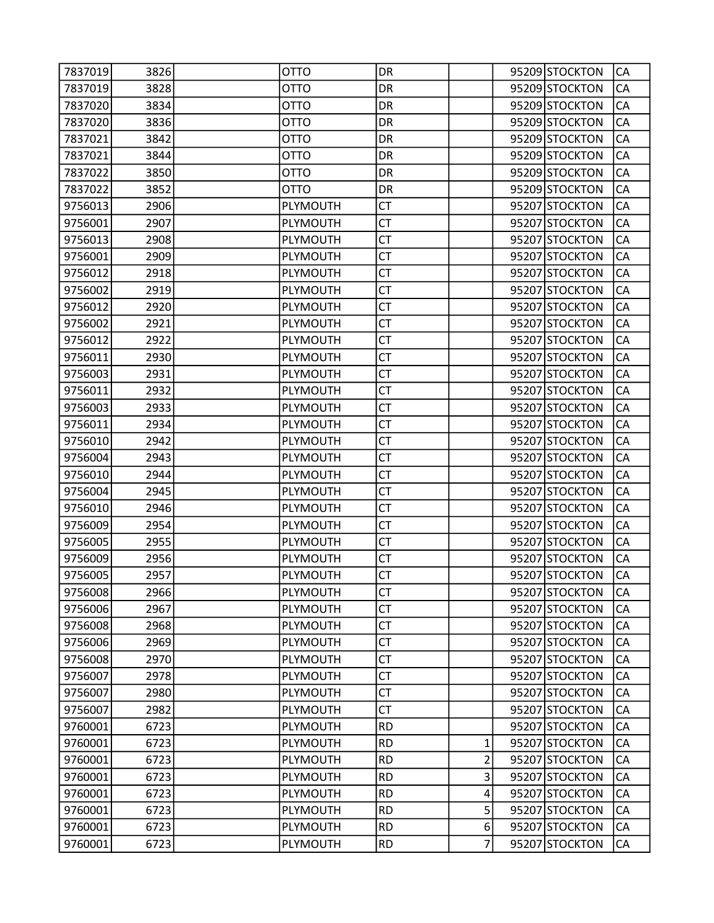| 7837019 | 3826 | OTTO        | DR        |                  | 95209 STOCKTON | CA        |
|---------|------|-------------|-----------|------------------|----------------|-----------|
| 7837019 | 3828 | <b>OTTO</b> | DR        |                  | 95209 STOCKTON | CA        |
| 7837020 | 3834 | <b>OTTO</b> | DR        |                  | 95209 STOCKTON | CA        |
| 7837020 | 3836 | <b>OTTO</b> | DR        |                  | 95209 STOCKTON | CA        |
| 7837021 | 3842 | <b>OTTO</b> | DR        |                  | 95209 STOCKTON | CA        |
| 7837021 | 3844 | <b>OTTO</b> | DR        |                  | 95209 STOCKTON | CA        |
| 7837022 | 3850 | <b>OTTO</b> | DR        |                  | 95209 STOCKTON | CA        |
| 7837022 | 3852 | <b>OTTO</b> | DR        |                  | 95209 STOCKTON | CA        |
| 9756013 | 2906 | PLYMOUTH    | <b>CT</b> |                  | 95207 STOCKTON | CA        |
| 9756001 | 2907 | PLYMOUTH    | <b>CT</b> |                  | 95207 STOCKTON | CA        |
| 9756013 | 2908 | PLYMOUTH    | СT        |                  | 95207 STOCKTON | CA        |
| 9756001 | 2909 | PLYMOUTH    | <b>CT</b> |                  | 95207 STOCKTON | CA        |
| 9756012 | 2918 | PLYMOUTH    | <b>CT</b> |                  | 95207 STOCKTON | CA        |
| 9756002 | 2919 | PLYMOUTH    | <b>CT</b> |                  | 95207 STOCKTON | CA        |
| 9756012 | 2920 | PLYMOUTH    | <b>CT</b> |                  | 95207 STOCKTON | CA        |
| 9756002 | 2921 | PLYMOUTH    | СT        |                  | 95207 STOCKTON | CA        |
| 9756012 | 2922 | PLYMOUTH    | <b>CT</b> |                  | 95207 STOCKTON | CA        |
| 9756011 | 2930 | PLYMOUTH    | <b>CT</b> |                  | 95207 STOCKTON | CA        |
| 9756003 | 2931 | PLYMOUTH    | <b>CT</b> |                  | 95207 STOCKTON | CA        |
| 9756011 | 2932 | PLYMOUTH    | <b>CT</b> |                  | 95207 STOCKTON | CA        |
| 9756003 | 2933 | PLYMOUTH    | СT        |                  | 95207 STOCKTON | CA        |
| 9756011 | 2934 | PLYMOUTH    | <b>CT</b> |                  | 95207 STOCKTON | CA        |
| 9756010 | 2942 | PLYMOUTH    | <b>CT</b> |                  | 95207 STOCKTON | CA        |
| 9756004 | 2943 | PLYMOUTH    | <b>CT</b> |                  | 95207 STOCKTON | CA        |
| 9756010 | 2944 | PLYMOUTH    | <b>CT</b> |                  | 95207 STOCKTON | CA        |
| 9756004 | 2945 | PLYMOUTH    | СT        |                  | 95207 STOCKTON | CA        |
| 9756010 | 2946 | PLYMOUTH    | <b>CT</b> |                  | 95207 STOCKTON | CA        |
| 9756009 | 2954 | PLYMOUTH    | <b>CT</b> |                  | 95207 STOCKTON | CA        |
| 9756005 | 2955 | PLYMOUTH    | <b>CT</b> |                  | 95207 STOCKTON | CA        |
| 9756009 | 2956 | PLYMOUTH    | <b>CT</b> |                  | 95207 STOCKTON | CA        |
| 9756005 | 2957 | PLYMOUTH    | СT        |                  | 95207 STOCKTON | CA        |
| 9756008 | 2966 | PLYMOUTH    | <b>CT</b> |                  | 95207 STOCKTON | <b>CA</b> |
| 9756006 | 2967 | PLYMOUTH    | <b>CT</b> |                  | 95207 STOCKTON | CA        |
| 9756008 | 2968 | PLYMOUTH    | <b>CT</b> |                  | 95207 STOCKTON | CA        |
| 9756006 | 2969 | PLYMOUTH    | <b>CT</b> |                  | 95207 STOCKTON | CA        |
| 9756008 | 2970 | PLYMOUTH    | CT        |                  | 95207 STOCKTON | СA        |
| 9756007 | 2978 | PLYMOUTH    | <b>CT</b> |                  | 95207 STOCKTON | CA        |
| 9756007 | 2980 | PLYMOUTH    | <b>CT</b> |                  | 95207 STOCKTON | CA        |
| 9756007 | 2982 | PLYMOUTH    | <b>CT</b> |                  | 95207 STOCKTON | CA        |
| 9760001 | 6723 | PLYMOUTH    | <b>RD</b> |                  | 95207 STOCKTON | CA        |
| 9760001 | 6723 | PLYMOUTH    | <b>RD</b> | $\mathbf{1}$     | 95207 STOCKTON | CA        |
| 9760001 | 6723 | PLYMOUTH    | <b>RD</b> | $\overline{2}$   | 95207 STOCKTON | CA        |
| 9760001 | 6723 | PLYMOUTH    | <b>RD</b> | $\overline{3}$   | 95207 STOCKTON | CA        |
| 9760001 | 6723 | PLYMOUTH    | <b>RD</b> | 4                | 95207 STOCKTON | CA        |
| 9760001 | 6723 | PLYMOUTH    | <b>RD</b> | 5                | 95207 STOCKTON | CA        |
| 9760001 | 6723 | PLYMOUTH    | <b>RD</b> | $6 \overline{6}$ | 95207 STOCKTON | СA        |
| 9760001 | 6723 | PLYMOUTH    | <b>RD</b> | $\overline{7}$   | 95207 STOCKTON | CA        |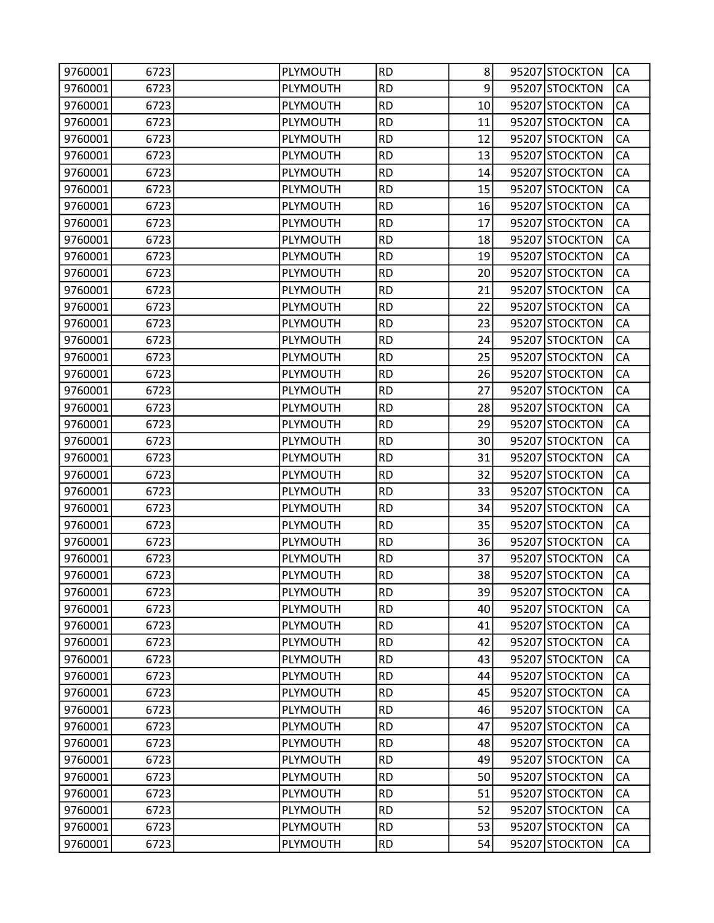| 9760001 | 6723 | PLYMOUTH        | <b>RD</b> | 8  | 95207 STOCKTON | CA        |
|---------|------|-----------------|-----------|----|----------------|-----------|
| 9760001 | 6723 | PLYMOUTH        | <b>RD</b> | 9  | 95207 STOCKTON | CA        |
| 9760001 | 6723 | <b>PLYMOUTH</b> | <b>RD</b> | 10 | 95207 STOCKTON | CA        |
| 9760001 | 6723 | PLYMOUTH        | <b>RD</b> | 11 | 95207 STOCKTON | CA        |
| 9760001 | 6723 | PLYMOUTH        | <b>RD</b> | 12 | 95207 STOCKTON | CA        |
| 9760001 | 6723 | PLYMOUTH        | <b>RD</b> | 13 | 95207 STOCKTON | CA        |
| 9760001 | 6723 | PLYMOUTH        | <b>RD</b> | 14 | 95207 STOCKTON | CA        |
| 9760001 | 6723 | PLYMOUTH        | <b>RD</b> | 15 | 95207 STOCKTON | CA        |
| 9760001 | 6723 | PLYMOUTH        | <b>RD</b> | 16 | 95207 STOCKTON | CA        |
| 9760001 | 6723 | PLYMOUTH        | <b>RD</b> | 17 | 95207 STOCKTON | CA        |
| 9760001 | 6723 | PLYMOUTH        | <b>RD</b> | 18 | 95207 STOCKTON | CA        |
| 9760001 | 6723 | PLYMOUTH        | <b>RD</b> | 19 | 95207 STOCKTON | CA        |
| 9760001 | 6723 | PLYMOUTH        | <b>RD</b> | 20 | 95207 STOCKTON | CA        |
| 9760001 | 6723 | PLYMOUTH        | <b>RD</b> | 21 | 95207 STOCKTON | CA        |
| 9760001 | 6723 | PLYMOUTH        | <b>RD</b> | 22 | 95207 STOCKTON | CA        |
| 9760001 | 6723 | PLYMOUTH        | <b>RD</b> | 23 | 95207 STOCKTON | CA        |
| 9760001 | 6723 | PLYMOUTH        | <b>RD</b> | 24 | 95207 STOCKTON | CA        |
| 9760001 | 6723 | PLYMOUTH        | <b>RD</b> | 25 | 95207 STOCKTON | CA        |
| 9760001 | 6723 | PLYMOUTH        | <b>RD</b> | 26 | 95207 STOCKTON | CA        |
| 9760001 | 6723 | PLYMOUTH        | <b>RD</b> | 27 | 95207 STOCKTON | CA        |
| 9760001 | 6723 | PLYMOUTH        | <b>RD</b> | 28 | 95207 STOCKTON | CA        |
| 9760001 | 6723 | PLYMOUTH        | <b>RD</b> | 29 | 95207 STOCKTON | CA        |
| 9760001 | 6723 | PLYMOUTH        | <b>RD</b> | 30 | 95207 STOCKTON | CA        |
| 9760001 | 6723 | <b>PLYMOUTH</b> | <b>RD</b> | 31 | 95207 STOCKTON | CA        |
| 9760001 | 6723 | PLYMOUTH        | <b>RD</b> | 32 | 95207 STOCKTON | CA        |
| 9760001 | 6723 | PLYMOUTH        | <b>RD</b> | 33 | 95207 STOCKTON | CA        |
| 9760001 | 6723 | PLYMOUTH        | <b>RD</b> | 34 | 95207 STOCKTON | CA        |
| 9760001 | 6723 | PLYMOUTH        | <b>RD</b> | 35 | 95207 STOCKTON | CA        |
| 9760001 | 6723 | PLYMOUTH        | <b>RD</b> | 36 | 95207 STOCKTON | CA        |
| 9760001 | 6723 | PLYMOUTH        | <b>RD</b> | 37 | 95207 STOCKTON | CA        |
| 9760001 | 6723 | PLYMOUTH        | <b>RD</b> | 38 | 95207 STOCKTON | CA        |
| 9760001 | 6723 | PLYMOUTH        | <b>RD</b> | 39 | 95207 STOCKTON | <b>CA</b> |
| 9760001 | 6723 | PLYMOUTH        | <b>RD</b> | 40 | 95207 STOCKTON | CA        |
| 9760001 | 6723 | PLYMOUTH        | <b>RD</b> | 41 | 95207 STOCKTON | CA        |
| 9760001 | 6723 | PLYMOUTH        | <b>RD</b> | 42 | 95207 STOCKTON | CA        |
| 9760001 | 6723 | PLYMOUTH        | <b>RD</b> | 43 | 95207 STOCKTON | CA        |
| 9760001 | 6723 | PLYMOUTH        | <b>RD</b> | 44 | 95207 STOCKTON | CA        |
| 9760001 | 6723 | PLYMOUTH        | <b>RD</b> | 45 | 95207 STOCKTON | CA        |
| 9760001 | 6723 | PLYMOUTH        | <b>RD</b> | 46 | 95207 STOCKTON | CA        |
| 9760001 | 6723 | PLYMOUTH        | <b>RD</b> | 47 | 95207 STOCKTON | CA        |
| 9760001 | 6723 | PLYMOUTH        | <b>RD</b> | 48 | 95207 STOCKTON | CA        |
| 9760001 | 6723 | PLYMOUTH        | <b>RD</b> | 49 | 95207 STOCKTON | CA        |
| 9760001 | 6723 | PLYMOUTH        | <b>RD</b> | 50 | 95207 STOCKTON | CA        |
| 9760001 | 6723 | PLYMOUTH        | <b>RD</b> | 51 | 95207 STOCKTON | CA        |
| 9760001 | 6723 | PLYMOUTH        | <b>RD</b> | 52 | 95207 STOCKTON | CA        |
| 9760001 | 6723 | PLYMOUTH        | <b>RD</b> | 53 | 95207 STOCKTON | CA        |
| 9760001 | 6723 | PLYMOUTH        | <b>RD</b> | 54 | 95207 STOCKTON | CA        |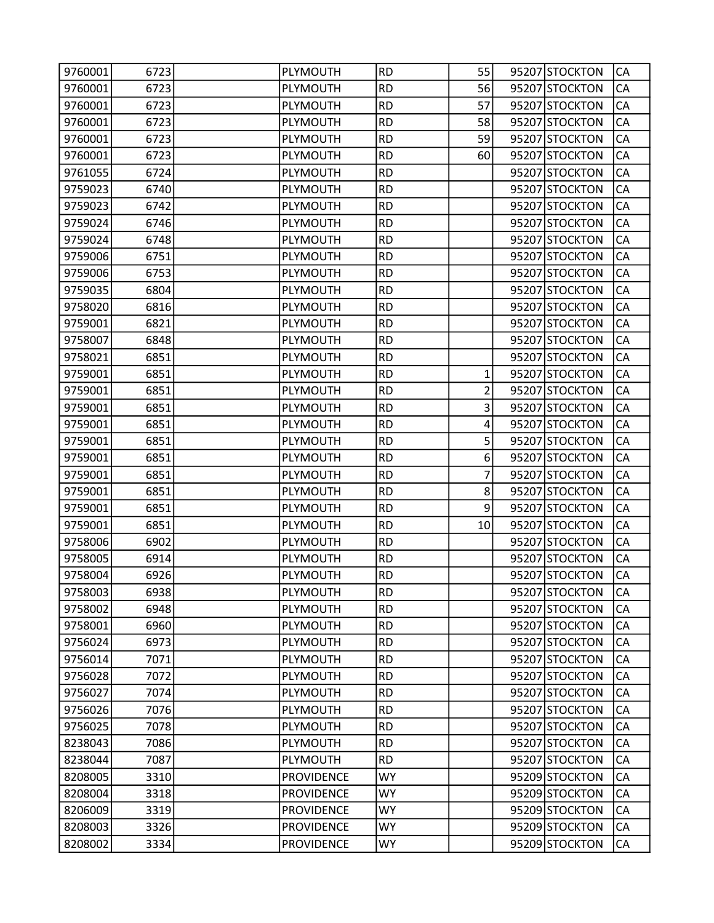| 9760001 | 6723 | PLYMOUTH          | <b>RD</b> | 55             | 95207 STOCKTON | CA        |
|---------|------|-------------------|-----------|----------------|----------------|-----------|
| 9760001 | 6723 | PLYMOUTH          | <b>RD</b> | 56             | 95207 STOCKTON | CA        |
| 9760001 | 6723 | PLYMOUTH          | <b>RD</b> | 57             | 95207 STOCKTON | CA        |
| 9760001 | 6723 | PLYMOUTH          | <b>RD</b> | 58             | 95207 STOCKTON | CA        |
| 9760001 | 6723 | PLYMOUTH          | <b>RD</b> | 59             | 95207 STOCKTON | CA        |
| 9760001 | 6723 | PLYMOUTH          | <b>RD</b> | 60             | 95207 STOCKTON | CA        |
| 9761055 | 6724 | PLYMOUTH          | <b>RD</b> |                | 95207 STOCKTON | CA        |
| 9759023 | 6740 | PLYMOUTH          | <b>RD</b> |                | 95207 STOCKTON | CA        |
| 9759023 | 6742 | PLYMOUTH          | <b>RD</b> |                | 95207 STOCKTON | CA        |
| 9759024 | 6746 | PLYMOUTH          | <b>RD</b> |                | 95207 STOCKTON | CA        |
| 9759024 | 6748 | PLYMOUTH          | <b>RD</b> |                | 95207 STOCKTON | CA        |
| 9759006 | 6751 | PLYMOUTH          | <b>RD</b> |                | 95207 STOCKTON | CA        |
| 9759006 | 6753 | PLYMOUTH          | <b>RD</b> |                | 95207 STOCKTON | CA        |
| 9759035 | 6804 | <b>PLYMOUTH</b>   | <b>RD</b> |                | 95207 STOCKTON | CA        |
| 9758020 | 6816 | PLYMOUTH          | <b>RD</b> |                | 95207 STOCKTON | CA        |
| 9759001 | 6821 | PLYMOUTH          | <b>RD</b> |                | 95207 STOCKTON | CA        |
| 9758007 | 6848 | PLYMOUTH          | <b>RD</b> |                | 95207 STOCKTON | CA        |
| 9758021 | 6851 | PLYMOUTH          | <b>RD</b> |                | 95207 STOCKTON | CA        |
| 9759001 | 6851 | <b>PLYMOUTH</b>   | <b>RD</b> | 1              | 95207 STOCKTON | CA        |
| 9759001 | 6851 | PLYMOUTH          | <b>RD</b> | $\overline{2}$ | 95207 STOCKTON | CA        |
| 9759001 | 6851 | PLYMOUTH          | <b>RD</b> | 3              | 95207 STOCKTON | CA        |
| 9759001 | 6851 | PLYMOUTH          | <b>RD</b> | 4              | 95207 STOCKTON | CA        |
| 9759001 | 6851 | PLYMOUTH          | <b>RD</b> | 5              | 95207 STOCKTON | CA        |
| 9759001 | 6851 | <b>PLYMOUTH</b>   | <b>RD</b> | 6              | 95207 STOCKTON | CA        |
| 9759001 | 6851 | PLYMOUTH          | <b>RD</b> | $\overline{7}$ | 95207 STOCKTON | CA        |
| 9759001 | 6851 | PLYMOUTH          | <b>RD</b> | 8              | 95207 STOCKTON | CA        |
| 9759001 | 6851 | PLYMOUTH          | <b>RD</b> | 9              | 95207 STOCKTON | CA        |
| 9759001 | 6851 | PLYMOUTH          | <b>RD</b> | 10             | 95207 STOCKTON | CA        |
| 9758006 | 6902 | <b>PLYMOUTH</b>   | <b>RD</b> |                | 95207 STOCKTON | CA        |
| 9758005 | 6914 | PLYMOUTH          | <b>RD</b> |                | 95207 STOCKTON | CA        |
| 9758004 | 6926 | PLYMOUTH          | <b>RD</b> |                | 95207 STOCKTON | CA        |
| 9758003 | 6938 | PLYMOUTH          | <b>RD</b> |                | 95207 STOCKTON | <b>CA</b> |
| 9758002 | 6948 | PLYMOUTH          | <b>RD</b> |                | 95207 STOCKTON | CA        |
| 9758001 | 6960 | PLYMOUTH          | <b>RD</b> |                | 95207 STOCKTON | CA        |
| 9756024 | 6973 | PLYMOUTH          | <b>RD</b> |                | 95207 STOCKTON | CA        |
| 9756014 | 7071 | PLYMOUTH          | <b>RD</b> |                | 95207 STOCKTON | CA        |
| 9756028 | 7072 | PLYMOUTH          | <b>RD</b> |                | 95207 STOCKTON | CA        |
| 9756027 | 7074 | PLYMOUTH          | <b>RD</b> |                | 95207 STOCKTON | CA        |
| 9756026 | 7076 | PLYMOUTH          | <b>RD</b> |                | 95207 STOCKTON | CA        |
| 9756025 | 7078 | PLYMOUTH          | <b>RD</b> |                | 95207 STOCKTON | CA        |
| 8238043 | 7086 | PLYMOUTH          | <b>RD</b> |                | 95207 STOCKTON | CA        |
| 8238044 | 7087 | PLYMOUTH          | <b>RD</b> |                | 95207 STOCKTON | CA        |
| 8208005 | 3310 | <b>PROVIDENCE</b> | <b>WY</b> |                | 95209 STOCKTON | CA        |
| 8208004 | 3318 | <b>PROVIDENCE</b> | <b>WY</b> |                | 95209 STOCKTON | CA        |
| 8206009 | 3319 | <b>PROVIDENCE</b> | <b>WY</b> |                | 95209 STOCKTON | CA        |
| 8208003 | 3326 | <b>PROVIDENCE</b> | WY        |                | 95209 STOCKTON | CA        |
| 8208002 | 3334 | <b>PROVIDENCE</b> | <b>WY</b> |                | 95209 STOCKTON | CA        |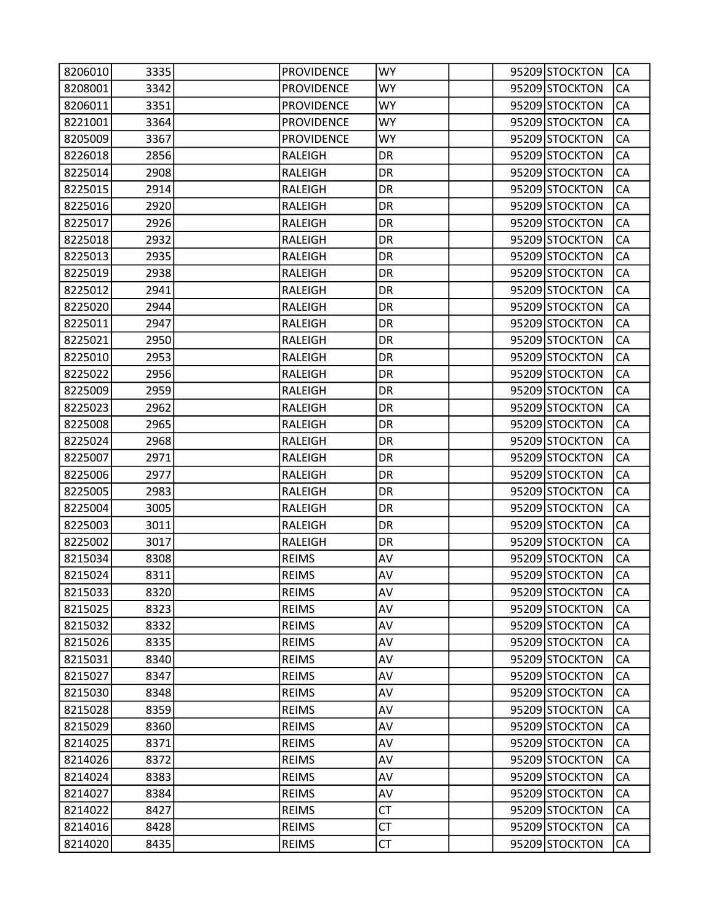| 8206010 | 3335 | <b>PROVIDENCE</b> | WY        |  | 95209 STOCKTON | CA        |
|---------|------|-------------------|-----------|--|----------------|-----------|
| 8208001 | 3342 | <b>PROVIDENCE</b> | <b>WY</b> |  | 95209 STOCKTON | CA        |
| 8206011 | 3351 | <b>PROVIDENCE</b> | <b>WY</b> |  | 95209 STOCKTON | CA        |
| 8221001 | 3364 | <b>PROVIDENCE</b> | WY        |  | 95209 STOCKTON | CA        |
| 8205009 | 3367 | <b>PROVIDENCE</b> | <b>WY</b> |  | 95209 STOCKTON | CA        |
| 8226018 | 2856 | RALEIGH           | DR        |  | 95209 STOCKTON | CA        |
| 8225014 | 2908 | <b>RALEIGH</b>    | DR        |  | 95209 STOCKTON | CA        |
| 8225015 | 2914 | <b>RALEIGH</b>    | DR        |  | 95209 STOCKTON | CA        |
| 8225016 | 2920 | <b>RALEIGH</b>    | DR        |  | 95209 STOCKTON | CA        |
| 8225017 | 2926 | RALEIGH           | DR        |  | 95209 STOCKTON | CA        |
| 8225018 | 2932 | RALEIGH           | DR        |  | 95209 STOCKTON | CA        |
| 8225013 | 2935 | <b>RALEIGH</b>    | DR        |  | 95209 STOCKTON | CA        |
| 8225019 | 2938 | <b>RALEIGH</b>    | DR        |  | 95209 STOCKTON | CA        |
| 8225012 | 2941 | <b>RALEIGH</b>    | DR        |  | 95209 STOCKTON | CA        |
| 8225020 | 2944 | RALEIGH           | DR        |  | 95209 STOCKTON | CA        |
| 8225011 | 2947 | <b>RALEIGH</b>    | DR        |  | 95209 STOCKTON | CA        |
| 8225021 | 2950 | RALEIGH           | DR        |  | 95209 STOCKTON | CA        |
| 8225010 | 2953 | <b>RALEIGH</b>    | DR        |  | 95209 STOCKTON | CA        |
| 8225022 | 2956 | <b>RALEIGH</b>    | DR        |  | 95209 STOCKTON | CA        |
| 8225009 | 2959 | RALEIGH           | DR        |  | 95209 STOCKTON | CA        |
| 8225023 | 2962 | RALEIGH           | DR        |  | 95209 STOCKTON | CA        |
| 8225008 | 2965 | <b>RALEIGH</b>    | DR        |  | 95209 STOCKTON | CA        |
| 8225024 | 2968 | <b>RALEIGH</b>    | DR        |  | 95209 STOCKTON | CA        |
| 8225007 | 2971 | RALEIGH           | DR        |  | 95209 STOCKTON | CA        |
| 8225006 | 2977 | RALEIGH           | DR        |  | 95209 STOCKTON | CA        |
| 8225005 | 2983 | RALEIGH           | DR        |  | 95209 STOCKTON | CA        |
| 8225004 | 3005 | RALEIGH           | DR        |  | 95209 STOCKTON | CA        |
| 8225003 | 3011 | <b>RALEIGH</b>    | DR        |  | 95209 STOCKTON | CA        |
| 8225002 | 3017 | RALEIGH           | DR        |  | 95209 STOCKTON | CA        |
| 8215034 | 8308 | <b>REIMS</b>      | AV        |  | 95209 STOCKTON | CA        |
| 8215024 | 8311 | <b>REIMS</b>      | AV        |  | 95209 STOCKTON | CA        |
| 8215033 | 8320 | <b>REIMS</b>      | AV        |  | 95209 STOCKTON | <b>CA</b> |
| 8215025 | 8323 | <b>REIMS</b>      | AV        |  | 95209 STOCKTON | CA        |
| 8215032 | 8332 | <b>REIMS</b>      | AV        |  | 95209 STOCKTON | CA        |
| 8215026 | 8335 | <b>REIMS</b>      | AV        |  | 95209 STOCKTON | CA        |
| 8215031 | 8340 | <b>REIMS</b>      | AV        |  | 95209 STOCKTON | CA        |
| 8215027 | 8347 | <b>REIMS</b>      | AV        |  | 95209 STOCKTON | CA        |
| 8215030 | 8348 | <b>REIMS</b>      | AV        |  | 95209 STOCKTON | CA        |
| 8215028 | 8359 | <b>REIMS</b>      | AV        |  | 95209 STOCKTON | CA        |
| 8215029 | 8360 | <b>REIMS</b>      | AV        |  | 95209 STOCKTON | CA        |
| 8214025 | 8371 | <b>REIMS</b>      | AV        |  | 95209 STOCKTON | CA        |
| 8214026 | 8372 | <b>REIMS</b>      | AV        |  | 95209 STOCKTON | CA        |
| 8214024 | 8383 | <b>REIMS</b>      | AV        |  | 95209 STOCKTON | CA        |
| 8214027 | 8384 | <b>REIMS</b>      | AV        |  | 95209 STOCKTON | CA        |
| 8214022 | 8427 | <b>REIMS</b>      | <b>CT</b> |  | 95209 STOCKTON | CA        |
| 8214016 | 8428 | <b>REIMS</b>      | <b>CT</b> |  | 95209 STOCKTON | СA        |
| 8214020 | 8435 | <b>REIMS</b>      | <b>CT</b> |  | 95209 STOCKTON | CA        |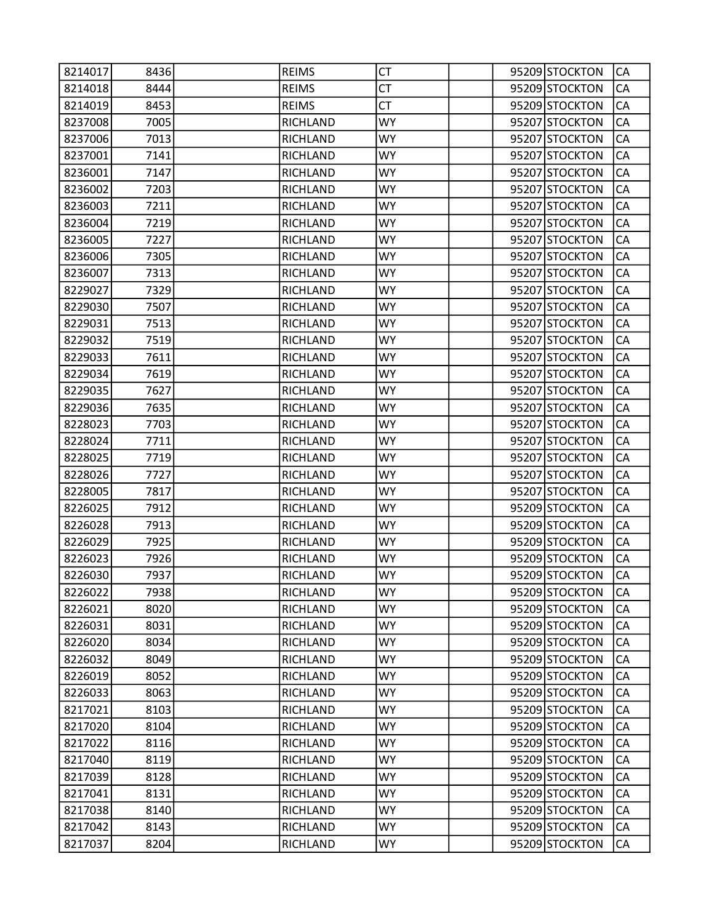| 8214017 | 8436 | <b>REIMS</b>    | СT        |  | 95209 STOCKTON | CA        |
|---------|------|-----------------|-----------|--|----------------|-----------|
| 8214018 | 8444 | <b>REIMS</b>    | <b>CT</b> |  | 95209 STOCKTON | CA        |
| 8214019 | 8453 | <b>REIMS</b>    | <b>CT</b> |  | 95209 STOCKTON | CA        |
| 8237008 | 7005 | <b>RICHLAND</b> | <b>WY</b> |  | 95207 STOCKTON | CA        |
| 8237006 | 7013 | <b>RICHLAND</b> | <b>WY</b> |  | 95207 STOCKTON | CA        |
| 8237001 | 7141 | <b>RICHLAND</b> | <b>WY</b> |  | 95207 STOCKTON | CA        |
| 8236001 | 7147 | <b>RICHLAND</b> | <b>WY</b> |  | 95207 STOCKTON | CA        |
| 8236002 | 7203 | <b>RICHLAND</b> | <b>WY</b> |  | 95207 STOCKTON | CA        |
| 8236003 | 7211 | <b>RICHLAND</b> | <b>WY</b> |  | 95207 STOCKTON | CA        |
| 8236004 | 7219 | <b>RICHLAND</b> | <b>WY</b> |  | 95207 STOCKTON | CA        |
| 8236005 | 7227 | RICHLAND        | <b>WY</b> |  | 95207 STOCKTON | CA        |
| 8236006 | 7305 | <b>RICHLAND</b> | WY        |  | 95207 STOCKTON | CA        |
| 8236007 | 7313 | <b>RICHLAND</b> | <b>WY</b> |  | 95207 STOCKTON | CA        |
| 8229027 | 7329 | <b>RICHLAND</b> | <b>WY</b> |  | 95207 STOCKTON | CA        |
| 8229030 | 7507 | <b>RICHLAND</b> | <b>WY</b> |  | 95207 STOCKTON | CA        |
| 8229031 | 7513 | <b>RICHLAND</b> | <b>WY</b> |  | 95207 STOCKTON | CA        |
| 8229032 | 7519 | <b>RICHLAND</b> | WY        |  | 95207 STOCKTON | CA        |
| 8229033 | 7611 | <b>RICHLAND</b> | <b>WY</b> |  | 95207 STOCKTON | CA        |
| 8229034 | 7619 | <b>RICHLAND</b> | <b>WY</b> |  | 95207 STOCKTON | CA        |
| 8229035 | 7627 | <b>RICHLAND</b> | <b>WY</b> |  | 95207 STOCKTON | CA        |
| 8229036 | 7635 | RICHLAND        | <b>WY</b> |  | 95207 STOCKTON | CA        |
| 8228023 | 7703 | <b>RICHLAND</b> | WY        |  | 95207 STOCKTON | CA        |
| 8228024 | 7711 | <b>RICHLAND</b> | <b>WY</b> |  | 95207 STOCKTON | CA        |
| 8228025 | 7719 | <b>RICHLAND</b> | WY        |  | 95207 STOCKTON | CA        |
| 8228026 | 7727 | <b>RICHLAND</b> | <b>WY</b> |  | 95207 STOCKTON | CA        |
| 8228005 | 7817 | RICHLAND        | <b>WY</b> |  | 95207 STOCKTON | CA        |
| 8226025 | 7912 | <b>RICHLAND</b> | WY.       |  | 95209 STOCKTON | CA        |
| 8226028 | 7913 | <b>RICHLAND</b> | <b>WY</b> |  | 95209 STOCKTON | CA        |
| 8226029 | 7925 | <b>RICHLAND</b> | <b>WY</b> |  | 95209 STOCKTON | CA        |
| 8226023 | 7926 | <b>RICHLAND</b> | <b>WY</b> |  | 95209 STOCKTON | CA        |
| 8226030 | 7937 | RICHLAND        | <b>WY</b> |  | 95209 STOCKTON | CA        |
| 8226022 | 7938 | <b>RICHLAND</b> | <b>WY</b> |  | 95209 STOCKTON | <b>CA</b> |
| 8226021 | 8020 | <b>RICHLAND</b> | <b>WY</b> |  | 95209 STOCKTON | CA        |
| 8226031 | 8031 | <b>RICHLAND</b> | WY        |  | 95209 STOCKTON | CA        |
| 8226020 | 8034 | RICHLAND        | <b>WY</b> |  | 95209 STOCKTON | CA        |
| 8226032 | 8049 | RICHLAND        | <b>WY</b> |  | 95209 STOCKTON | CA        |
| 8226019 | 8052 | RICHLAND        | <b>WY</b> |  | 95209 STOCKTON | CA        |
| 8226033 | 8063 | <b>RICHLAND</b> | <b>WY</b> |  | 95209 STOCKTON | CA        |
| 8217021 | 8103 | RICHLAND        | WY.       |  | 95209 STOCKTON | CA        |
| 8217020 | 8104 | RICHLAND        | <b>WY</b> |  | 95209 STOCKTON | CA        |
| 8217022 | 8116 | RICHLAND        | <b>WY</b> |  | 95209 STOCKTON | CA        |
| 8217040 | 8119 | RICHLAND        | <b>WY</b> |  | 95209 STOCKTON | CA        |
| 8217039 | 8128 | <b>RICHLAND</b> | <b>WY</b> |  | 95209 STOCKTON | CA        |
| 8217041 | 8131 | RICHLAND        | WY.       |  | 95209 STOCKTON | CA        |
| 8217038 | 8140 | RICHLAND        | <b>WY</b> |  | 95209 STOCKTON | CA        |
| 8217042 | 8143 | RICHLAND        | <b>WY</b> |  | 95209 STOCKTON | CA        |
| 8217037 | 8204 | RICHLAND        | <b>WY</b> |  | 95209 STOCKTON | CA        |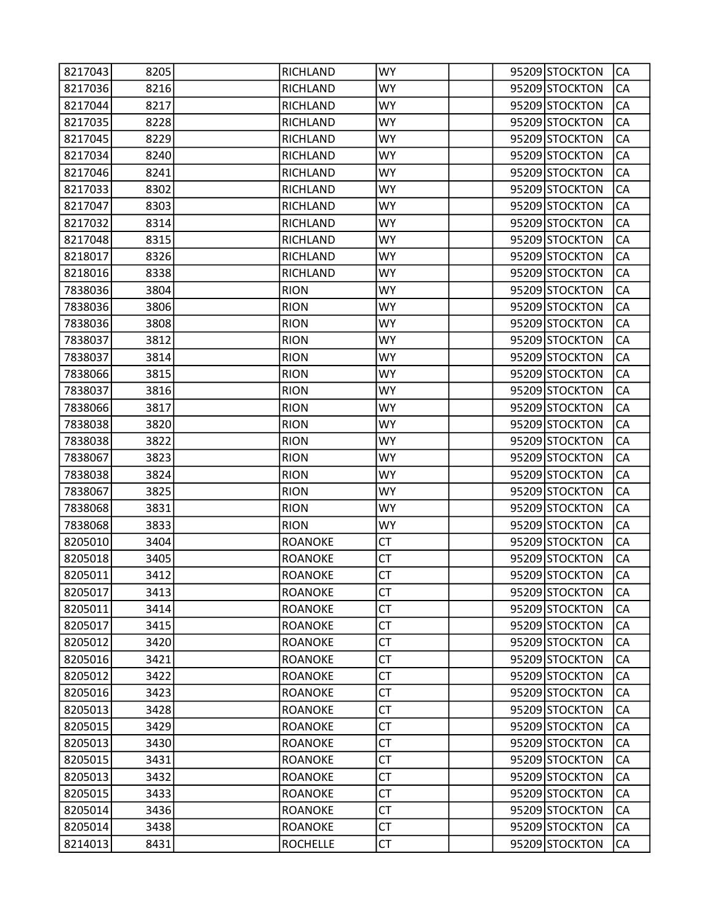| 8217043 | 8205 | RICHLAND        | <b>WY</b> |  | 95209 STOCKTON | CA        |
|---------|------|-----------------|-----------|--|----------------|-----------|
| 8217036 | 8216 | <b>RICHLAND</b> | <b>WY</b> |  | 95209 STOCKTON | CA        |
| 8217044 | 8217 | <b>RICHLAND</b> | <b>WY</b> |  | 95209 STOCKTON | CA        |
| 8217035 | 8228 | RICHLAND        | WY        |  | 95209 STOCKTON | CA        |
| 8217045 | 8229 | <b>RICHLAND</b> | <b>WY</b> |  | 95209 STOCKTON | CA        |
| 8217034 | 8240 | RICHLAND        | <b>WY</b> |  | 95209 STOCKTON | CA        |
| 8217046 | 8241 | RICHLAND        | WY.       |  | 95209 STOCKTON | CA        |
| 8217033 | 8302 | <b>RICHLAND</b> | <b>WY</b> |  | 95209 STOCKTON | CA        |
| 8217047 | 8303 | RICHLAND        | WY        |  | 95209 STOCKTON | CA        |
| 8217032 | 8314 | <b>RICHLAND</b> | <b>WY</b> |  | 95209 STOCKTON | CA        |
| 8217048 | 8315 | RICHLAND        | <b>WY</b> |  | 95209 STOCKTON | CA        |
| 8218017 | 8326 | RICHLAND        | <b>WY</b> |  | 95209 STOCKTON | CA        |
| 8218016 | 8338 | <b>RICHLAND</b> | <b>WY</b> |  | 95209 STOCKTON | CA        |
| 7838036 | 3804 | <b>RION</b>     | WY        |  | 95209 STOCKTON | CA        |
| 7838036 | 3806 | <b>RION</b>     | <b>WY</b> |  | 95209 STOCKTON | CA        |
| 7838036 | 3808 | <b>RION</b>     | <b>WY</b> |  | 95209 STOCKTON | CA        |
| 7838037 | 3812 | <b>RION</b>     | <b>WY</b> |  | 95209 STOCKTON | CA        |
| 7838037 | 3814 | <b>RION</b>     | <b>WY</b> |  | 95209 STOCKTON | CA        |
| 7838066 | 3815 | <b>RION</b>     | WY        |  | 95209 STOCKTON | CA        |
| 7838037 | 3816 | <b>RION</b>     | <b>WY</b> |  | 95209 STOCKTON | CA        |
| 7838066 | 3817 | <b>RION</b>     | <b>WY</b> |  | 95209 STOCKTON | CA        |
| 7838038 | 3820 | <b>RION</b>     | <b>WY</b> |  | 95209 STOCKTON | CA        |
| 7838038 | 3822 | <b>RION</b>     | <b>WY</b> |  | 95209 STOCKTON | CA        |
| 7838067 | 3823 | <b>RION</b>     | WY        |  | 95209 STOCKTON | CA        |
| 7838038 | 3824 | <b>RION</b>     | <b>WY</b> |  | 95209 STOCKTON | CA        |
| 7838067 | 3825 | <b>RION</b>     | <b>WY</b> |  | 95209 STOCKTON | CA        |
| 7838068 | 3831 | <b>RION</b>     | <b>WY</b> |  | 95209 STOCKTON | CA        |
| 7838068 | 3833 | <b>RION</b>     | <b>WY</b> |  | 95209 STOCKTON | CA        |
| 8205010 | 3404 | <b>ROANOKE</b>  | <b>CT</b> |  | 95209 STOCKTON | CA        |
| 8205018 | 3405 | <b>ROANOKE</b>  | <b>CT</b> |  | 95209 STOCKTON | CA        |
| 8205011 | 3412 | <b>ROANOKE</b>  | СT        |  | 95209 STOCKTON | CA        |
| 8205017 | 3413 | <b>ROANOKE</b>  | <b>CT</b> |  | 95209 STOCKTON | <b>CA</b> |
| 8205011 | 3414 | <b>ROANOKE</b>  | <b>CT</b> |  | 95209 STOCKTON | CA        |
| 8205017 | 3415 | <b>ROANOKE</b>  | <b>CT</b> |  | 95209 STOCKTON | CA        |
| 8205012 | 3420 | <b>ROANOKE</b>  | <b>CT</b> |  | 95209 STOCKTON | CA        |
| 8205016 | 3421 | <b>ROANOKE</b>  | <b>CT</b> |  | 95209 STOCKTON | СA        |
| 8205012 | 3422 | <b>ROANOKE</b>  | <b>CT</b> |  | 95209 STOCKTON | CA        |
| 8205016 | 3423 | <b>ROANOKE</b>  | <b>CT</b> |  | 95209 STOCKTON | CA        |
| 8205013 | 3428 | <b>ROANOKE</b>  | <b>CT</b> |  | 95209 STOCKTON | CA        |
| 8205015 | 3429 | <b>ROANOKE</b>  | <b>CT</b> |  | 95209 STOCKTON | CA        |
| 8205013 | 3430 | <b>ROANOKE</b>  | <b>CT</b> |  | 95209 STOCKTON | CA        |
| 8205015 | 3431 | <b>ROANOKE</b>  | <b>CT</b> |  | 95209 STOCKTON | CA        |
| 8205013 | 3432 | <b>ROANOKE</b>  | <b>CT</b> |  | 95209 STOCKTON | CA        |
| 8205015 | 3433 | <b>ROANOKE</b>  | <b>CT</b> |  | 95209 STOCKTON | CA        |
| 8205014 | 3436 | <b>ROANOKE</b>  | <b>CT</b> |  | 95209 STOCKTON | CA        |
| 8205014 | 3438 | <b>ROANOKE</b>  | <b>CT</b> |  | 95209 STOCKTON | СA        |
| 8214013 | 8431 | <b>ROCHELLE</b> | <b>CT</b> |  | 95209 STOCKTON | CA        |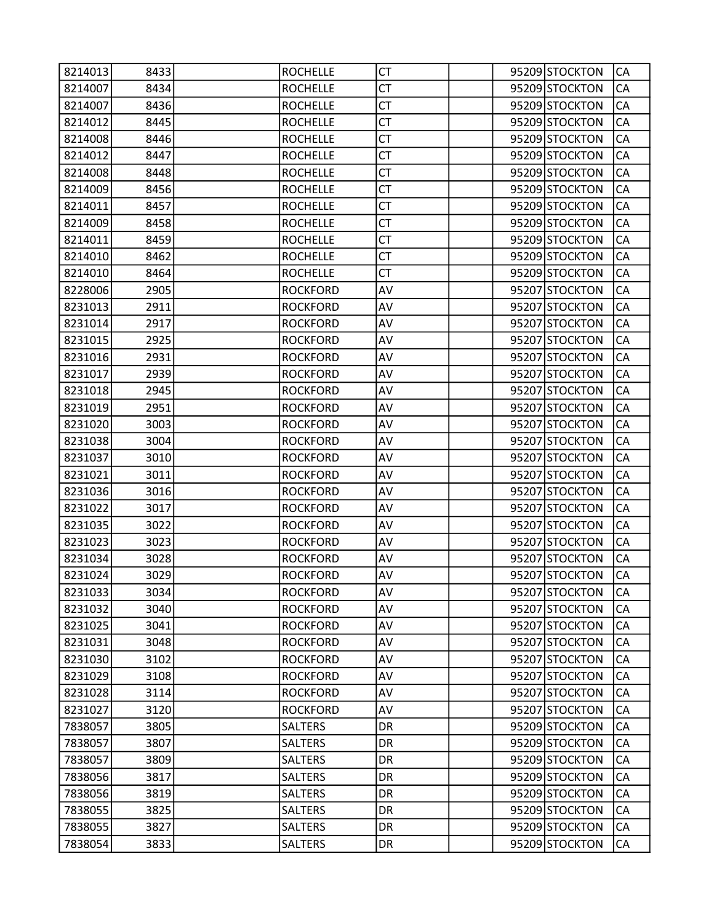| 8214013 | 8433 | <b>ROCHELLE</b> | СT        |  | 95209 STOCKTON | CA        |
|---------|------|-----------------|-----------|--|----------------|-----------|
| 8214007 | 8434 | <b>ROCHELLE</b> | <b>CT</b> |  | 95209 STOCKTON | CA        |
| 8214007 | 8436 | <b>ROCHELLE</b> | <b>CT</b> |  | 95209 STOCKTON | CA        |
| 8214012 | 8445 | <b>ROCHELLE</b> | <b>CT</b> |  | 95209 STOCKTON | CA        |
| 8214008 | 8446 | <b>ROCHELLE</b> | <b>CT</b> |  | 95209 STOCKTON | CA        |
| 8214012 | 8447 | <b>ROCHELLE</b> | СT        |  | 95209 STOCKTON | CA        |
| 8214008 | 8448 | <b>ROCHELLE</b> | <b>CT</b> |  | 95209 STOCKTON | CA        |
| 8214009 | 8456 | <b>ROCHELLE</b> | <b>CT</b> |  | 95209 STOCKTON | CA        |
| 8214011 | 8457 | <b>ROCHELLE</b> | <b>CT</b> |  | 95209 STOCKTON | CA        |
| 8214009 | 8458 | <b>ROCHELLE</b> | <b>CT</b> |  | 95209 STOCKTON | CA        |
| 8214011 | 8459 | <b>ROCHELLE</b> | СT        |  | 95209 STOCKTON | CA        |
| 8214010 | 8462 | <b>ROCHELLE</b> | <b>CT</b> |  | 95209 STOCKTON | CA        |
| 8214010 | 8464 | <b>ROCHELLE</b> | <b>CT</b> |  | 95209 STOCKTON | CA        |
| 8228006 | 2905 | <b>ROCKFORD</b> | AV        |  | 95207 STOCKTON | CA        |
| 8231013 | 2911 | <b>ROCKFORD</b> | AV        |  | 95207 STOCKTON | CA        |
| 8231014 | 2917 | <b>ROCKFORD</b> | AV        |  | 95207 STOCKTON | CA        |
| 8231015 | 2925 | <b>ROCKFORD</b> | AV        |  | 95207 STOCKTON | CA        |
| 8231016 | 2931 | <b>ROCKFORD</b> | AV        |  | 95207 STOCKTON | CA        |
| 8231017 | 2939 | <b>ROCKFORD</b> | AV        |  | 95207 STOCKTON | CA        |
| 8231018 | 2945 | <b>ROCKFORD</b> | AV        |  | 95207 STOCKTON | CA        |
| 8231019 | 2951 | <b>ROCKFORD</b> | AV        |  | 95207 STOCKTON | CA        |
| 8231020 | 3003 | <b>ROCKFORD</b> | AV        |  | 95207 STOCKTON | CA        |
| 8231038 | 3004 | <b>ROCKFORD</b> | AV        |  | 95207 STOCKTON | CA        |
| 8231037 | 3010 | <b>ROCKFORD</b> | AV        |  | 95207 STOCKTON | CA        |
| 8231021 | 3011 | <b>ROCKFORD</b> | AV        |  | 95207 STOCKTON | CA        |
| 8231036 | 3016 | <b>ROCKFORD</b> | AV        |  | 95207 STOCKTON | CA        |
| 8231022 | 3017 | <b>ROCKFORD</b> | AV        |  | 95207 STOCKTON | CA        |
| 8231035 | 3022 | <b>ROCKFORD</b> | AV        |  | 95207 STOCKTON | CA        |
| 8231023 | 3023 | <b>ROCKFORD</b> | AV        |  | 95207 STOCKTON | CA        |
| 8231034 | 3028 | <b>ROCKFORD</b> | AV        |  | 95207 STOCKTON | CA        |
| 8231024 | 3029 | <b>ROCKFORD</b> | AV        |  | 95207 STOCKTON | CA        |
| 8231033 | 3034 | <b>ROCKFORD</b> | AV        |  | 95207 STOCKTON | <b>CA</b> |
| 8231032 | 3040 | <b>ROCKFORD</b> | AV        |  | 95207 STOCKTON | CA        |
| 8231025 | 3041 | <b>ROCKFORD</b> | AV        |  | 95207 STOCKTON | CA        |
| 8231031 | 3048 | <b>ROCKFORD</b> | AV        |  | 95207 STOCKTON | CA        |
| 8231030 | 3102 | <b>ROCKFORD</b> | AV        |  | 95207 STOCKTON | CA        |
| 8231029 | 3108 | <b>ROCKFORD</b> | AV        |  | 95207 STOCKTON | CA        |
| 8231028 | 3114 | <b>ROCKFORD</b> | AV        |  | 95207 STOCKTON | CA        |
| 8231027 | 3120 | <b>ROCKFORD</b> | AV        |  | 95207 STOCKTON | CA        |
| 7838057 | 3805 | <b>SALTERS</b>  | <b>DR</b> |  | 95209 STOCKTON | CA        |
| 7838057 | 3807 | <b>SALTERS</b>  | DR        |  | 95209 STOCKTON | CA        |
| 7838057 | 3809 | <b>SALTERS</b>  | DR        |  | 95209 STOCKTON | CA        |
| 7838056 | 3817 | <b>SALTERS</b>  | DR        |  | 95209 STOCKTON | CA        |
| 7838056 | 3819 | <b>SALTERS</b>  | DR        |  | 95209 STOCKTON | CA        |
| 7838055 | 3825 | <b>SALTERS</b>  | <b>DR</b> |  | 95209 STOCKTON | CA        |
| 7838055 | 3827 | <b>SALTERS</b>  | DR        |  | 95209 STOCKTON | CA        |
| 7838054 | 3833 | <b>SALTERS</b>  | DR        |  | 95209 STOCKTON | CA        |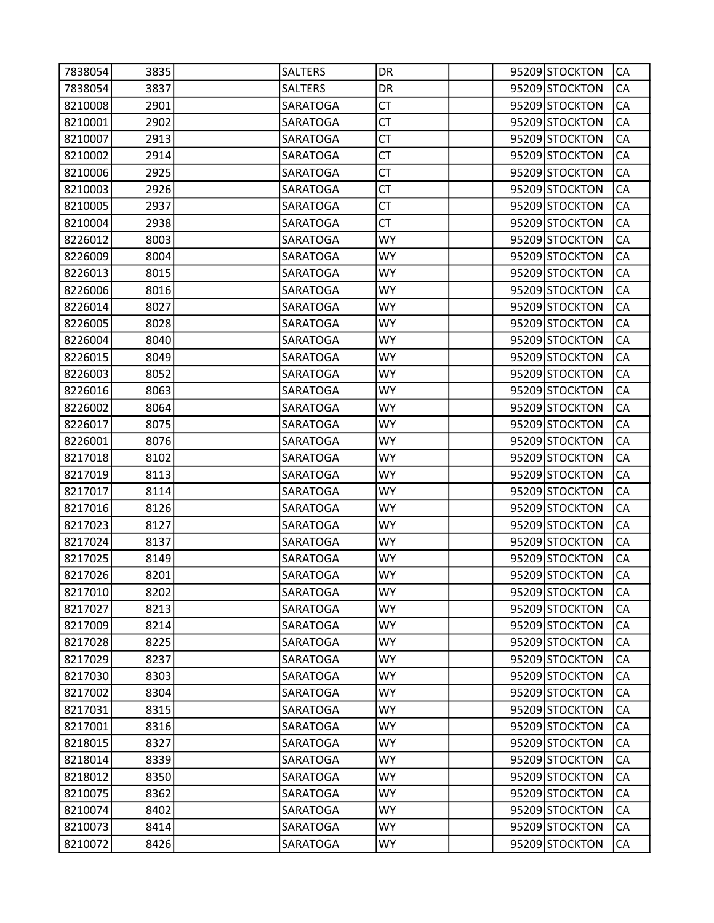| 7838054 | 3835 | <b>SALTERS</b>  | DR        |  | 95209 STOCKTON | CA        |
|---------|------|-----------------|-----------|--|----------------|-----------|
| 7838054 | 3837 | <b>SALTERS</b>  | DR        |  | 95209 STOCKTON | CA        |
| 8210008 | 2901 | <b>SARATOGA</b> | <b>CT</b> |  | 95209 STOCKTON | CA        |
| 8210001 | 2902 | SARATOGA        | <b>CT</b> |  | 95209 STOCKTON | CA        |
| 8210007 | 2913 | SARATOGA        | <b>CT</b> |  | 95209 STOCKTON | CA        |
| 8210002 | 2914 | SARATOGA        | СT        |  | 95209 STOCKTON | CA        |
| 8210006 | 2925 | SARATOGA        | <b>CT</b> |  | 95209 STOCKTON | CA        |
| 8210003 | 2926 | SARATOGA        | <b>CT</b> |  | 95209 STOCKTON | CA        |
| 8210005 | 2937 | SARATOGA        | <b>CT</b> |  | 95209 STOCKTON | CA        |
| 8210004 | 2938 | SARATOGA        | <b>CT</b> |  | 95209 STOCKTON | CA        |
| 8226012 | 8003 | SARATOGA        | WY        |  | 95209 STOCKTON | CA        |
| 8226009 | 8004 | SARATOGA        | <b>WY</b> |  | 95209 STOCKTON | CA        |
| 8226013 | 8015 | SARATOGA        | <b>WY</b> |  | 95209 STOCKTON | CA        |
| 8226006 | 8016 | SARATOGA        | WY        |  | 95209 STOCKTON | CA        |
| 8226014 | 8027 | SARATOGA        | <b>WY</b> |  | 95209 STOCKTON | CA        |
| 8226005 | 8028 | SARATOGA        | <b>WY</b> |  | 95209 STOCKTON | CA        |
| 8226004 | 8040 | SARATOGA        | <b>WY</b> |  | 95209 STOCKTON | CA        |
| 8226015 | 8049 | SARATOGA        | <b>WY</b> |  | 95209 STOCKTON | CA        |
| 8226003 | 8052 | SARATOGA        | WY        |  | 95209 STOCKTON | CA        |
| 8226016 | 8063 | SARATOGA        | <b>WY</b> |  | 95209 STOCKTON | CA        |
| 8226002 | 8064 | SARATOGA        | <b>WY</b> |  | 95209 STOCKTON | CA        |
| 8226017 | 8075 | SARATOGA        | <b>WY</b> |  | 95209 STOCKTON | CA        |
| 8226001 | 8076 | SARATOGA        | <b>WY</b> |  | 95209 STOCKTON | CA        |
| 8217018 | 8102 | SARATOGA        | WY        |  | 95209 STOCKTON | CA        |
| 8217019 | 8113 | SARATOGA        | <b>WY</b> |  | 95209 STOCKTON | CA        |
| 8217017 | 8114 | SARATOGA        | <b>WY</b> |  | 95209 STOCKTON | CA        |
| 8217016 | 8126 | SARATOGA        | <b>WY</b> |  | 95209 STOCKTON | CA        |
| 8217023 | 8127 | SARATOGA        | <b>WY</b> |  | 95209 STOCKTON | CA        |
| 8217024 | 8137 | SARATOGA        | WY        |  | 95209 STOCKTON | CA        |
| 8217025 | 8149 | SARATOGA        | <b>WY</b> |  | 95209 STOCKTON | CA        |
| 8217026 | 8201 | SARATOGA        | <b>WY</b> |  | 95209 STOCKTON | CA        |
| 8217010 | 8202 | SARATOGA        | <b>WY</b> |  | 95209 STOCKTON | <b>CA</b> |
| 8217027 | 8213 | SARATOGA        | <b>WY</b> |  | 95209 STOCKTON | CA        |
| 8217009 | 8214 | SARATOGA        | <b>WY</b> |  | 95209 STOCKTON | CA        |
| 8217028 | 8225 | SARATOGA        | <b>WY</b> |  | 95209 STOCKTON | CA        |
| 8217029 | 8237 | SARATOGA        | <b>WY</b> |  | 95209 STOCKTON | CA        |
| 8217030 | 8303 | SARATOGA        | <b>WY</b> |  | 95209 STOCKTON | CA        |
| 8217002 | 8304 | SARATOGA        | <b>WY</b> |  | 95209 STOCKTON | CA        |
| 8217031 | 8315 | SARATOGA        | WY.       |  | 95209 STOCKTON | CA        |
| 8217001 | 8316 | SARATOGA        | <b>WY</b> |  | 95209 STOCKTON | CA        |
| 8218015 | 8327 | SARATOGA        | <b>WY</b> |  | 95209 STOCKTON | CA        |
| 8218014 | 8339 | SARATOGA        | <b>WY</b> |  | 95209 STOCKTON | CA        |
| 8218012 | 8350 | SARATOGA        | <b>WY</b> |  | 95209 STOCKTON | CA        |
| 8210075 | 8362 | SARATOGA        | <b>WY</b> |  | 95209 STOCKTON | CA        |
| 8210074 | 8402 | SARATOGA        | <b>WY</b> |  | 95209 STOCKTON | CA        |
| 8210073 | 8414 | SARATOGA        | <b>WY</b> |  | 95209 STOCKTON | СA        |
| 8210072 | 8426 | SARATOGA        | <b>WY</b> |  | 95209 STOCKTON | CA        |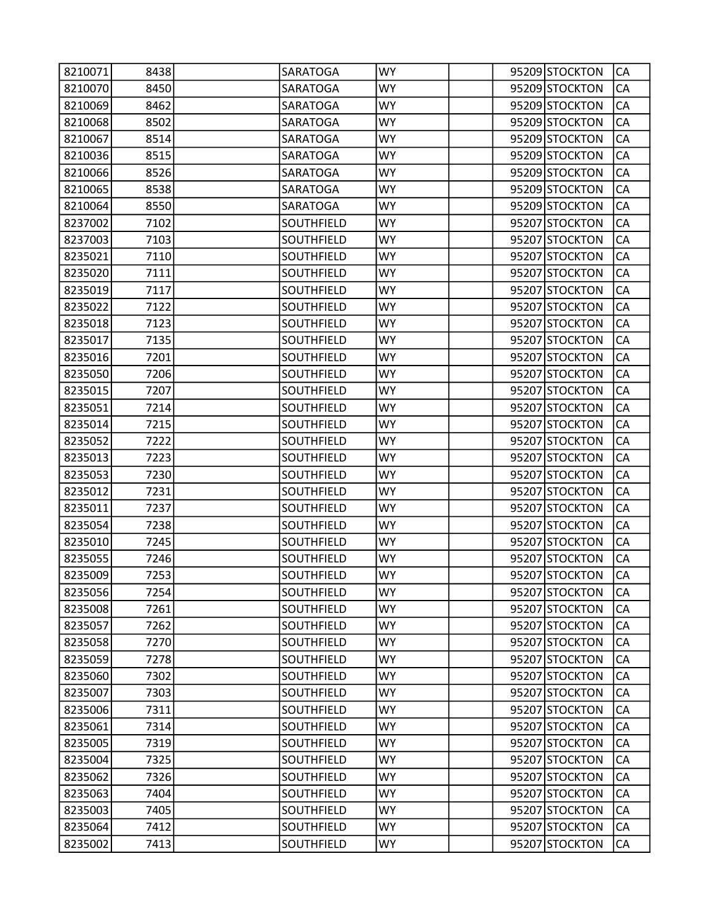| 8210071 | 8438 | <b>SARATOGA</b>   | <b>WY</b> |  | 95209 STOCKTON | CA        |
|---------|------|-------------------|-----------|--|----------------|-----------|
| 8210070 | 8450 | <b>SARATOGA</b>   | <b>WY</b> |  | 95209 STOCKTON | CA        |
| 8210069 | 8462 | <b>SARATOGA</b>   | <b>WY</b> |  | 95209 STOCKTON | CA        |
| 8210068 | 8502 | SARATOGA          | WY        |  | 95209 STOCKTON | CA        |
| 8210067 | 8514 | SARATOGA          | <b>WY</b> |  | 95209 STOCKTON | CA        |
| 8210036 | 8515 | SARATOGA          | <b>WY</b> |  | 95209 STOCKTON | CA        |
| 8210066 | 8526 | SARATOGA          | <b>WY</b> |  | 95209 STOCKTON | CA        |
| 8210065 | 8538 | SARATOGA          | <b>WY</b> |  | 95209 STOCKTON | CA        |
| 8210064 | 8550 | SARATOGA          | WY        |  | 95209 STOCKTON | CA        |
| 8237002 | 7102 | SOUTHFIELD        | <b>WY</b> |  | 95207 STOCKTON | CA        |
| 8237003 | 7103 | SOUTHFIELD        | <b>WY</b> |  | 95207 STOCKTON | CA        |
| 8235021 | 7110 | SOUTHFIELD        | <b>WY</b> |  | 95207 STOCKTON | CA        |
| 8235020 | 7111 | SOUTHFIELD        | <b>WY</b> |  | 95207 STOCKTON | CA        |
| 8235019 | 7117 | SOUTHFIELD        | WY        |  | 95207 STOCKTON | CA        |
| 8235022 | 7122 | SOUTHFIELD        | <b>WY</b> |  | 95207 STOCKTON | CA        |
| 8235018 | 7123 | SOUTHFIELD        | <b>WY</b> |  | 95207 STOCKTON | CA        |
| 8235017 | 7135 | SOUTHFIELD        | <b>WY</b> |  | 95207 STOCKTON | CA        |
| 8235016 | 7201 | SOUTHFIELD        | <b>WY</b> |  | 95207 STOCKTON | CA        |
| 8235050 | 7206 | <b>SOUTHFIELD</b> | WY        |  | 95207 STOCKTON | CA        |
| 8235015 | 7207 | SOUTHFIELD        | <b>WY</b> |  | 95207 STOCKTON | CA        |
| 8235051 | 7214 | SOUTHFIELD        | <b>WY</b> |  | 95207 STOCKTON | CA        |
| 8235014 | 7215 | SOUTHFIELD        | <b>WY</b> |  | 95207 STOCKTON | CA        |
| 8235052 | 7222 | SOUTHFIELD        | <b>WY</b> |  | 95207 STOCKTON | CA        |
| 8235013 | 7223 | SOUTHFIELD        | WY        |  | 95207 STOCKTON | CA        |
| 8235053 | 7230 | SOUTHFIELD        | <b>WY</b> |  | 95207 STOCKTON | CA        |
| 8235012 | 7231 | SOUTHFIELD        | <b>WY</b> |  | 95207 STOCKTON | CA        |
| 8235011 | 7237 | SOUTHFIELD        | <b>WY</b> |  | 95207 STOCKTON | CA        |
| 8235054 | 7238 | SOUTHFIELD        | <b>WY</b> |  | 95207 STOCKTON | CA        |
| 8235010 | 7245 | SOUTHFIELD        | WY        |  | 95207 STOCKTON | CA        |
| 8235055 | 7246 | <b>SOUTHFIELD</b> | <b>WY</b> |  | 95207 STOCKTON | CA        |
| 8235009 | 7253 | SOUTHFIELD        | WY        |  | 95207 STOCKTON | CA        |
| 8235056 | 7254 | SOUTHFIELD        | <b>WY</b> |  | 95207 STOCKTON | <b>CA</b> |
| 8235008 | 7261 | <b>SOUTHFIELD</b> | <b>WY</b> |  | 95207 STOCKTON | CA        |
| 8235057 | 7262 | SOUTHFIELD        | WY.       |  | 95207 STOCKTON | CA        |
| 8235058 | 7270 | SOUTHFIELD        | <b>WY</b> |  | 95207 STOCKTON | CA        |
| 8235059 | 7278 | SOUTHFIELD        | <b>WY</b> |  | 95207 STOCKTON | CA        |
| 8235060 | 7302 | SOUTHFIELD        | <b>WY</b> |  | 95207 STOCKTON | CA        |
| 8235007 | 7303 | SOUTHFIELD        | <b>WY</b> |  | 95207 STOCKTON | CA        |
| 8235006 | 7311 | SOUTHFIELD        | WY.       |  | 95207 STOCKTON | CA        |
| 8235061 | 7314 | SOUTHFIELD        | <b>WY</b> |  | 95207 STOCKTON | CA        |
| 8235005 | 7319 | SOUTHFIELD        | <b>WY</b> |  | 95207 STOCKTON | CA        |
| 8235004 | 7325 | SOUTHFIELD        | <b>WY</b> |  | 95207 STOCKTON | CA        |
| 8235062 | 7326 | SOUTHFIELD        | <b>WY</b> |  | 95207 STOCKTON | CA        |
| 8235063 | 7404 | SOUTHFIELD        | WY.       |  | 95207 STOCKTON | CA        |
| 8235003 | 7405 | SOUTHFIELD        | <b>WY</b> |  | 95207 STOCKTON | CA        |
| 8235064 | 7412 | SOUTHFIELD        | <b>WY</b> |  | 95207 STOCKTON | CA        |
| 8235002 | 7413 | SOUTHFIELD        | <b>WY</b> |  | 95207 STOCKTON | CA        |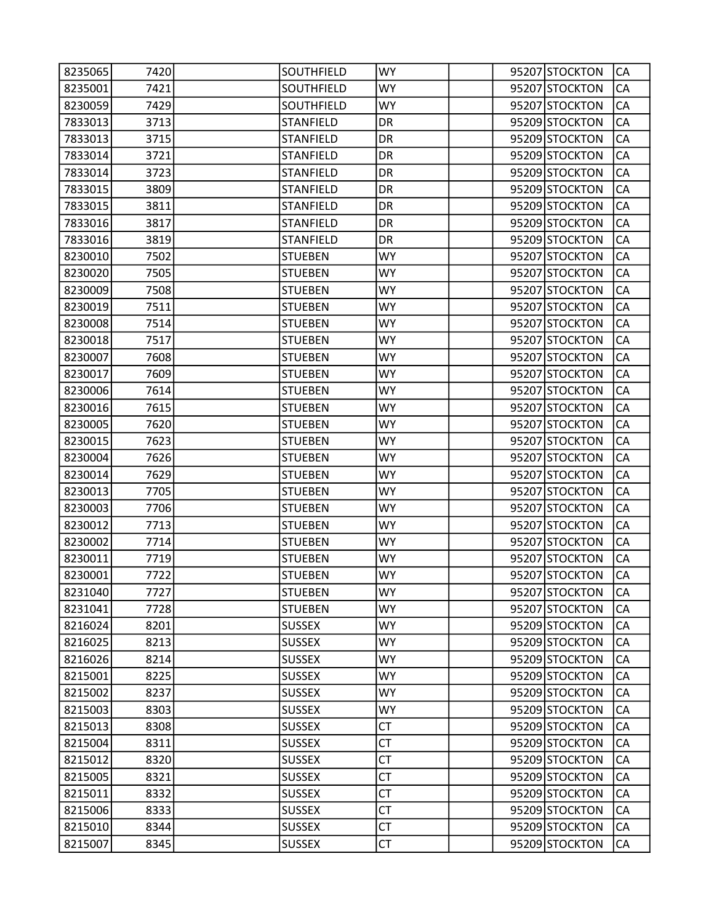| 8235065 | 7420 | SOUTHFIELD       | <b>WY</b> |  | 95207 STOCKTON | CA        |
|---------|------|------------------|-----------|--|----------------|-----------|
| 8235001 | 7421 | SOUTHFIELD       | <b>WY</b> |  | 95207 STOCKTON | CA        |
| 8230059 | 7429 | SOUTHFIELD       | <b>WY</b> |  | 95207 STOCKTON | CA        |
| 7833013 | 3713 | <b>STANFIELD</b> | DR        |  | 95209 STOCKTON | CA        |
| 7833013 | 3715 | <b>STANFIELD</b> | DR        |  | 95209 STOCKTON | CA        |
| 7833014 | 3721 | <b>STANFIELD</b> | DR        |  | 95209 STOCKTON | CA        |
| 7833014 | 3723 | <b>STANFIELD</b> | DR        |  | 95209 STOCKTON | CA        |
| 7833015 | 3809 | <b>STANFIELD</b> | DR        |  | 95209 STOCKTON | CA        |
| 7833015 | 3811 | <b>STANFIELD</b> | DR        |  | 95209 STOCKTON | CA        |
| 7833016 | 3817 | <b>STANFIELD</b> | DR        |  | 95209 STOCKTON | CA        |
| 7833016 | 3819 | <b>STANFIELD</b> | DR        |  | 95209 STOCKTON | CA        |
| 8230010 | 7502 | <b>STUEBEN</b>   | <b>WY</b> |  | 95207 STOCKTON | CA        |
| 8230020 | 7505 | <b>STUEBEN</b>   | <b>WY</b> |  | 95207 STOCKTON | CA        |
| 8230009 | 7508 | <b>STUEBEN</b>   | <b>WY</b> |  | 95207 STOCKTON | CA        |
| 8230019 | 7511 | <b>STUEBEN</b>   | <b>WY</b> |  | 95207 STOCKTON | CA        |
| 8230008 | 7514 | <b>STUEBEN</b>   | <b>WY</b> |  | 95207 STOCKTON | CA        |
| 8230018 | 7517 | <b>STUEBEN</b>   | <b>WY</b> |  | 95207 STOCKTON | CA        |
| 8230007 | 7608 | <b>STUEBEN</b>   | <b>WY</b> |  | 95207 STOCKTON | CA        |
| 8230017 | 7609 | <b>STUEBEN</b>   | WY        |  | 95207 STOCKTON | CA        |
| 8230006 | 7614 | <b>STUEBEN</b>   | <b>WY</b> |  | 95207 STOCKTON | CA        |
| 8230016 | 7615 | <b>STUEBEN</b>   | <b>WY</b> |  | 95207 STOCKTON | CA        |
| 8230005 | 7620 | <b>STUEBEN</b>   | <b>WY</b> |  | 95207 STOCKTON | CA        |
| 8230015 | 7623 | <b>STUEBEN</b>   | <b>WY</b> |  | 95207 STOCKTON | CA        |
| 8230004 | 7626 | <b>STUEBEN</b>   | <b>WY</b> |  | 95207 STOCKTON | CA        |
| 8230014 | 7629 | <b>STUEBEN</b>   | <b>WY</b> |  | 95207 STOCKTON | CA        |
| 8230013 | 7705 | <b>STUEBEN</b>   | <b>WY</b> |  | 95207 STOCKTON | CA        |
| 8230003 | 7706 | <b>STUEBEN</b>   | <b>WY</b> |  | 95207 STOCKTON | CA        |
| 8230012 | 7713 | <b>STUEBEN</b>   | <b>WY</b> |  | 95207 STOCKTON | CA        |
| 8230002 | 7714 | <b>STUEBEN</b>   | WY        |  | 95207 STOCKTON | CA        |
| 8230011 | 7719 | <b>STUEBEN</b>   | <b>WY</b> |  | 95207 STOCKTON | CA        |
| 8230001 | 7722 | <b>STUEBEN</b>   | WY        |  | 95207 STOCKTON | CA        |
| 8231040 | 7727 | <b>STUEBEN</b>   | <b>WY</b> |  | 95207 STOCKTON | <b>CA</b> |
| 8231041 | 7728 | <b>STUEBEN</b>   | <b>WY</b> |  | 95207 STOCKTON | CA        |
| 8216024 | 8201 | <b>SUSSEX</b>    | <b>WY</b> |  | 95209 STOCKTON | CA        |
| 8216025 | 8213 | <b>SUSSEX</b>    | <b>WY</b> |  | 95209 STOCKTON | CA        |
| 8216026 | 8214 | <b>SUSSEX</b>    | <b>WY</b> |  | 95209 STOCKTON | CA        |
| 8215001 | 8225 | <b>SUSSEX</b>    | <b>WY</b> |  | 95209 STOCKTON | CA        |
| 8215002 | 8237 | <b>SUSSEX</b>    | <b>WY</b> |  | 95209 STOCKTON | CA        |
| 8215003 | 8303 | <b>SUSSEX</b>    | <b>WY</b> |  | 95209 STOCKTON | CA        |
| 8215013 | 8308 | <b>SUSSEX</b>    | <b>CT</b> |  | 95209 STOCKTON | CA        |
| 8215004 | 8311 | <b>SUSSEX</b>    | <b>CT</b> |  | 95209 STOCKTON | CA        |
| 8215012 | 8320 | <b>SUSSEX</b>    | <b>CT</b> |  | 95209 STOCKTON | CA        |
| 8215005 | 8321 | <b>SUSSEX</b>    | <b>CT</b> |  | 95209 STOCKTON | CA        |
| 8215011 | 8332 | <b>SUSSEX</b>    | <b>CT</b> |  | 95209 STOCKTON | CA        |
| 8215006 | 8333 | <b>SUSSEX</b>    | <b>CT</b> |  | 95209 STOCKTON | CA        |
| 8215010 | 8344 | <b>SUSSEX</b>    | <b>CT</b> |  | 95209 STOCKTON | CA        |
| 8215007 | 8345 | <b>SUSSEX</b>    | <b>CT</b> |  | 95209 STOCKTON | CA        |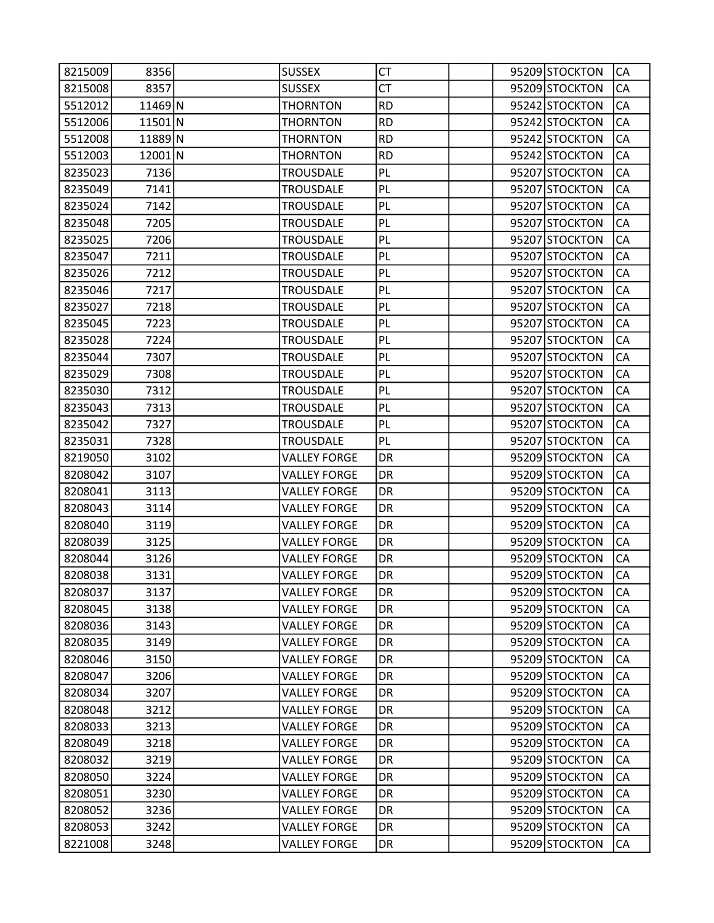| 8215009 | 8356    | <b>SUSSEX</b>       | CT        |  | 95209 STOCKTON | CA        |
|---------|---------|---------------------|-----------|--|----------------|-----------|
| 8215008 | 8357    | <b>SUSSEX</b>       | <b>CT</b> |  | 95209 STOCKTON | CA        |
| 5512012 | 11469 N | <b>THORNTON</b>     | <b>RD</b> |  | 95242 STOCKTON | CA        |
| 5512006 | 11501 N | <b>THORNTON</b>     | <b>RD</b> |  | 95242 STOCKTON | CA        |
| 5512008 | 11889 N | <b>THORNTON</b>     | <b>RD</b> |  | 95242 STOCKTON | CA        |
| 5512003 | 12001 N | <b>THORNTON</b>     | <b>RD</b> |  | 95242 STOCKTON | CA        |
| 8235023 | 7136    | <b>TROUSDALE</b>    | PL        |  | 95207 STOCKTON | CA        |
| 8235049 | 7141    | <b>TROUSDALE</b>    | PL        |  | 95207 STOCKTON | CA        |
| 8235024 | 7142    | <b>TROUSDALE</b>    | PL        |  | 95207 STOCKTON | CA        |
| 8235048 | 7205    | <b>TROUSDALE</b>    | PL        |  | 95207 STOCKTON | CA        |
| 8235025 | 7206    | <b>TROUSDALE</b>    | PL        |  | 95207 STOCKTON | CA        |
| 8235047 | 7211    | <b>TROUSDALE</b>    | PL        |  | 95207 STOCKTON | CA        |
| 8235026 | 7212    | <b>TROUSDALE</b>    | PL        |  | 95207 STOCKTON | CA        |
| 8235046 | 7217    | <b>TROUSDALE</b>    | PL        |  | 95207 STOCKTON | CA        |
| 8235027 | 7218    | <b>TROUSDALE</b>    | PL        |  | 95207 STOCKTON | CA        |
| 8235045 | 7223    | <b>TROUSDALE</b>    | PL        |  | 95207 STOCKTON | CA        |
| 8235028 | 7224    | <b>TROUSDALE</b>    | PL        |  | 95207 STOCKTON | CA        |
| 8235044 | 7307    | <b>TROUSDALE</b>    | PL        |  | 95207 STOCKTON | CA        |
| 8235029 | 7308    | <b>TROUSDALE</b>    | PL        |  | 95207 STOCKTON | CA        |
| 8235030 | 7312    | <b>TROUSDALE</b>    | PL        |  | 95207 STOCKTON | CA        |
| 8235043 | 7313    | <b>TROUSDALE</b>    | PL        |  | 95207 STOCKTON | CA        |
| 8235042 | 7327    | <b>TROUSDALE</b>    | PL        |  | 95207 STOCKTON | CA        |
| 8235031 | 7328    | <b>TROUSDALE</b>    | PL        |  | 95207 STOCKTON | CA        |
| 8219050 | 3102    | <b>VALLEY FORGE</b> | DR        |  | 95209 STOCKTON | CA        |
| 8208042 | 3107    | <b>VALLEY FORGE</b> | DR        |  | 95209 STOCKTON | CA        |
| 8208041 | 3113    | <b>VALLEY FORGE</b> | DR        |  | 95209 STOCKTON | CA        |
| 8208043 | 3114    | <b>VALLEY FORGE</b> | DR        |  | 95209 STOCKTON | CA        |
| 8208040 | 3119    | <b>VALLEY FORGE</b> | DR        |  | 95209 STOCKTON | CA        |
| 8208039 | 3125    | <b>VALLEY FORGE</b> | DR        |  | 95209 STOCKTON | CA        |
| 8208044 | 3126    | <b>VALLEY FORGE</b> | DR        |  | 95209 STOCKTON | CA        |
| 8208038 | 3131    | <b>VALLEY FORGE</b> | DR        |  | 95209 STOCKTON | CA        |
| 8208037 | 3137    | <b>VALLEY FORGE</b> | DR        |  | 95209 STOCKTON | <b>CA</b> |
| 8208045 | 3138    | <b>VALLEY FORGE</b> | DR        |  | 95209 STOCKTON | CA        |
| 8208036 | 3143    | <b>VALLEY FORGE</b> | DR.       |  | 95209 STOCKTON | CA        |
| 8208035 | 3149    | <b>VALLEY FORGE</b> | <b>DR</b> |  | 95209 STOCKTON | CA        |
| 8208046 | 3150    | <b>VALLEY FORGE</b> | DR        |  | 95209 STOCKTON | CA        |
| 8208047 | 3206    | <b>VALLEY FORGE</b> | DR        |  | 95209 STOCKTON | CA        |
| 8208034 | 3207    | <b>VALLEY FORGE</b> | DR        |  | 95209 STOCKTON | CA        |
| 8208048 | 3212    | <b>VALLEY FORGE</b> | DR        |  | 95209 STOCKTON | CA        |
| 8208033 | 3213    | <b>VALLEY FORGE</b> | <b>DR</b> |  | 95209 STOCKTON | CA        |
| 8208049 | 3218    | <b>VALLEY FORGE</b> | DR        |  | 95209 STOCKTON | CA        |
| 8208032 | 3219    | <b>VALLEY FORGE</b> | DR        |  | 95209 STOCKTON | CA        |
| 8208050 | 3224    | <b>VALLEY FORGE</b> | DR        |  | 95209 STOCKTON | CA        |
| 8208051 | 3230    | <b>VALLEY FORGE</b> | DR.       |  | 95209 STOCKTON | CA        |
| 8208052 | 3236    | <b>VALLEY FORGE</b> | DR        |  | 95209 STOCKTON | CA        |
| 8208053 | 3242    | <b>VALLEY FORGE</b> | DR        |  | 95209 STOCKTON | CA        |
| 8221008 | 3248    | <b>VALLEY FORGE</b> | DR        |  | 95209 STOCKTON | CA        |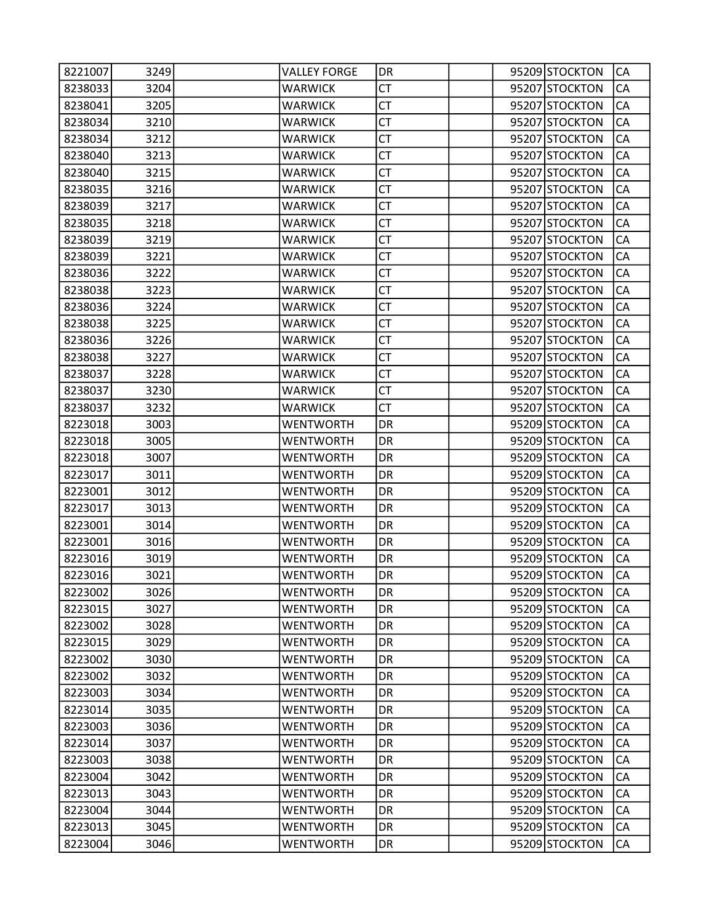| 8221007 | 3249 | <b>VALLEY FORGE</b> | DR        |  | 95209 STOCKTON | CA |
|---------|------|---------------------|-----------|--|----------------|----|
| 8238033 | 3204 | <b>WARWICK</b>      | СT        |  | 95207 STOCKTON | CA |
| 8238041 | 3205 | <b>WARWICK</b>      | <b>CT</b> |  | 95207 STOCKTON | CA |
| 8238034 | 3210 | <b>WARWICK</b>      | <b>CT</b> |  | 95207 STOCKTON | CA |
| 8238034 | 3212 | <b>WARWICK</b>      | <b>CT</b> |  | 95207 STOCKTON | CA |
| 8238040 | 3213 | <b>WARWICK</b>      | <b>CT</b> |  | 95207 STOCKTON | CA |
| 8238040 | 3215 | <b>WARWICK</b>      | CT        |  | 95207 STOCKTON | CA |
| 8238035 | 3216 | <b>WARWICK</b>      | <b>CT</b> |  | 95207 STOCKTON | CA |
| 8238039 | 3217 | <b>WARWICK</b>      | <b>CT</b> |  | 95207 STOCKTON | CA |
| 8238035 | 3218 | <b>WARWICK</b>      | <b>CT</b> |  | 95207 STOCKTON | CA |
| 8238039 | 3219 | <b>WARWICK</b>      | <b>CT</b> |  | 95207 STOCKTON | CA |
| 8238039 | 3221 | <b>WARWICK</b>      | <b>CT</b> |  | 95207 STOCKTON | CA |
| 8238036 | 3222 | <b>WARWICK</b>      | <b>CT</b> |  | 95207 STOCKTON | CA |
| 8238038 | 3223 | <b>WARWICK</b>      | <b>CT</b> |  | 95207 STOCKTON | CA |
| 8238036 | 3224 | <b>WARWICK</b>      | <b>CT</b> |  | 95207 STOCKTON | CA |
| 8238038 | 3225 | <b>WARWICK</b>      | <b>CT</b> |  | 95207 STOCKTON | CA |
| 8238036 | 3226 | <b>WARWICK</b>      | <b>CT</b> |  | 95207 STOCKTON | CA |
| 8238038 | 3227 | <b>WARWICK</b>      | <b>CT</b> |  | 95207 STOCKTON | CA |
| 8238037 | 3228 | <b>WARWICK</b>      | <b>CT</b> |  | 95207 STOCKTON | CA |
| 8238037 | 3230 | <b>WARWICK</b>      | <b>CT</b> |  | 95207 STOCKTON | CA |
| 8238037 | 3232 | <b>WARWICK</b>      | CT        |  | 95207 STOCKTON | CA |
| 8223018 | 3003 | <b>WENTWORTH</b>    | DR        |  | 95209 STOCKTON | CA |
| 8223018 | 3005 | <b>WENTWORTH</b>    | DR        |  | 95209 STOCKTON | CA |
| 8223018 | 3007 | WENTWORTH           | DR        |  | 95209 STOCKTON | CA |
| 8223017 | 3011 | <b>WENTWORTH</b>    | DR        |  | 95209 STOCKTON | CA |
| 8223001 | 3012 | <b>WENTWORTH</b>    | DR        |  | 95209 STOCKTON | CA |
| 8223017 | 3013 | <b>WENTWORTH</b>    | DR        |  | 95209 STOCKTON | CA |
| 8223001 | 3014 | <b>WENTWORTH</b>    | DR        |  | 95209 STOCKTON | CA |
| 8223001 | 3016 | WENTWORTH           | DR        |  | 95209 STOCKTON | CA |
| 8223016 | 3019 | <b>WENTWORTH</b>    | DR        |  | 95209 STOCKTON | CA |
| 8223016 | 3021 | <b>WENTWORTH</b>    | DR        |  | 95209 STOCKTON | CA |
| 8223002 | 3026 | <b>WENTWORTH</b>    | DR        |  | 95209 STOCKTON | CA |
| 8223015 | 3027 | <b>WENTWORTH</b>    | DR        |  | 95209 STOCKTON | CA |
| 8223002 | 3028 | <b>WENTWORTH</b>    | DR.       |  | 95209 STOCKTON | CA |
| 8223015 | 3029 | <b>WENTWORTH</b>    | DR        |  | 95209 STOCKTON | CA |
| 8223002 | 3030 | <b>WENTWORTH</b>    | DR        |  | 95209 STOCKTON | CA |
| 8223002 | 3032 | <b>WENTWORTH</b>    | DR        |  | 95209 STOCKTON | CA |
| 8223003 | 3034 | <b>WENTWORTH</b>    | DR        |  | 95209 STOCKTON | CA |
| 8223014 | 3035 | <b>WENTWORTH</b>    | DR        |  | 95209 STOCKTON | CA |
| 8223003 | 3036 | <b>WENTWORTH</b>    | DR        |  | 95209 STOCKTON | CA |
| 8223014 | 3037 | <b>WENTWORTH</b>    | DR        |  | 95209 STOCKTON | CA |
| 8223003 | 3038 | <b>WENTWORTH</b>    | DR        |  | 95209 STOCKTON | CA |
| 8223004 | 3042 | <b>WENTWORTH</b>    | DR        |  | 95209 STOCKTON | CA |
| 8223013 | 3043 | <b>WENTWORTH</b>    | DR.       |  | 95209 STOCKTON | CA |
| 8223004 | 3044 | <b>WENTWORTH</b>    | DR        |  | 95209 STOCKTON | CA |
| 8223013 | 3045 | <b>WENTWORTH</b>    | DR        |  | 95209 STOCKTON | CA |
| 8223004 | 3046 | <b>WENTWORTH</b>    | DR        |  | 95209 STOCKTON | CA |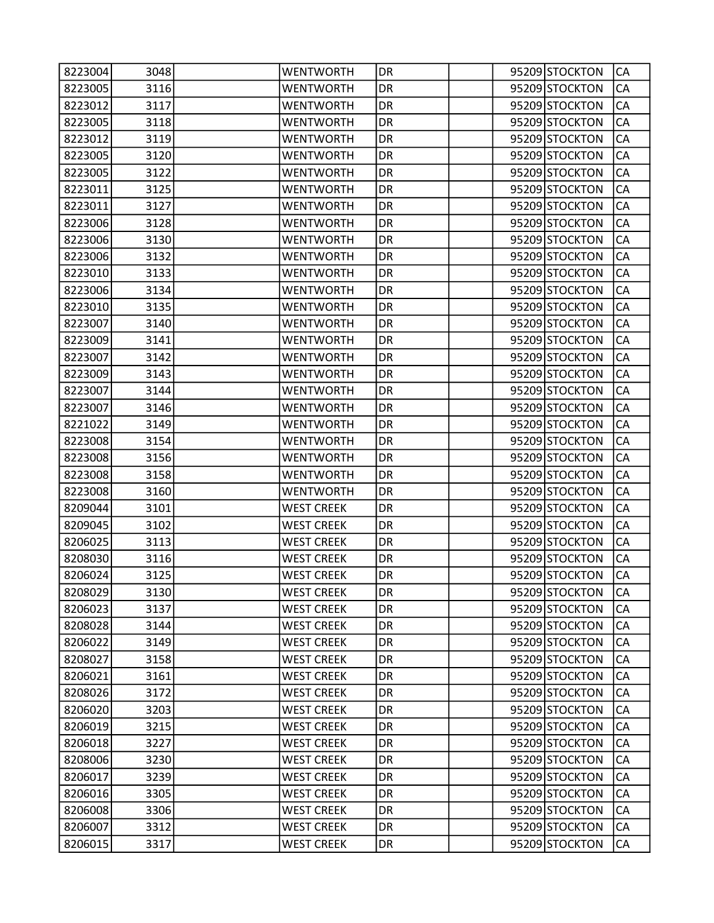| 8223004 | 3048 | <b>WENTWORTH</b>  | DR |  | 95209 STOCKTON | CA |
|---------|------|-------------------|----|--|----------------|----|
| 8223005 | 3116 | <b>WENTWORTH</b>  | DR |  | 95209 STOCKTON | CA |
| 8223012 | 3117 | <b>WENTWORTH</b>  | DR |  | 95209 STOCKTON | CA |
| 8223005 | 3118 | <b>WENTWORTH</b>  | DR |  | 95209 STOCKTON | CA |
| 8223012 | 3119 | <b>WENTWORTH</b>  | DR |  | 95209 STOCKTON | CA |
| 8223005 | 3120 | <b>WENTWORTH</b>  | DR |  | 95209 STOCKTON | CA |
| 8223005 | 3122 | <b>WENTWORTH</b>  | DR |  | 95209 STOCKTON | CA |
| 8223011 | 3125 | <b>WENTWORTH</b>  | DR |  | 95209 STOCKTON | CA |
| 8223011 | 3127 | <b>WENTWORTH</b>  | DR |  | 95209 STOCKTON | CA |
| 8223006 | 3128 | <b>WENTWORTH</b>  | DR |  | 95209 STOCKTON | CA |
| 8223006 | 3130 | <b>WENTWORTH</b>  | DR |  | 95209 STOCKTON | CA |
| 8223006 | 3132 | <b>WENTWORTH</b>  | DR |  | 95209 STOCKTON | CA |
| 8223010 | 3133 | <b>WENTWORTH</b>  | DR |  | 95209 STOCKTON | CA |
| 8223006 | 3134 | <b>WENTWORTH</b>  | DR |  | 95209 STOCKTON | CA |
| 8223010 | 3135 | <b>WENTWORTH</b>  | DR |  | 95209 STOCKTON | CA |
| 8223007 | 3140 | <b>WENTWORTH</b>  | DR |  | 95209 STOCKTON | CA |
| 8223009 | 3141 | <b>WENTWORTH</b>  | DR |  | 95209 STOCKTON | CA |
| 8223007 | 3142 | <b>WENTWORTH</b>  | DR |  | 95209 STOCKTON | CA |
| 8223009 | 3143 | <b>WENTWORTH</b>  | DR |  | 95209 STOCKTON | CA |
| 8223007 | 3144 | <b>WENTWORTH</b>  | DR |  | 95209 STOCKTON | CA |
| 8223007 | 3146 | <b>WENTWORTH</b>  | DR |  | 95209 STOCKTON | CA |
| 8221022 | 3149 | <b>WENTWORTH</b>  | DR |  | 95209 STOCKTON | CA |
| 8223008 | 3154 | <b>WENTWORTH</b>  | DR |  | 95209 STOCKTON | CA |
| 8223008 | 3156 | <b>WENTWORTH</b>  | DR |  | 95209 STOCKTON | CA |
| 8223008 | 3158 | <b>WENTWORTH</b>  | DR |  | 95209 STOCKTON | CA |
| 8223008 | 3160 | <b>WENTWORTH</b>  | DR |  | 95209 STOCKTON | CA |
| 8209044 | 3101 | <b>WEST CREEK</b> | DR |  | 95209 STOCKTON | CA |
| 8209045 | 3102 | <b>WEST CREEK</b> | DR |  | 95209 STOCKTON | CA |
| 8206025 | 3113 | <b>WEST CREEK</b> | DR |  | 95209 STOCKTON | CA |
| 8208030 | 3116 | <b>WEST CREEK</b> | DR |  | 95209 STOCKTON | CA |
| 8206024 | 3125 | <b>WEST CREEK</b> | DR |  | 95209 STOCKTON | CA |
| 8208029 | 3130 | <b>WEST CREEK</b> | DR |  | 95209 STOCKTON | СA |
| 8206023 | 3137 | <b>WEST CREEK</b> | DR |  | 95209 STOCKTON | CA |
| 8208028 | 3144 | <b>WEST CREEK</b> | DR |  | 95209 STOCKTON | CA |
| 8206022 | 3149 | <b>WEST CREEK</b> | DR |  | 95209 STOCKTON | CA |
| 8208027 | 3158 | <b>WEST CREEK</b> | DR |  | 95209 STOCKTON | CA |
| 8206021 | 3161 | <b>WEST CREEK</b> | DR |  | 95209 STOCKTON | CA |
| 8208026 | 3172 | <b>WEST CREEK</b> | DR |  | 95209 STOCKTON | CA |
| 8206020 | 3203 | <b>WEST CREEK</b> | DR |  | 95209 STOCKTON | CA |
| 8206019 | 3215 | <b>WEST CREEK</b> | DR |  | 95209 STOCKTON | CA |
| 8206018 | 3227 | <b>WEST CREEK</b> | DR |  | 95209 STOCKTON | CA |
| 8208006 | 3230 | <b>WEST CREEK</b> | DR |  | 95209 STOCKTON | СA |
| 8206017 | 3239 | <b>WEST CREEK</b> | DR |  | 95209 STOCKTON | CA |
| 8206016 | 3305 | <b>WEST CREEK</b> | DR |  | 95209 STOCKTON | CA |
| 8206008 | 3306 | <b>WEST CREEK</b> | DR |  | 95209 STOCKTON | CA |
| 8206007 | 3312 | <b>WEST CREEK</b> | DR |  | 95209 STOCKTON | СA |
| 8206015 | 3317 | <b>WEST CREEK</b> | DR |  | 95209 STOCKTON | CA |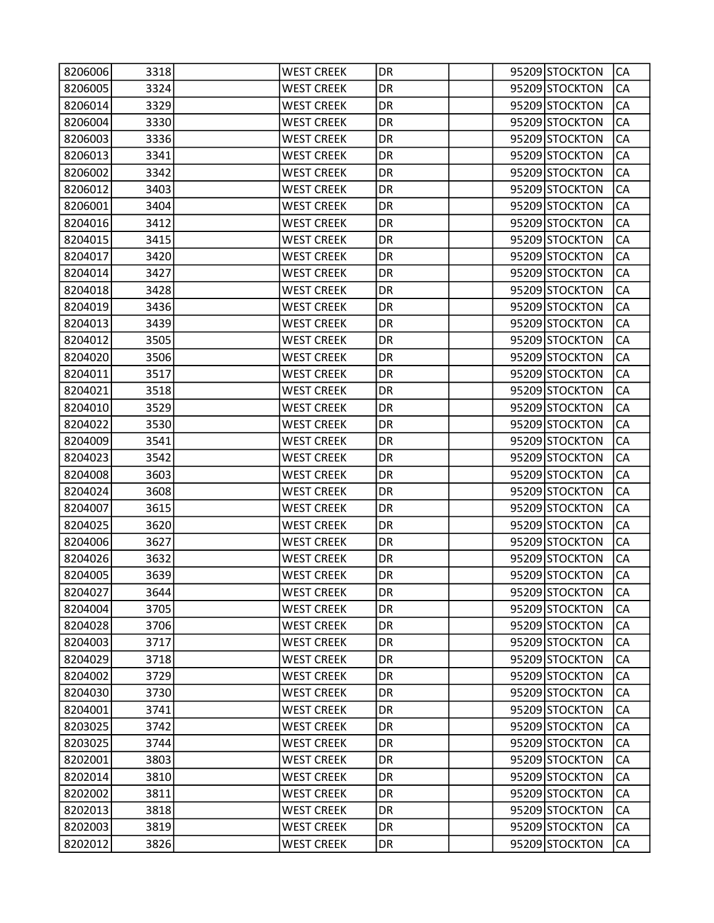| 8206006 | 3318 | <b>WEST CREEK</b> | DR        |  | 95209 STOCKTON | СA        |
|---------|------|-------------------|-----------|--|----------------|-----------|
| 8206005 | 3324 | <b>WEST CREEK</b> | DR        |  | 95209 STOCKTON | CA        |
| 8206014 | 3329 | <b>WEST CREEK</b> | DR        |  | 95209 STOCKTON | CA        |
| 8206004 | 3330 | <b>WEST CREEK</b> | DR        |  | 95209 STOCKTON | CA        |
| 8206003 | 3336 | <b>WEST CREEK</b> | DR        |  | 95209 STOCKTON | CA        |
| 8206013 | 3341 | <b>WEST CREEK</b> | DR        |  | 95209 STOCKTON | CA        |
| 8206002 | 3342 | <b>WEST CREEK</b> | DR        |  | 95209 STOCKTON | CA        |
| 8206012 | 3403 | <b>WEST CREEK</b> | DR        |  | 95209 STOCKTON | CA        |
| 8206001 | 3404 | <b>WEST CREEK</b> | DR        |  | 95209 STOCKTON | CA        |
| 8204016 | 3412 | <b>WEST CREEK</b> | DR        |  | 95209 STOCKTON | CA        |
| 8204015 | 3415 | <b>WEST CREEK</b> | DR        |  | 95209 STOCKTON | CA        |
| 8204017 | 3420 | <b>WEST CREEK</b> | DR        |  | 95209 STOCKTON | CA        |
| 8204014 | 3427 | <b>WEST CREEK</b> | DR        |  | 95209 STOCKTON | CA        |
| 8204018 | 3428 | <b>WEST CREEK</b> | DR        |  | 95209 STOCKTON | CA        |
| 8204019 | 3436 | <b>WEST CREEK</b> | DR        |  | 95209 STOCKTON | CA        |
| 8204013 | 3439 | <b>WEST CREEK</b> | DR        |  | 95209 STOCKTON | CA        |
| 8204012 | 3505 | <b>WEST CREEK</b> | DR        |  | 95209 STOCKTON | CA        |
| 8204020 | 3506 | <b>WEST CREEK</b> | DR        |  | 95209 STOCKTON | CA        |
| 8204011 | 3517 | <b>WEST CREEK</b> | DR        |  | 95209 STOCKTON | CA        |
| 8204021 | 3518 | <b>WEST CREEK</b> | DR        |  | 95209 STOCKTON | CA        |
| 8204010 | 3529 | <b>WEST CREEK</b> | DR        |  | 95209 STOCKTON | CA        |
| 8204022 | 3530 | <b>WEST CREEK</b> | DR        |  | 95209 STOCKTON | CA        |
| 8204009 | 3541 | <b>WEST CREEK</b> | DR        |  | 95209 STOCKTON | CA        |
| 8204023 | 3542 | <b>WEST CREEK</b> | DR        |  | 95209 STOCKTON | CA        |
| 8204008 | 3603 | <b>WEST CREEK</b> | DR        |  | 95209 STOCKTON | CA        |
| 8204024 | 3608 | <b>WEST CREEK</b> | DR        |  | 95209 STOCKTON | CA        |
| 8204007 | 3615 | <b>WEST CREEK</b> | DR        |  | 95209 STOCKTON | CA        |
| 8204025 | 3620 | <b>WEST CREEK</b> | DR        |  | 95209 STOCKTON | CA        |
| 8204006 | 3627 | <b>WEST CREEK</b> | DR        |  | 95209 STOCKTON | CA        |
| 8204026 | 3632 | <b>WEST CREEK</b> | DR        |  | 95209 STOCKTON | CA        |
| 8204005 | 3639 | <b>WEST CREEK</b> | DR        |  | 95209 STOCKTON | CA        |
| 8204027 | 3644 | <b>WEST CREEK</b> | DR        |  | 95209 STOCKTON | <b>CA</b> |
| 8204004 | 3705 | <b>WEST CREEK</b> | DR        |  | 95209 STOCKTON | CA        |
| 8204028 | 3706 | <b>WEST CREEK</b> | DR        |  | 95209 STOCKTON | CA        |
| 8204003 | 3717 | <b>WEST CREEK</b> | <b>DR</b> |  | 95209 STOCKTON | CA        |
| 8204029 | 3718 | <b>WEST CREEK</b> | DR        |  | 95209 STOCKTON | CA        |
| 8204002 | 3729 | <b>WEST CREEK</b> | DR        |  | 95209 STOCKTON | CA        |
| 8204030 | 3730 | <b>WEST CREEK</b> | DR        |  | 95209 STOCKTON | CA        |
| 8204001 | 3741 | <b>WEST CREEK</b> | DR        |  | 95209 STOCKTON | CA        |
| 8203025 | 3742 | <b>WEST CREEK</b> | <b>DR</b> |  | 95209 STOCKTON | CA        |
| 8203025 | 3744 | <b>WEST CREEK</b> | DR        |  | 95209 STOCKTON | CA        |
| 8202001 | 3803 | <b>WEST CREEK</b> | DR        |  | 95209 STOCKTON | CA        |
| 8202014 | 3810 | <b>WEST CREEK</b> | DR        |  | 95209 STOCKTON | CA        |
| 8202002 | 3811 | <b>WEST CREEK</b> | DR        |  | 95209 STOCKTON | CA        |
| 8202013 | 3818 | <b>WEST CREEK</b> | <b>DR</b> |  | 95209 STOCKTON | CA        |
| 8202003 | 3819 | <b>WEST CREEK</b> | DR        |  | 95209 STOCKTON | CA        |
| 8202012 | 3826 | <b>WEST CREEK</b> | DR        |  | 95209 STOCKTON | CA        |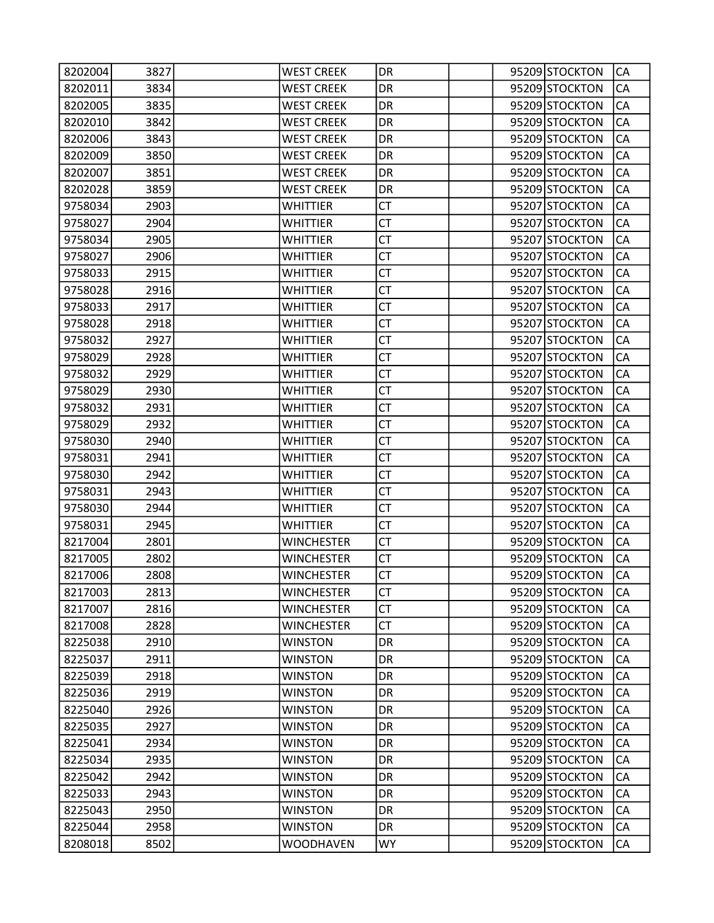| 8202004 | 3827 | <b>WEST CREEK</b> | DR        |  | 95209 STOCKTON | CA        |
|---------|------|-------------------|-----------|--|----------------|-----------|
| 8202011 | 3834 | <b>WEST CREEK</b> | DR        |  | 95209 STOCKTON | CA        |
| 8202005 | 3835 | <b>WEST CREEK</b> | DR        |  | 95209 STOCKTON | CA        |
| 8202010 | 3842 | <b>WEST CREEK</b> | DR        |  | 95209 STOCKTON | CA        |
| 8202006 | 3843 | <b>WEST CREEK</b> | DR        |  | 95209 STOCKTON | CA        |
| 8202009 | 3850 | <b>WEST CREEK</b> | DR        |  | 95209 STOCKTON | CA        |
| 8202007 | 3851 | <b>WEST CREEK</b> | DR        |  | 95209 STOCKTON | CA        |
| 8202028 | 3859 | <b>WEST CREEK</b> | DR        |  | 95209 STOCKTON | CA        |
| 9758034 | 2903 | <b>WHITTIER</b>   | <b>CT</b> |  | 95207 STOCKTON | CA        |
| 9758027 | 2904 | <b>WHITTIER</b>   | <b>CT</b> |  | 95207 STOCKTON | CA        |
| 9758034 | 2905 | <b>WHITTIER</b>   | СT        |  | 95207 STOCKTON | CA        |
| 9758027 | 2906 | <b>WHITTIER</b>   | <b>CT</b> |  | 95207 STOCKTON | CA        |
| 9758033 | 2915 | WHITTIER          | <b>CT</b> |  | 95207 STOCKTON | CA        |
| 9758028 | 2916 | WHITTIER          | <b>CT</b> |  | 95207 STOCKTON | CA        |
| 9758033 | 2917 | <b>WHITTIER</b>   | <b>CT</b> |  | 95207 STOCKTON | CA        |
| 9758028 | 2918 | WHITTIER          | СT        |  | 95207 STOCKTON | CA        |
| 9758032 | 2927 | <b>WHITTIER</b>   | <b>CT</b> |  | 95207 STOCKTON | CA        |
| 9758029 | 2928 | <b>WHITTIER</b>   | <b>CT</b> |  | 95207 STOCKTON | CA        |
| 9758032 | 2929 | WHITTIER          | <b>CT</b> |  | 95207 STOCKTON | CA        |
| 9758029 | 2930 | <b>WHITTIER</b>   | <b>CT</b> |  | 95207 STOCKTON | CA        |
| 9758032 | 2931 | <b>WHITTIER</b>   | СT        |  | 95207 STOCKTON | CA        |
| 9758029 | 2932 | <b>WHITTIER</b>   | <b>CT</b> |  | 95207 STOCKTON | CA        |
| 9758030 | 2940 | <b>WHITTIER</b>   | <b>CT</b> |  | 95207 STOCKTON | CA        |
| 9758031 | 2941 | WHITTIER          | <b>CT</b> |  | 95207 STOCKTON | CA        |
| 9758030 | 2942 | <b>WHITTIER</b>   | <b>CT</b> |  | 95207 STOCKTON | CA        |
| 9758031 | 2943 | WHITTIER          | СT        |  | 95207 STOCKTON | CA        |
| 9758030 | 2944 | <b>WHITTIER</b>   | <b>CT</b> |  | 95207 STOCKTON | CA        |
| 9758031 | 2945 | <b>WHITTIER</b>   | <b>CT</b> |  | 95207 STOCKTON | CA        |
| 8217004 | 2801 | <b>WINCHESTER</b> | <b>CT</b> |  | 95209 STOCKTON | CA        |
| 8217005 | 2802 | <b>WINCHESTER</b> | <b>CT</b> |  | 95209 STOCKTON | CA        |
| 8217006 | 2808 | <b>WINCHESTER</b> | СT        |  | 95209 STOCKTON | CA        |
| 8217003 | 2813 | <b>WINCHESTER</b> | <b>CT</b> |  | 95209 STOCKTON | <b>CA</b> |
| 8217007 | 2816 | <b>WINCHESTER</b> | <b>CT</b> |  | 95209 STOCKTON | CA        |
| 8217008 | 2828 | <b>WINCHESTER</b> | СT        |  | 95209 STOCKTON | CA        |
| 8225038 | 2910 | <b>WINSTON</b>    | DR        |  | 95209 STOCKTON | CA        |
| 8225037 | 2911 | <b>WINSTON</b>    | DR        |  | 95209 STOCKTON | CA        |
| 8225039 | 2918 | <b>WINSTON</b>    | DR        |  | 95209 STOCKTON | CA        |
| 8225036 | 2919 | <b>WINSTON</b>    | DR        |  | 95209 STOCKTON | CA        |
| 8225040 | 2926 | <b>WINSTON</b>    | DR        |  | 95209 STOCKTON | CA        |
| 8225035 | 2927 | <b>WINSTON</b>    | <b>DR</b> |  | 95209 STOCKTON | CA        |
| 8225041 | 2934 | <b>WINSTON</b>    | DR        |  | 95209 STOCKTON | CA        |
| 8225034 | 2935 | <b>WINSTON</b>    | DR        |  | 95209 STOCKTON | CA        |
| 8225042 | 2942 | <b>WINSTON</b>    | DR        |  | 95209 STOCKTON | CA        |
| 8225033 | 2943 | <b>WINSTON</b>    | DR        |  | 95209 STOCKTON | CA        |
| 8225043 | 2950 | <b>WINSTON</b>    | <b>DR</b> |  | 95209 STOCKTON | CA        |
| 8225044 | 2958 | <b>WINSTON</b>    | DR        |  | 95209 STOCKTON | СA        |
| 8208018 | 8502 | <b>WOODHAVEN</b>  | <b>WY</b> |  | 95209 STOCKTON | CA        |